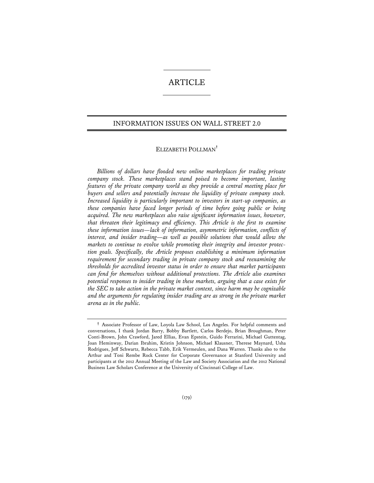# **ARTICLE**

## INFORMATION ISSUES ON WALL STREET 2.0

# ELIZABETH POLLMAN**†**

*Billions of dollars have flooded new online marketplaces for trading private company stock. These marketplaces stand poised to become important, lasting features of the private company world as they provide a central meeting place for buyers and sellers and potentially increase the liquidity of private company stock. Increased liquidity is particularly important to investors in start-up companies, as these companies have faced longer periods of time before going public or being acquired. The new marketplaces also raise significant information issues, however, that threaten their legitimacy and efficiency. This Article is the first to examine these information issues—lack of information, asymmetric information, conflicts of interest, and insider trading—as well as possible solutions that would allow the markets to continue to evolve while promoting their integrity and investor protection goals. Specifically, the Article proposes establishing a minimum information requirement for secondary trading in private company stock and reexamining the thresholds for accredited investor status in order to ensure that market participants can fend for themselves without additional protections. The Article also examines potential responses to insider trading in these markets, arguing that a case exists for the SEC to take action in the private market context, since harm may be cognizable and the arguments for regulating insider trading are as strong in the private market arena as in the public.* 

**<sup>†</sup>** Associate Professor of Law, Loyola Law School, Los Angeles. For helpful comments and conversations, I thank Jordan Barry, Bobby Bartlett, Carlos Berdejo, Brian Broughman, Peter Conti-Brown, John Crawford, Jared Ellias, Evan Epstein, Guido Ferrarini, Michael Guttentag, Joan Heminway, Darian Ibrahim, Kristin Johnson, Michael Klausner, Therese Maynard, Usha Rodrigues, Jeff Schwartz, Rebecca Tabb, Erik Vermeulen, and Dana Warren. Thanks also to the Arthur and Toni Rembe Rock Center for Corporate Governance at Stanford University and participants at the 2012 Annual Meeting of the Law and Society Association and the 2012 National Business Law Scholars Conference at the University of Cincinnati College of Law.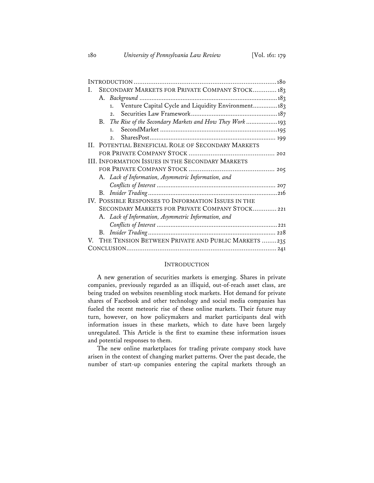| Ι. | SECONDARY MARKETS FOR PRIVATE COMPANY STOCK 183         |                                                            |  |
|----|---------------------------------------------------------|------------------------------------------------------------|--|
|    |                                                         |                                                            |  |
|    |                                                         | Venture Capital Cycle and Liquidity Environment 183<br>1.  |  |
|    |                                                         | 2.                                                         |  |
|    |                                                         | B. The Rise of the Secondary Markets and How They Work 193 |  |
|    |                                                         | 1.                                                         |  |
|    |                                                         | 2.1                                                        |  |
|    | II. POTENTIAL BENEFICIAL ROLE OF SECONDARY MARKETS      |                                                            |  |
|    |                                                         |                                                            |  |
|    | <b>III. INFORMATION ISSUES IN THE SECONDARY MARKETS</b> |                                                            |  |
|    |                                                         |                                                            |  |
|    |                                                         | A. Lack of Information, Asymmetric Information, and        |  |
|    |                                                         |                                                            |  |
|    |                                                         |                                                            |  |
|    | IV. POSSIBLE RESPONSES TO INFORMATION ISSUES IN THE     |                                                            |  |
|    | SECONDARY MARKETS FOR PRIVATE COMPANY STOCK 221         |                                                            |  |
|    |                                                         | A. Lack of Information, Asymmetric Information, and        |  |
|    |                                                         |                                                            |  |
|    |                                                         |                                                            |  |
|    |                                                         | V. THE TENSION BETWEEN PRIVATE AND PUBLIC MARKETS 235      |  |
|    |                                                         |                                                            |  |

### **INTRODUCTION**

A new generation of securities markets is emerging. Shares in private companies, previously regarded as an illiquid, out-of-reach asset class, are being traded on websites resembling stock markets. Hot demand for private shares of Facebook and other technology and social media companies has fueled the recent meteoric rise of these online markets. Their future may turn, however, on how policymakers and market participants deal with information issues in these markets, which to date have been largely unregulated. This Article is the first to examine these information issues and potential responses to them.

The new online marketplaces for trading private company stock have arisen in the context of changing market patterns. Over the past decade, the number of start-up companies entering the capital markets through an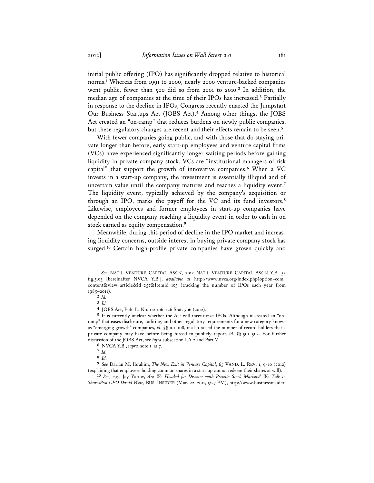initial public offering (IPO) has significantly dropped relative to historical norms.**<sup>1</sup>** Whereas from 1991 to 2000, nearly 2000 venture-backed companies went public, fewer than 500 did so from 2001 to 2010.**<sup>2</sup>** In addition, the median age of companies at the time of their IPOs has increased.**<sup>3</sup>** Partially in response to the decline in IPOs, Congress recently enacted the Jumpstart Our Business Startups Act (JOBS Act).**<sup>4</sup>** Among other things, the JOBS Act created an "on-ramp" that reduces burdens on newly public companies, but these regulatory changes are recent and their effects remain to be seen.**<sup>5</sup>**

With fewer companies going public, and with those that do staying private longer than before, early start-up employees and venture capital firms (VCs) have experienced significantly longer waiting periods before gaining liquidity in private company stock. VCs are "institutional managers of risk capital" that support the growth of innovative companies.**<sup>6</sup>** When a VC invests in a start-up company, the investment is essentially illiquid and of uncertain value until the company matures and reaches a liquidity event.**<sup>7</sup>** The liquidity event, typically achieved by the company's acquisition or through an IPO, marks the payoff for the VC and its fund investors.**<sup>8</sup>** Likewise, employees and former employees in start-up companies have depended on the company reaching a liquidity event in order to cash in on stock earned as equity compensation.**<sup>9</sup>**

Meanwhile, during this period of decline in the IPO market and increasing liquidity concerns, outside interest in buying private company stock has surged.**<sup>10</sup>** Certain high-profile private companies have grown quickly and

**4** JOBS Act, Pub. L. No. 112-106, 126 Stat. 306 (2012).

**<sup>1</sup>** *See* NAT'L VENTURE CAPITAL ASS'N, 2012 NAT'L VENTURE CAPITAL ASS'N Y.B. 52 fig.5.03 [hereinafter NVCA Y.B.], *available at* http://www.nvca.org/index.php?option=com\_ content&view=article&id=257&Itemid=103 (tracking the number of IPOs each year from 1985–2011).

**<sup>2</sup>** *Id.*

**<sup>3</sup>** *Id.*

**<sup>5</sup>** It is currently unclear whether the Act will incentivize IPOs. Although it created an "onramp" that eases disclosure, auditing, and other regulatory requirements for a new category known as "emerging growth" companies, *id.* §§ 101–108, it also raised the number of record holders that a private company may have before being forced to publicly report, *id.* §§ 501–502. For further discussion of the JOBS Act, see *infra* subsection I.A.2 and Part V.

**<sup>6</sup>** NVCA Y.B., *supra* note 1, at 7.

**<sup>7</sup>** *Id.*

**<sup>8</sup>** *Id.*

**<sup>9</sup>** *See* Darian M. Ibrahim, *The New Exit in Venture Capital*, 65 VAND. L. REV. 1, 9-10 (2012) (explaining that employees holding common shares in a start-up cannot redeem their shares at will).

**<sup>10</sup>** *See, e.g.*, Jay Yarow, *Are We Headed for Disaster with Private Stock Markets? We Talk to SharesPost CEO David Weir*, BUS. INSIDER (Mar. 22, 2011, 5:27 PM), http://www.businessinsider.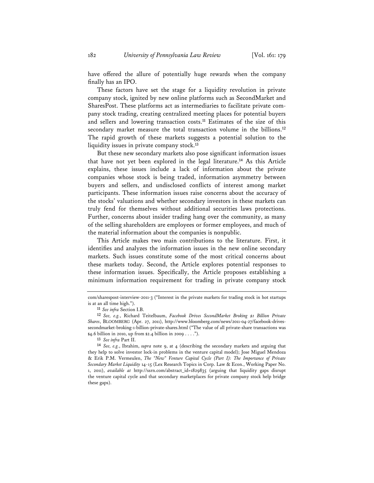have offered the allure of potentially huge rewards when the company finally has an IPO.

These factors have set the stage for a liquidity revolution in private company stock, ignited by new online platforms such as SecondMarket and SharesPost. These platforms act as intermediaries to facilitate private company stock trading, creating centralized meeting places for potential buyers and sellers and lowering transaction costs.**<sup>11</sup>** Estimates of the size of this secondary market measure the total transaction volume in the billions.**<sup>12</sup>** The rapid growth of these markets suggests a potential solution to the liquidity issues in private company stock.**<sup>13</sup>**

But these new secondary markets also pose significant information issues that have not yet been explored in the legal literature.**<sup>14</sup>** As this Article explains, these issues include a lack of information about the private companies whose stock is being traded, information asymmetry between buyers and sellers, and undisclosed conflicts of interest among market participants. These information issues raise concerns about the accuracy of the stocks' valuations and whether secondary investors in these markets can truly fend for themselves without additional securities laws protections. Further, concerns about insider trading hang over the community, as many of the selling shareholders are employees or former employees, and much of the material information about the companies is nonpublic.

This Article makes two main contributions to the literature. First, it identifies and analyzes the information issues in the new online secondary markets. Such issues constitute some of the most critical concerns about these markets today. Second, the Article explores potential responses to these information issues. Specifically, the Article proposes establishing a minimum information requirement for trading in private company stock

**13** *See infra* Part II.

com/sharespost-interview-2011-3 ("Interest in the private markets for trading stock in hot startups is at an all time high.").

**<sup>11</sup>** *See infra* Section I.B.

**<sup>12</sup>** *See, e.g.*, Richard Teitelbaum, *Facebook Drives SecondMarket Broking \$1 Billion Private Shares*, BLOOMBERG (Apr. 27, 2011), http://www.bloomberg.com/news/2011-04-27/facebook-drivessecondmarket-broking-1-billion-private-shares.html ("The value of all private-share transactions was \$4.6 billion in 2010, up from \$2.4 billion in 2009 . . . .").

**<sup>14</sup>** *See, e.g.*, Ibrahim, *supra* note 9, at 4 (describing the secondary markets and arguing that they help to solve investor lock-in problems in the venture capital model); Jose Miguel Mendoza & Erik P.M. Vermeulen, *The "New" Venture Capital Cycle (Part I): The Importance of Private Secondary Market Liquidity* 14-15 (Lex Research Topics in Corp. Law & Econ., Working Paper No. 1, 2011), *available at* http://ssrn.com/abstract\_id=1829835 (arguing that liquidity gaps disrupt the venture capital cycle and that secondary marketplaces for private company stock help bridge these gaps).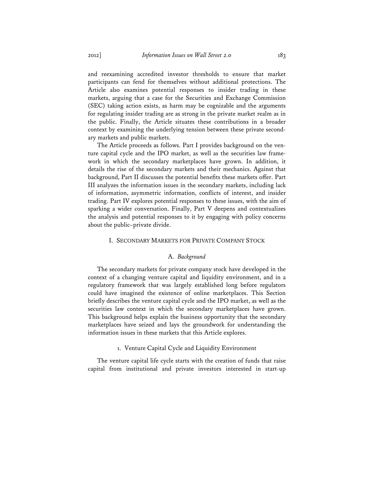and reexamining accredited investor thresholds to ensure that market participants can fend for themselves without additional protections. The Article also examines potential responses to insider trading in these markets, arguing that a case for the Securities and Exchange Commission (SEC) taking action exists, as harm may be cognizable and the arguments for regulating insider trading are as strong in the private market realm as in the public. Finally, the Article situates these contributions in a broader context by examining the underlying tension between these private secondary markets and public markets.

The Article proceeds as follows. Part I provides background on the venture capital cycle and the IPO market, as well as the securities law framework in which the secondary marketplaces have grown. In addition, it details the rise of the secondary markets and their mechanics. Against that background, Part II discusses the potential benefits these markets offer. Part III analyzes the information issues in the secondary markets, including lack of information, asymmetric information, conflicts of interest, and insider trading. Part IV explores potential responses to these issues, with the aim of sparking a wider conversation. Finally, Part V deepens and contextualizes the analysis and potential responses to it by engaging with policy concerns about the public–private divide.

# I. SECONDARY MARKETS FOR PRIVATE COMPANY STOCK

# A. *Background*

The secondary markets for private company stock have developed in the context of a changing venture capital and liquidity environment, and in a regulatory framework that was largely established long before regulators could have imagined the existence of online marketplaces. This Section briefly describes the venture capital cycle and the IPO market, as well as the securities law context in which the secondary marketplaces have grown. This background helps explain the business opportunity that the secondary marketplaces have seized and lays the groundwork for understanding the information issues in these markets that this Article explores.

# 1. Venture Capital Cycle and Liquidity Environment

The venture capital life cycle starts with the creation of funds that raise capital from institutional and private investors interested in start-up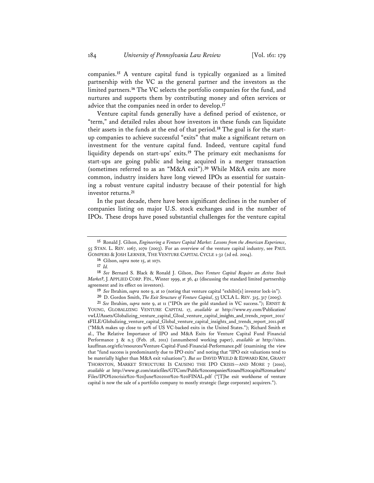companies.**<sup>15</sup>** A venture capital fund is typically organized as a limited partnership with the VC as the general partner and the investors as the limited partners.**<sup>16</sup>** The VC selects the portfolio companies for the fund, and nurtures and supports them by contributing money and often services or advice that the companies need in order to develop.**<sup>17</sup>**

Venture capital funds generally have a defined period of existence, or "term," and detailed rules about how investors in these funds can liquidate their assets in the funds at the end of that period.**18** The goal is for the startup companies to achieve successful "exits" that make a significant return on investment for the venture capital fund. Indeed, venture capital fund liquidity depends on start-ups' exits.**<sup>19</sup>** The primary exit mechanisms for start-ups are going public and being acquired in a merger transaction (sometimes referred to as an "M&A exit").**<sup>20</sup>** While M&A exits are more common, industry insiders have long viewed IPOs as essential for sustaining a robust venture capital industry because of their potential for high investor returns.**<sup>21</sup>**

In the past decade, there have been significant declines in the number of companies listing on major U.S. stock exchanges and in the number of IPOs. These drops have posed substantial challenges for the venture capital

**16** Gilson, *supra* note 15, at 1071.

**17** *Id.*

**20** D. Gordon Smith, *The Exit Structure of Venture Capital*, 53 UCLA L. REV. 315, 317 (2005).

**21** *See* Ibrahim, *supra* note 9, at 11 ("IPOs are the gold standard in VC success."); ERNST & YOUNG, GLOBALIZING VENTURE CAPITAL 17, *available at* http://www.ey.com/Publication/ vwLUAssets/Globalizing\_venture\_capital\_Gloal\_venture\_capital\_insights\_and\_trends\_report\_2011/ \$FILE/Globalizing\_venture\_capital\_Global\_venture\_capital\_insights\_and\_trends\_report\_2011.pdf ("M&A makes up close to 90% of US VC-backed exits in the United States."); Richard Smith et al., The Relative Importance of IPO and M&A Exits for Venture Capital Fund Financial Performance 3 & n.3 (Feb. 28, 2011) (unnumbered working paper), *available at* http://sites. kauffman.org/efic/resources/Venture-Capital-Fund-Financial-Performance.pdf (examining the view that "fund success is predominantly due to IPO exits" and noting that "IPO exit valuations tend to be materially higher than M&A exit valuations"). *But see* DAVID WEILD & EDWARD KIM, GRANT THORNTON, MARKET STRUCTURE IS CAUSING THE IPO CRISIS—AND MORE 7 (2010), *available at* http://www.gt.com/staticfiles/GTCom/Public%20companies%20and%20capital%20markets/ Files/IPO%20crisis%20-%20June%202010%20-%20FINAL.pdf ("[T]he exit workhorse of venture capital is now the sale of a portfolio company to mostly strategic (large corporate) acquirers.").

**<sup>15</sup>** Ronald J. Gilson, *Engineering a Venture Capital Market: Lessons from the American Experience*, 55 STAN. L. REV. 1067, 1070 (2003). For an overview of the venture capital industry, see PAUL GOMPERS & JOSH LERNER, THE VENTURE CAPITAL CYCLE 1-32 (2d ed. 2004).

**<sup>18</sup>** *See* Bernard S. Black & Ronald J. Gilson, *Does Venture Capital Require an Active Stock Market?*, J. APPLIED CORP. FIN., Winter 1999, at 36, 41 (discussing the standard limited partnership agreement and its effect on investors).

**<sup>19</sup>** *See* Ibrahim, *supra* note 9, at 10 (noting that venture capital "exhibit[s] investor lock-in").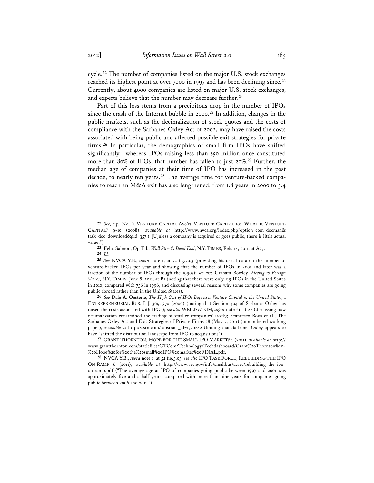cycle.**<sup>22</sup>** The number of companies listed on the major U.S. stock exchanges reached its highest point at over 7000 in 1997 and has been declining since.**<sup>23</sup>** Currently, about 4000 companies are listed on major U.S. stock exchanges, and experts believe that the number may decrease further.**<sup>24</sup>**

Part of this loss stems from a precipitous drop in the number of IPOs since the crash of the Internet bubble in 2000.**<sup>25</sup>** In addition, changes in the public markets, such as the decimalization of stock quotes and the costs of compliance with the Sarbanes-Oxley Act of 2002, may have raised the costs associated with being public and affected possible exit strategies for private firms.**<sup>26</sup>** In particular, the demographics of small firm IPOs have shifted significantly—whereas IPOs raising less than \$50 million once constituted more than 80% of IPOs, that number has fallen to just 20%.**<sup>27</sup>** Further, the median age of companies at their time of IPO has increased in the past decade, to nearly ten years.**28** The average time for venture-backed companies to reach an M&A exit has also lengthened, from 1.8 years in 2000 to 5.4

**24** *Id.*

**25** *See* NVCA Y.B., *supra* note 1, at 52 fig.5.03 (providing historical data on the number of venture-backed IPOs per year and showing that the number of IPOs in 2001 and later was a fraction of the number of IPOs through the 1990s); *see also* Graham Bowley, *Fleeing to Foreign Shores*, N.Y. TIMES, June 8, 2011, at B1 (noting that there were only 119 IPOs in the United States in 2010, compared with 756 in 1996, and discussing several reasons why some companies are going public abroad rather than in the United States).

**26** *See* Dale A. Oesterle, *The High Cost of IPOs Depresses Venture Capital in the United States*, 1 ENTREPRENEURIAL BUS. L.J. 369, 370 (2006) (noting that Section 404 of Sarbanes-Oxley has raised the costs associated with IPOs); *see also* WEILD & KIM, *supra* note 21, at 22 (discussing how decimalization constrained the trading of smaller companies' stock); Francesco Bova et al., The Sarbanes-Oxley Act and Exit Strategies of Private Firms 28 (May 5, 2011) (unnumbered working paper), *available at* http://ssrn.com/ abstract\_id=1730242 (finding that Sarbanes-Oxley appears to have "shifted the distribution landscape from IPO to acquisitions").

**27** GRANT THORNTON, HOPE FOR THE SMALL IPO MARKET? 1 (2011), *available at* http:// www.grantthornton.com/staticfiles/GTCom/Technology/Techdashboard/Grant%20Thornton%20- %20Hope%20for%20the%20small%20IPO%20market%20FINAL.pdf.

**28** NVCA Y.B., *supra* note 1, at 52 fig.5.03; *see also* IPO TASK FORCE, REBUILDING THE IPO ON-RAMP 6 (2011), *available at* http://www.sec.gov/info/smallbus/acsec/rebuilding\_the\_ipo\_ on-ramp.pdf ("The average age at IPO of companies going public between 1997 and 2001 was approximately five and a half years, compared with more than nine years for companies going public between 2006 and 2011.").

**<sup>22</sup>** *See, e.g.*, NAT'L VENTURE CAPITAL ASS'N, VENTURE CAPITAL 101: WHAT IS VENTURE CAPITAL? 9-10 (2008), *available at* http://www.nvca.org/index.php?option=com\_docman& task=doc\_download&gid=357 ("[U]nless a company is acquired or goes public, there is little actual value.").

**<sup>23</sup>** Felix Salmon, Op-Ed., *Wall Street's Dead End*, N.Y. TIMES, Feb. 14, 2011, at A27.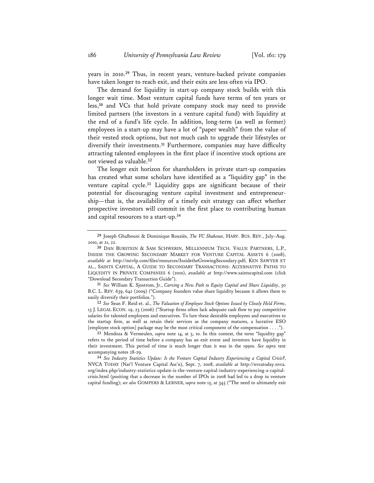years in 2010.**<sup>29</sup>** Thus, in recent years, venture-backed private companies have taken longer to reach exit, and their exits are less often via IPO.

The demand for liquidity in start-up company stock builds with this longer wait time. Most venture capital funds have terms of ten years or less,**<sup>30</sup>** and VCs that hold private company stock may need to provide limited partners (the investors in a venture capital fund) with liquidity at the end of a fund's life cycle. In addition, long-term (as well as former) employees in a start-up may have a lot of "paper wealth" from the value of their vested stock options, but not much cash to upgrade their lifestyles or diversify their investments.**<sup>31</sup>** Furthermore, companies may have difficulty attracting talented employees in the first place if incentive stock options are not viewed as valuable.**<sup>32</sup>**

The longer exit horizon for shareholders in private start-up companies has created what some scholars have identified as a "liquidity gap" in the venture capital cycle.**<sup>33</sup>** Liquidity gaps are significant because of their potential for discouraging venture capital investment and entrepreneurship—that is, the availability of a timely exit strategy can affect whether prospective investors will commit in the first place to contributing human and capital resources to a start-up.**<sup>34</sup>**

**31** *See* William K. Sjostrom, Jr., *Carving a New Path to Equity Capital and Share Liquidity*, 50 B.C. L. REV. 639, 642 (2009) ("Company founders value share liquidity because it allows them to easily diversify their portfolios.").

**32** *See* Sean F. Reid et. al., *The Valuation of Employee Stock Options Issued by Closely Held Firms*, 13 J. LEGAL ECON. 19, 23 (2006) ("Startup firms often lack adequate cash flow to pay competitive salaries for talented employees and executives. To lure these desirable employees and executives to the startup firm, as well as retain their services as the company matures, a lucrative ESO [employee stock option] package may be the most critical component of the compensation . . . .").

**33** Mendoza & Vermeulen, *supra* note 14, at 3, 10. In this context, the term "liquidity gap" refers to the period of time before a company has an exit event and investors have liquidity in their investment. This period of time is much longer than it was in the 1990s. *See supra* text accompanying notes 28-29.

**34** *See Industry Statistics Update: Is the Venture Capital Industry Experiencing a Capital Crisis?*, NVCA TODAY (Nat'l Venture Capital Ass'n), Sept. 7, 2008, *available at* http://nvcatoday.nvca. org/index.php/industry-statistics-update-is-the-venture-capital-industry-experiencing-a-capitalcrisis.html (positing that a decrease in the number of IPOs in 2008 had led to a drop in venture capital funding); *see also* GOMPERS & LERNER, *supra* note 15, at 345 ("The need to ultimately exit

**<sup>29</sup>** Joseph Ghalbouni & Dominique Rouziès, *The VC Shakeout*, HARV. BUS. REV., July–Aug. 2010, at 21, 22.

**<sup>30</sup>** DAN BURSTEIN & SAM SCHWERIN, MILLENNIUM TECH. VALUE PARTNERS, L.P., INSIDE THE GROWING SECONDARY MARKET FOR VENTURE CAPITAL ASSETS 6 (2008), *available at* http://mtvlp.com/files/resources/InsidetheGrowingSecondary.pdf; KEN SAWYER ET AL., SAINTS CAPITAL, A GUIDE TO SECONDARY TRANSACTIONS: ALTERNATIVE PATHS TO LIQUIDITY IN PRIVATE COMPANIES 6 (2010), *available at* http://www.saintscapital.com (click "Download Secondary Transaction Guide").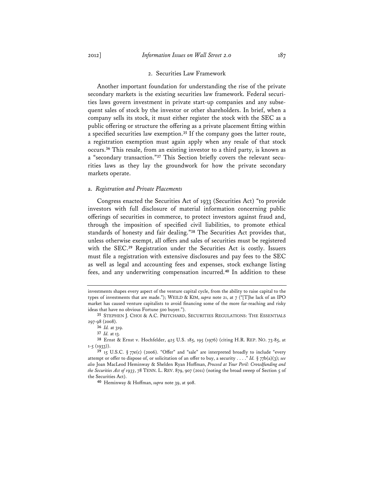#### 2. Securities Law Framework

Another important foundation for understanding the rise of the private secondary markets is the existing securities law framework. Federal securities laws govern investment in private start-up companies and any subsequent sales of stock by the investor or other shareholders. In brief, when a company sells its stock, it must either register the stock with the SEC as a public offering or structure the offering as a private placement fitting within a specified securities law exemption.**<sup>35</sup>** If the company goes the latter route, a registration exemption must again apply when any resale of that stock occurs.**<sup>36</sup>** This resale, from an existing investor to a third party, is known as a "secondary transaction."**37** This Section briefly covers the relevant securities laws as they lay the groundwork for how the private secondary markets operate.

### a. *Registration and Private Placements*

Congress enacted the Securities Act of 1933 (Securities Act) "to provide investors with full disclosure of material information concerning public offerings of securities in commerce, to protect investors against fraud and, through the imposition of specified civil liabilities, to promote ethical standards of honesty and fair dealing."**<sup>38</sup>** The Securities Act provides that, unless otherwise exempt, all offers and sales of securities must be registered with the SEC.**<sup>39</sup>** Registration under the Securities Act is costly. Issuers must file a registration with extensive disclosures and pay fees to the SEC as well as legal and accounting fees and expenses, stock exchange listing fees, and any underwriting compensation incurred.**<sup>40</sup>** In addition to these

investments shapes every aspect of the venture capital cycle, from the ability to raise capital to the types of investments that are made."); WEILD & KIM, *supra* note 21, at 7 ("[T]he lack of an IPO market has caused venture capitalists to avoid financing some of the more far-reaching and risky ideas that have no obvious Fortune 500 buyer.").

**<sup>35</sup>** STEPHEN J. CHOI & A.C. PRITCHARD, SECURITIES REGULATIONS: THE ESSENTIALS 297-98 (2008).

**<sup>36</sup>** *Id.* at 319.

**<sup>37</sup>** *Id.* at 13.

**<sup>38</sup>** Ernst & Ernst v. Hochfelder, 425 U.S. 185, 195 (1976) (citing H.R. REP. NO. 73-85, at  $1-5$  (1933)).

**<sup>39</sup>** 15 U.S.C. § 77e(c) (2006). "Offer" and "sale" are interpreted broadly to include "every attempt or offer to dispose of, or solicitation of an offer to buy, a security . . . ." *Id.* § 77b(a)(3); *see also* Joan MacLeod Heminway & Shelden Ryan Hoffman, *Proceed at Your Peril: Crowdfunding and the Securities Act of 1933*, 78 TENN. L. REV. 879, 907 (2011) (noting the broad sweep of Section 5 of the Securities Act).

**<sup>40</sup>** Heminway & Hoffman, *supra* note 39, at 908.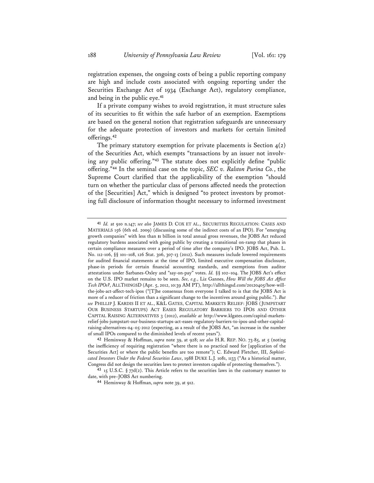registration expenses, the ongoing costs of being a public reporting company are high and include costs associated with ongoing reporting under the Securities Exchange Act of 1934 (Exchange Act), regulatory compliance, and being in the public eye.**<sup>41</sup>**

If a private company wishes to avoid registration, it must structure sales of its securities to fit within the safe harbor of an exemption. Exemptions are based on the general notion that registration safeguards are unnecessary for the adequate protection of investors and markets for certain limited offerings.**<sup>42</sup>**

The primary statutory exemption for private placements is Section  $4(2)$ of the Securities Act, which exempts "transactions by an issuer not involving any public offering."**<sup>43</sup>** The statute does not explicitly define "public offering."**<sup>44</sup>** In the seminal case on the topic, *SEC v. Ralston Purina Co.*, the Supreme Court clarified that the applicability of the exemption "should turn on whether the particular class of persons affected needs the protection of the [Securities] Act," which is designed "to protect investors by promoting full disclosure of information thought necessary to informed investment

**42** Heminway & Hoffman, *supra* note 39, at 928; *see also* H.R. REP. NO. 73-85, at 5 (noting the inefficiency of requiring registration "where there is no practical need for [application of the Securities Act] or where the public benefits are too remote"); C. Edward Fletcher, III, *Sophisticated Investors Under the Federal Securities Laws*, 1988 DUKE L.J. 1081, 1133 ("As a historical matter, Congress did not design the securities laws to protect investors capable of protecting themselves.").

**43** 15 U.S.C. § 77d(2). This Article refers to the securities laws in the customary manner to date, with pre–JOBS Act numbering.

**<sup>41</sup>** *Id.* at 910 n.147; *see also* JAMES D. COX ET AL., SECURITIES REGULATION: CASES AND MATERIALS 156 (6th ed. 2009) (discussing some of the indirect costs of an IPO). For "emerging growth companies" with less than \$1 billion in total annual gross revenues, the JOBS Act reduced regulatory burdens associated with going public by creating a transitional on-ramp that phases in certain compliance measures over a period of time after the company's IPO. JOBS Act, Pub. L. No. 112-106, §§ 101–108, 126 Stat. 306, 307-13 (2012). Such measures include lowered requirements for audited financial statements at the time of IPO, limited executive compensation disclosure, phase-in periods for certain financial accounting standards, and exemptions from auditor attestations under Sarbanes-Oxley and "say-on-pay" votes. *Id.* §§ 102–104. The JOBS Act's effect on the U.S. IPO market remains to be seen. *See, e.g.*, Liz Gannes, *How Will the JOBS Act Affect Tech IPOs?*, ALLTHINGSD (Apr. 5, 2012, 10:39 AM PT), http://allthingsd.com/20120405/how-willthe-jobs-act-affect-tech-ipos ("[T]he consensus from everyone I talked to is that the JOBS Act is more of a reducer of friction than a significant change to the incentives around going public."). *But see* PHILLIP J. KARDIS II ET AL., K&L GATES, CAPITAL MARKETS RELIEF: JOBS (JUMPSTART OUR BUSINESS STARTUPS) ACT EASES REGULATORY BARRIERS TO IPOS AND OTHER CAPITAL RAISING ALTERNATIVES 3 (2012), *available at* http://www.klgates.com/capital-marketsrelief-jobs-jumpstart-our-business-startups-act-eases-regulatory-barriers-to-ipos-and-other-capitalraising-alternatives-04-05-2012 (expecting, as a result of the JOBS Act, "an increase in the number of small IPOs compared to the diminished levels of recent years").

**<sup>44</sup>** Heminway & Hoffman, *supra* note 39, at 912.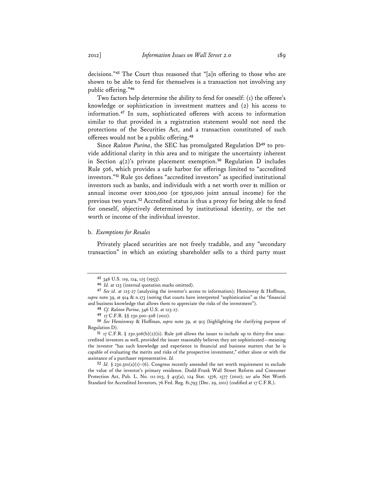decisions."**<sup>45</sup>** The Court thus reasoned that "[a]n offering to those who are shown to be able to fend for themselves is a transaction not involving any public offering."**<sup>46</sup>**

Two factors help determine the ability to fend for oneself: (1) the offeree's knowledge or sophistication in investment matters and (2) his access to information.**<sup>47</sup>** In sum, sophisticated offerees with access to information similar to that provided in a registration statement would not need the protections of the Securities Act, and a transaction constituted of such offerees would not be a public offering.**<sup>48</sup>**

Since *Ralston Purina*, the SEC has promulgated Regulation D**49** to provide additional clarity in this area and to mitigate the uncertainty inherent in Section 4(2)'s private placement exemption.**<sup>50</sup>** Regulation D includes Rule 506, which provides a safe harbor for offerings limited to "accredited investors."**<sup>51</sup>** Rule 501 defines "accredited investors" as specified institutional investors such as banks, and individuals with a net worth over \$1 million or annual income over \$200,000 (or \$300,000 joint annual income) for the previous two years.**<sup>52</sup>** Accredited status is thus a proxy for being able to fend for oneself, objectively determined by institutional identity, or the net worth or income of the individual investor.

## b. *Exemptions for Resales*

Privately placed securities are not freely tradable, and any "secondary transaction" in which an existing shareholder sells to a third party must

**<sup>45</sup>** 346 U.S. 119, 124, 125 (1953).

**<sup>46</sup>** *Id.* at 125 (internal quotation marks omitted).

**<sup>47</sup>** *See id.* at 125-27 (analyzing the investor's access to information); Heminway & Hoffman, *supra* note 39, at 914 & n.173 (noting that courts have interpreted "sophistication" as the "financial and business knowledge that allows them to appreciate the risks of the investment").

**<sup>48</sup>** *Cf. Ralston Purina*, 346 U.S. at 125-27.

**<sup>49</sup>** 17 C.F.R. §§ 230.500–508 (2012).

**<sup>50</sup>** *See* Heminway & Hoffman, *supra* note 39, at 915 (highlighting the clarifying purpose of Regulation D).

<sup>51 17</sup> C.F.R.  $\S$  230.506(b)(2)(ii). Rule 506 allows the issuer to include up to thirty-five unaccredited investors as well, provided the issuer reasonably believes they are sophisticated—meaning the investor "has such knowledge and experience in financial and business matters that he is capable of evaluating the merits and risks of the prospective investment," either alone or with the assistance of a purchaser representative. *Id.*

**<sup>52</sup>** *Id.* § 230.501(a)(1)–(6). Congress recently amended the net worth requirement to exclude the value of the investor's primary residence. Dodd-Frank Wall Street Reform and Consumer Protection Act, Pub. L. No. 111-203, § 413(a), 124 Stat. 1376, 1577 (2010); *see also* Net Worth Standard for Accredited Investors, 76 Fed. Reg. 81,793 (Dec. 29, 2011) (codified at 17 C.F.R.).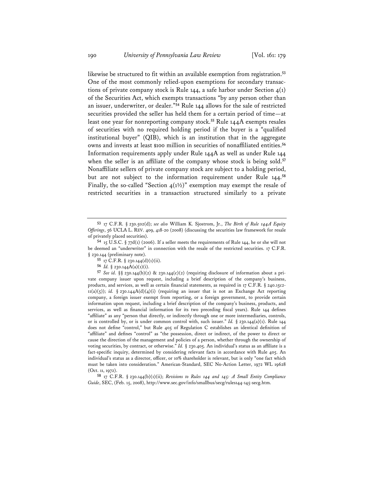likewise be structured to fit within an available exemption from registration.**<sup>53</sup>** One of the most commonly relied-upon exemptions for secondary transactions of private company stock is Rule 144, a safe harbor under Section  $4(1)$ of the Securities Act, which exempts transactions "by any person other than an issuer, underwriter, or dealer."**<sup>54</sup>** Rule 144 allows for the sale of restricted securities provided the seller has held them for a certain period of time—at least one year for nonreporting company stock.**<sup>55</sup>** Rule 144A exempts resales of securities with no required holding period if the buyer is a "qualified institutional buyer" (QIB), which is an institution that in the aggregate owns and invests at least \$100 million in securities of nonaffiliated entities.**<sup>56</sup>** Information requirements apply under Rule 144A as well as under Rule 144 when the seller is an affiliate of the company whose stock is being sold.**<sup>57</sup>** Nonaffiliate sellers of private company stock are subject to a holding period, but are not subject to the information requirement under Rule 144.**<sup>58</sup>** Finally, the so-called "Section  $4(1\frac{1}{2})$ " exemption may exempt the resale of restricted securities in a transaction structured similarly to a private

**56** *Id.* § 230.144A(a)(1)(i).

**58** 17 C.F.R. § 230.144(b)(1)(ii); *Revisions to Rules 144 and 145: A Small Entity Compliance Guide*, SEC, (Feb. 15, 2008), http://www.sec.gov/info/smallbus/secg/rules144-145-secg.htm.

**<sup>53</sup>** 17 C.F.R. § 230.502(d); *see also* William K. Sjostrom, Jr., *The Birth of Rule 144A Equity Offerings*, 56 UCLA L. REV. 409, 418-20 (2008) (discussing the securities law framework for resale of privately placed securities).

**<sup>54</sup>** 15 U.S.C. § 77d(1) (2006). If a seller meets the requirements of Rule 144, he or she will not be deemed an "underwriter" in connection with the resale of the restricted securities. 17 C.F.R. § 230.144 (preliminary note).

**<sup>55</sup>** 17 C.F.R. § 230.144(d)(1)(ii).

**<sup>57</sup>** *See id*. §§ 230.144(b)(2) & 230.144(c)(2) (requiring disclosure of information about a private company issuer upon request, including a brief description of the company's business, products, and services, as well as certain financial statements, as required in 17 C.F.R. § 240.15c2- 11(a)(5)); *id.* § 230.144A(d)(4)(i) (requiring an issuer that is not an Exchange Act reporting company, a foreign issuer exempt from reporting, or a foreign government, to provide certain information upon request, including a brief description of the company's business, products, and services, as well as financial information for its two preceding fiscal years). Rule 144 defines "affiliate" as any "person that directly, or indirectly through one or more intermediaries, controls, or is controlled by, or is under common control with, such issuer." *Id.* § 230.144(a)(1). Rule 144 does not define "control," but Rule 405 of Regulation C establishes an identical definition of "affiliate" and defines "control" as "the possession, direct or indirect, of the power to direct or cause the direction of the management and policies of a person, whether through the ownership of voting securities, by contract, or otherwise." *Id.* § 230.405. An individual's status as an affiliate is a fact-specific inquiry, determined by considering relevant facts in accordance with Rule 405. An individual's status as a director, officer, or 10% shareholder is relevant, but is only "one fact which must be taken into consideration." American-Standard, SEC No-Action Letter, 1972 WL 19628 (Oct. 11, 1972).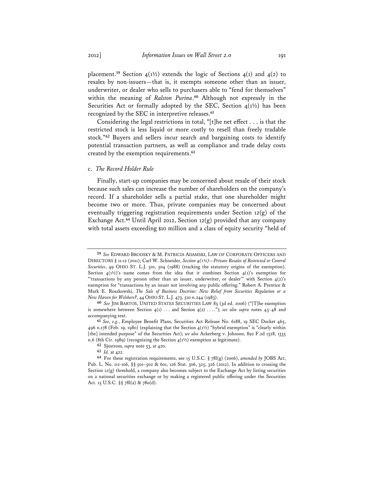placement.<sup>59</sup> Section  $4(1\frac{1}{2})$  extends the logic of Sections  $4(1)$  and  $4(2)$  to resales by non-issuers—that is, it exempts someone other than an issuer, underwriter, or dealer who sells to purchasers able to "fend for themselves" within the meaning of *Ralston Purina*. **<sup>60</sup>** Although not expressly in the Securities Act or formally adopted by the SEC, Section  $4(1^{1/2})$  has been recognized by the SEC in interpretive releases.**<sup>61</sup>**

Considering the legal restrictions in total, "[t]he net effect . . . is that the restricted stock is less liquid or more costly to resell than freely tradable stock."**<sup>62</sup>** Buyers and sellers incur search and bargaining costs to identify potential transaction partners, as well as compliance and trade delay costs created by the exemption requirements.**<sup>63</sup>**

# c. *The Record Holder Rule*

Finally, start-up companies may be concerned about resale of their stock because such sales can increase the number of shareholders on the company's record. If a shareholder sells a partial stake, that one shareholder might become two or more. Thus, private companies may be concerned about eventually triggering registration requirements under Section 12(g) of the Exchange Act.**<sup>64</sup>** Until April 2012, Section 12(g) provided that any company with total assets exceeding \$10 million and a class of equity security "held of

**<sup>59</sup>** *See* EDWARD BRODSKY & M. PATRICIA ADAMSKI, LAW OF CORPORATE OFFICERS AND DIRECTORS § 11:12 (2011); Carl W. Schneider, *Section 4(1½)—Private Resales of Restricted or Control Securities*, 49 OHIO ST. L.J. 501, 504 (1988) (tracking the statutory origins of the exemption). Section  $4(1\frac{1}{2})$ 's name comes from the idea that it combines Section  $4(1)$ 's exemption for "'transactions by any person other than an issuer, underwriter, or dealer'" with Section  $4(2)$ 's exemption for "transactions by an issuer not involving any public offering." Robert A. Prentice & Mark E. Roszkowski, *The Sale of Business Doctrine: New Relief from Securities Regulation or a New Haven for Welshers?*, 44 OHIO ST. L.J. 473, 510 n.244 (1983).

**<sup>60</sup>** *See* JIM BARTOS, UNITED STATES SECURITIES LAW 85 (3d ed. 2006) ("[T]he exemption is somewhere between Section  $4(1)$  ... and Section  $4(2)$  ...."); *see also supra* notes  $45-48$  and accompanying text.

**<sup>61</sup>** *See, e.g.*, Employee Benefit Plans, Securities Act Release No. 6188, 19 SEC Docket 465, 496 n.178 (Feb. 19, 1980) (explaining that the Section 4(1½) "hybrid exemption" is "clearly within [the] intended purpose" of the Securities Act); *see also* Ackerberg v. Johnson, 892 F.2d 1328, 1335 n.6 (8th Cir. 1989) (recognizing the Section  $4(1\frac{1}{2})$  exemption as legitimate).

**<sup>62</sup>** Sjostrom, *supra* note 53, at 420.

**<sup>63</sup>** *Id.* at 422.

**<sup>64</sup>** For these registration requirements, see 15 U.S.C. § 78l(g) (2006), *amended by* JOBS Act, Pub. L. No. 112-106, §§ 501–502 & 601, 126 Stat. 306, 325, 326 (2012). In addition to crossing the Section  $12(g)$  threshold, a company also becomes subject to the Exchange Act by listing securities on a national securities exchange or by making a registered public offering under the Securities Act. 15 U.S.C. §§ 78l(a) & 78o(d).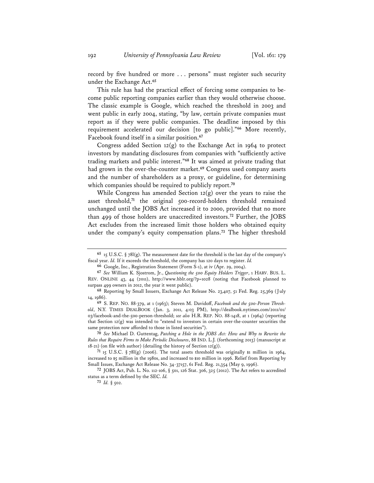record by five hundred or more . . . persons" must register such security under the Exchange Act.**<sup>65</sup>**

This rule has had the practical effect of forcing some companies to become public reporting companies earlier than they would otherwise choose. The classic example is Google, which reached the threshold in 2003 and went public in early 2004, stating, "by law, certain private companies must report as if they were public companies. The deadline imposed by this requirement accelerated our decision [to go public]."**<sup>66</sup>** More recently, Facebook found itself in a similar position.**<sup>67</sup>**

Congress added Section  $12(g)$  to the Exchange Act in 1964 to protect investors by mandating disclosures from companies with "sufficiently active trading markets and public interest."**<sup>68</sup>** It was aimed at private trading that had grown in the over-the-counter market.**<sup>69</sup>** Congress used company assets and the number of shareholders as a proxy, or guideline, for determining which companies should be required to publicly report.**<sup>70</sup>**

While Congress has amended Section  $12(g)$  over the years to raise the asset threshold,**<sup>71</sup>** the original 500-record-holders threshold remained unchanged until the JOBS Act increased it to 2000, provided that no more than 499 of those holders are unaccredited investors.**<sup>72</sup>** Further, the JOBS Act excludes from the increased limit those holders who obtained equity under the company's equity compensation plans.**<sup>73</sup>** The higher threshold

**<sup>65</sup>** 15 U.S.C. § 78l(g). The measurement date for the threshold is the last day of the company's fiscal year. *Id.* If it exceeds the threshold, the company has 120 days to register. *Id.*

**<sup>66</sup>** Google, Inc., Registration Statement (Form S-1), at iv (Apr. 29, 2004).

**<sup>67</sup>** *See* William K. Sjostrom, Jr., *Questioning the 500 Equity Holders Trigger*, 1 HARV. BUS. L. REV. ONLINE 43, 44 (2011), http://www.hblr.org/?p=1028 (noting that Facebook planned to surpass 499 owners in 2012, the year it went public).

**<sup>68</sup>** Reporting by Small Issuers, Exchange Act Release No. 23,407, 51 Fed. Reg. 25,369 (July 14, 1986).

**<sup>69</sup>** S. REP. NO. 88-379, at 1 (1963); Steven M. Davidoff, *Facebook and the 500-Person Threshold*, N.Y. TIMES DEALBOOK (Jan. 3, 2011, 4:03 PM), http://dealbook.nytimes.com/2011/01/ 03/facebook-and-the-500-person-threshold; *see also* H.R. REP. NO. 88-1418, at 1 (1964) (reporting that Section 12(g) was intended to "extend to investors in certain over-the-counter securities the same protection now afforded to those in listed securities").

**<sup>70</sup>** *See* Michael D. Guttentag, *Patching a Hole in the JOBS Act: How and Why to Rewrite the Rules that Require Firms to Make Periodic Disclosures*, 88 IND. L.J. (forthcoming 2013) (manuscript at  $18-21$ ) (on file with author) (detailing the history of Section  $12(g)$ ).

**<sup>71</sup>** 15 U.S.C. § 78l(g) (2006). The total assets threshold was originally \$1 million in 1964, increased to \$5 million in the 1980s, and increased to \$10 million in 1996. Relief from Reporting by Small Issues, Exchange Act Release No. 34-37157, 61 Fed. Reg. 21,354 (May 9, 1996).

**<sup>72</sup>** JOBS Act, Pub. L. No. 112-106, § 501, 126 Stat. 306, 325 (2012). The Act refers to accredited status as a term defined by the SEC. *Id.*

**<sup>73</sup>** *Id.* § 502.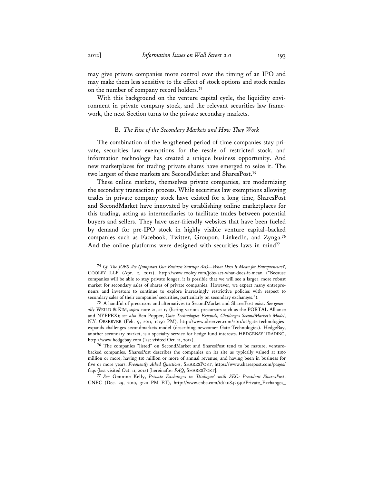may give private companies more control over the timing of an IPO and may make them less sensitive to the effect of stock options and stock resales on the number of company record holders.**<sup>74</sup>**

With this background on the venture capital cycle, the liquidity environment in private company stock, and the relevant securities law framework, the next Section turns to the private secondary markets.

# B. *The Rise of the Secondary Markets and How They Work*

The combination of the lengthened period of time companies stay private, securities law exemptions for the resale of restricted stock, and information technology has created a unique business opportunity. And new marketplaces for trading private shares have emerged to seize it. The two largest of these markets are SecondMarket and SharesPost.**<sup>75</sup>**

These online markets, themselves private companies, are modernizing the secondary transaction process. While securities law exemptions allowing trades in private company stock have existed for a long time, SharesPost and SecondMarket have innovated by establishing online marketplaces for this trading, acting as intermediaries to facilitate trades between potential buyers and sellers. They have user-friendly websites that have been fueled by demand for pre-IPO stock in highly visible venture capital–backed companies such as Facebook, Twitter, Groupon, LinkedIn, and Zynga.**<sup>76</sup>** And the online platforms were designed with securities laws in mind<sup>77</sup>-

**<sup>74</sup>** *Cf. The JOBS Act (Jumpstart Our Business Startups Act)—What Does It Mean for Entrepreneurs?*, COOLEY LLP (Apr. 2, 2012), http://www.cooley.com/jobs-act-what-does-it-mean ("Because companies will be able to stay private longer, it is possible that we will see a larger, more robust market for secondary sales of shares of private companies. However, we expect many entrepreneurs and investors to continue to explore increasingly restrictive policies with respect to secondary sales of their companies' securities, particularly on secondary exchanges.").

**<sup>75</sup>** A handful of precursors and alternatives to SecondMarket and SharesPost exist. *See generally* WEILD & KIM, *supra* note 21, at 17 (listing various precursors such as the PORTAL Alliance and NYPPEX); *see also* Ben Popper, *Gate Technologies Expands, Challenges SecondMarket's Model*, N.Y. OBSERVER (Feb. 9, 2011, 12:50 PM), http://www.observer.com/2011/02/gate-technologiesexpands-challenges-secondmarkets-model (describing newcomer Gate Technologies). HedgeBay, another secondary market, is a specialty service for hedge fund interests. HEDGEBAY TRADING, http://www.hedgebay.com (last visited Oct. 11, 2012).

**<sup>76</sup>** The companies "listed" on SecondMarket and SharesPost tend to be mature, venturebacked companies. SharesPost describes the companies on its site as typically valued at \$100 million or more, having \$10 million or more of annual revenue, and having been in business for five or more years. *Frequently Asked Questions*, SHARESPOST, https://www.sharespost.com/pages/ faqs (last visited Oct. 11, 2012) [hereinafter *FAQ*, SHARESPOST].

**<sup>77</sup>** *See* Gennine Kelly, *Private Exchanges in 'Dialogue' with SEC: President SharesPost*, CNBC (Dec. 29, 2010, 3:20 PM ET), http://www.cnbc.com/id/40842540/Private\_Exchanges\_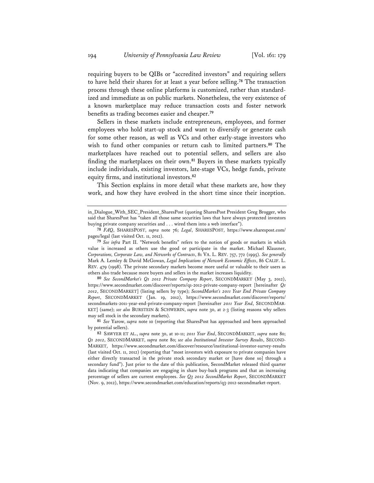requiring buyers to be QIBs or "accredited investors" and requiring sellers to have held their shares for at least a year before selling.**<sup>78</sup>** The transaction process through these online platforms is customized, rather than standardized and immediate as on public markets. Nonetheless, the very existence of a known marketplace may reduce transaction costs and foster network benefits as trading becomes easier and cheaper.**<sup>79</sup>**

Sellers in these markets include entrepreneurs, employees, and former employees who hold start-up stock and want to diversify or generate cash for some other reason, as well as VCs and other early-stage investors who wish to fund other companies or return cash to limited partners.**<sup>80</sup>** The marketplaces have reached out to potential sellers, and sellers are also finding the marketplaces on their own.**<sup>81</sup>** Buyers in these markets typically include individuals, existing investors, late-stage VCs, hedge funds, private equity firms, and institutional investors.**<sup>82</sup>**

This Section explains in more detail what these markets are, how they work, and how they have evolved in the short time since their inception.

**80** *See SecondMarket's Q1 2012 Private Company Report*, SECONDMARKET (May 3, 2012), https://www.secondmarket.com/discover/reports/q1-2012-private-company-report [hereinafter *Q1 2012*, SECONDMARKET] (listing sellers by type); *SecondMarket's 2011 Year End Private Company Report*, SECONDMARKET (Jan. 19, 2012), https://www.secondmarket.com/discover/reports/ secondmarkets-2011-year-end-private-company-report [hereinafter *2011 Year End*, SECONDMAR-KET] (same); *see also* BURSTEIN & SCHWERIN, *supra* note 30, at 2-3 (listing reasons why sellers may sell stock in the secondary markets).

**81** *See* Yarow, *supra* note 10 (reporting that SharesPost has approached and been approached by potential sellers).

**82** SAWYER ET AL., *supra* note 30, at 10-11; *2011 Year End*, SECONDMARKET, *supra* note 80; *Q1 2012*, SECONDMARKET, *supra* note 80; *see also Institutional Investor Survey Results*, SECOND-MARKET, https://www.secondmarket.com/discover/resource/institutional-investor-survey-results (last visited Oct. 11, 2012) (reporting that "most investors with exposure to private companies have either directly transacted in the private stock secondary market or [have done so] through a secondary fund"). Just prior to the date of this publication, SecondMarket released third quarter data indicating that companies are engaging in share buy-back programs and that an increasing percentage of sellers are current employees. *See Q3 2012 SecondMarket Report*, SECONDMARKET (Nov. 9, 2012), https://www.secondmarket.com/education/reports/q3-2012-secondmarket-report.

in\_Dialogue\_With\_SEC\_President\_SharesPost (quoting SharesPost President Greg Brogger, who said that SharesPost has "taken all those same securities laws that have always protected investors buying private company securities and . . . wired them into a web interface").

**<sup>78</sup>** *FAQ*, SHARESPOST, *supra* note 76; *Legal*, SHARESPOST, https://www.sharespost.com/ pages/legal (last visited Oct. 11, 2012).

**<sup>79</sup>** *See infra* Part II. "Network benefits" refers to the notion of goods or markets in which value is increased as others use the good or participate in the market. Michael Klausner, *Corporations, Corporate Law, and Networks of Contracts*, 81 VA. L. REV. 757, 772 (1995). *See generally* Mark A. Lemley & David McGowan, *Legal Implications of Network Economic Effects*, 86 CALIF. L. REV. 479 (1998). The private secondary markets become more useful or valuable to their users as others also trade because more buyers and sellers in the market increases liquidity.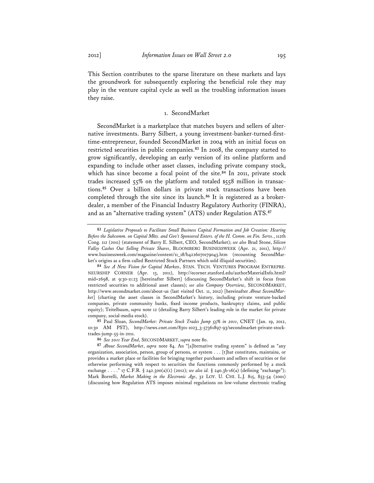This Section contributes to the sparse literature on these markets and lays the groundwork for subsequently exploring the beneficial role they may play in the venture capital cycle as well as the troubling information issues they raise.

# 1. SecondMarket

SecondMarket is a marketplace that matches buyers and sellers of alternative investments. Barry Silbert, a young investment-banker-turned-firsttime-entrepreneur, founded SecondMarket in 2004 with an initial focus on restricted securities in public companies.**<sup>83</sup>** In 2008, the company started to grow significantly, developing an early version of its online platform and expanding to include other asset classes, including private company stock, which has since become a focal point of the site.**<sup>84</sup>** In 2011, private stock trades increased  $55\%$  on the platform and totaled  $$55\%$  million in transactions.**<sup>85</sup>** Over a billion dollars in private stock transactions have been completed through the site since its launch.**86** It is registered as a brokerdealer, a member of the Financial Industry Regulatory Authority (FINRA), and as an "alternative trading system" (ATS) under Regulation ATS.**<sup>87</sup>**

**<sup>83</sup>** *Legislative Proposals to Facilitate Small Business Capital Formation and Job Creation: Hearing Before the Subcomm. on Capital Mkts. and Gov't Sponsored Enters. of the H. Comm. on Fin. Servs.*, 112th Cong. 112 (2011) (statement of Barry E. Silbert, CEO, SecondMarket); *see also* Brad Stone, *Silicon Valley Cashes Out Selling Private Shares*, BLOOMBERG BUSINESSWEEK (Apr. 21, 2011), http:// www.businessweek.com/magazine/content/11\_18/b4226070179043.htm (recounting SecondMarket's origins as a firm called Restricted Stock Partners which sold illiquid securities).

**<sup>84</sup>** *See A New Vision for Capital Markets*, STAN. TECH. VENTURES PROGRAM ENTREPRE-NEURSHIP CORNER (Apr. 13, 2011), http://ecorner.stanford.edu/authorMaterialInfo.html? mid=2698, at 9:30-11:23 [hereinafter Silbert] (discussing SecondMarket's shift in focus from restricted securities to additional asset classes); *see also Company Overview*, SECONDMARKET, http://www.secondmarket.com/about-us (last visited Oct. 11, 2012) [hereinafter *About SecondMarket*] (charting the asset classes in SecondMarket's history, including private venture-backed companies, private community banks, fixed income products, bankruptcy claims, and public equity); Teitelbaum, *supra* note 12 (detailing Barry Silbert's leading role in the market for private company, social-media stock).

**<sup>85</sup>** Paul Sloan, *SecondMarket: Private Stock Trades Jump 55% in 2011*, CNET (Jan. 19, 2012, 10:30 AM PST), http://news.cnet.com/8301-1023\_3-57361897-93/secondmarket-private-stocktrades-jump-55-in-2011.

**<sup>86</sup>** *See 2011 Year End*, SECONDMARKET, *supra* note 80.

**<sup>87</sup>** *About SecondMarket*, *supra* note 84. An "[a]lternative trading system" is defined as "any organization, association, person, group of persons, or system . . . [t]hat constitutes, maintains, or provides a market place or facilities for bringing together purchasers and sellers of securities or for otherwise performing with respect to securities the functions commonly performed by a stock exchange . . . ." 17 C.F.R. § 242.300(a)(1) (2012); *see also id.* § 240.3b-16(a) (defining "exchange"); Mark Borrelli, *Market Making in the Electronic Age*, 32 LOY. U. CHI. L.J. 815, 853-54 (2001) (discussing how Regulation ATS imposes minimal regulations on low-volume electronic trading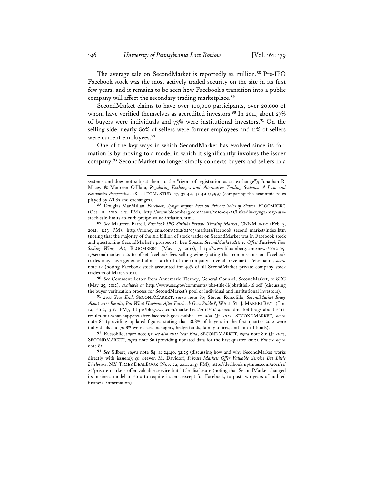The average sale on SecondMarket is reportedly \$2 million.**<sup>88</sup>** Pre-IPO Facebook stock was the most actively traded security on the site in its first few years, and it remains to be seen how Facebook's transition into a public company will affect the secondary trading marketplace.**<sup>89</sup>**

SecondMarket claims to have over 100,000 participants, over 20,000 of whom have verified themselves as accredited investors.**<sup>90</sup>** In 2011, about 27% of buyers were individuals and 73% were institutional investors.**<sup>91</sup>** On the selling side, nearly 80% of sellers were former employees and 11% of sellers were current employees.**<sup>92</sup>**

One of the key ways in which SecondMarket has evolved since its formation is by moving to a model in which it significantly involves the issuer company.**<sup>93</sup>** SecondMarket no longer simply connects buyers and sellers in a

**90** *See* Comment Letter from Annemarie Tierney, General Counsel, SecondMarket, to SEC (May 25, 2012), *available at* http://www.sec.gov/comments/jobs-title-ii/jobstitleii-16.pdf (discussing the buyer verification process for SecondMarket's pool of individual and institutional investors).

**91** *2011 Year End*, SECONDMARKET, *supra* note 80; Steven Russolillo, *SecondMarket Brags About 2011 Results, But What Happens After Facebook Goes Public?*, WALL ST. J. MARKETBEAT (Jan. 19, 2012, 3:17 PM), http://blogs.wsj.com/marketbeat/2012/01/19/secondmarket-brags-about-2011 results-but-what-happens-after-facebook-goes-public; *see also Q1 2012*, SECONDMARKET, *supra* note 80 (providing updated figures stating that 18.8% of buyers in the first quarter 2012 were individuals and 70.8% were asset managers, hedge funds, family offices, and mutual funds).

**92** Russolillo, *supra* note 91; *see also 2011 Year End*, SECONDMARKET, *supra* note 80; *Q1 2012*, SECONDMARKET, *supra* note 80 (providing updated data for the first quarter 2012). *But see supra* note 82.

**93** *See* Silbert, *supra* note 84, at 24:40, 32:25 (discussing how and why SecondMarket works directly with issuers); *cf.* Steven M. Davidoff, *Private Markets Offer Valuable Service But Little Disclosure*, N.Y. TIMES DEALBOOK (Nov. 22, 2011, 4:37 PM), http://dealbook.nytimes.com/2011/11/ 22/private-markets-offer-valuable-service-but-little-disclosure (noting that SecondMarket changed its business model in 2010 to require issuers, except for Facebook, to post two years of audited financial information).

systems and does not subject them to the "rigors of registration as an exchange"); Jonathan R. Macey & Maureen O'Hara, *Regulating Exchanges and Alternative Trading Systems: A Law and Economics Perspective*, 28 J. LEGAL STUD. 17, 37-42, 45-49 (1999) (comparing the economic roles played by ATSs and exchanges).

**<sup>88</sup>** Douglas MacMillan, *Facebook, Zynga Impose Fees on Private Sales of Shares*, BLOOMBERG (Oct. 11, 2010, 1:21 PM), http://www.bloomberg.com/news/2010-04-21/linkedin-zynga-may-usestock-sale-limits-to-curb-preipo-value-inflation.html.

**<sup>89</sup>** *See* Maureen Farrell, *Facebook IPO Shrinks Private Trading Market*, CNNMONEY (Feb. 3, 2012, 1:23 PM), http://money.cnn.com/2012/02/03/markets/facebook\_second\_market/index.htm (noting that the majority of the \$1.1 billion of stock trades on SecondMarket was in Facebook stock and questioning SecondMarket's prospects); Lee Spears, *SecondMarket Acts to Offset Facebook Fees Selling Wine, Art*, BLOOMBERG (May 17, 2012), http://www.bloomberg.com/news/2012-05- 17/secondmarket-acts-to-offset-facebook-fees-selling-wine (noting that commissions on Facebook trades may have generated almost a third of the company's overall revenue); Teitelbaum, *supra* note 12 (noting Facebook stock accounted for 40% of all SecondMarket private company stock trades as of March 2011).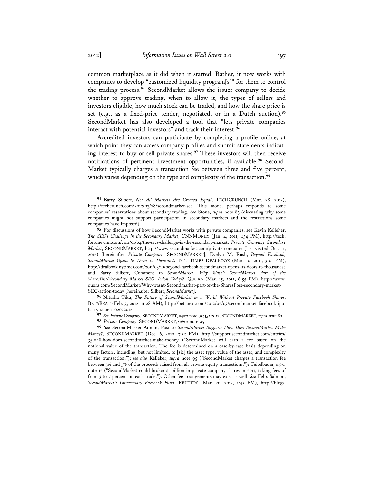common marketplace as it did when it started. Rather, it now works with companies to develop "customized liquidity program[s]" for them to control the trading process.**<sup>94</sup>** SecondMarket allows the issuer company to decide whether to approve trading, when to allow it, the types of sellers and investors eligible, how much stock can be traded, and how the share price is set (e.g., as a fixed-price tender, negotiated, or in a Dutch auction).**<sup>95</sup>** SecondMarket has also developed a tool that "lets private companies interact with potential investors" and track their interest.**<sup>96</sup>**

Accredited investors can participate by completing a profile online, at which point they can access company profiles and submit statements indicating interest to buy or sell private shares.**<sup>97</sup>** These investors will then receive notifications of pertinent investment opportunities, if available.**98** Second-Market typically charges a transaction fee between three and five percent, which varies depending on the type and complexity of the transaction.<sup>99</sup>

**<sup>94</sup>** Barry Silbert, *Not All Markets Are Created Equal*, TECHCRUNCH (Mar. 28, 2012), http://techcrunch.com/2012/03/28/secondmarket-sec. This model perhaps responds to some companies' reservations about secondary trading. *See* Stone, *supra* note 83 (discussing why some companies might not support participation in secondary markets and the restrictions some companies have imposed).

**<sup>95</sup>** For discussions of how SecondMarket works with private companies, see Kevin Kelleher, *The SEC's Challenge in the Secondary Market*, CNNMONEY (Jan. 4, 2011, 1:34 PM), http://tech. fortune.cnn.com/2011/01/04/the-secs-challenge-in-the-secondary-market; *Private Company Secondary Market*, SECONDMARKET, http://www.secondmarket.com/private-company (last visited Oct. 11, 2012) [hereinafter *Private Company*, SECONDMARKET]; Evelyn M. Rusli, *Beyond Facebook, SecondMarket Opens Its Doors to Thousands*, N.Y. TIMES DEALBOOK (Mar. 10, 2011, 3:01 PM), http://dealbook.nytimes.com/2011/03/10/beyond-facebook-secondmarket-opens-its-doors-to-thousands; and Barry Silbert, Comment to *SecondMarket: Why Wasn't SecondMarket Part of the SharesPost/Secondary Market SEC Action Today?*, QUORA (Mar. 15, 2012, 6:55 PM), http://www. quora.com/SecondMarket/Why-wasnt-Secondmarket-part-of-the-SharesPost-secondary-market-SEC-action-today [hereinafter Silbert, *SecondMarket*].

**<sup>96</sup>** Nitasha Tiku, *The Future of SecondMarket in a World Without Private Facebook Shares*, BETABEAT (Feb. 3, 2012, 11:28 AM), http://betabeat.com/2012/02/03/secondmarket-facebook-ipobarry-silbert-02032012.

**<sup>97</sup>** *See Private Company*, SECONDMARKET, *supra* note 95; *Q1 2012*, SECONDMARKET, *supra* note 80.

**<sup>98</sup>** *Private Company*, SECONDMARKET, *supra* note 95.

**<sup>99</sup>** *See* SecondMarket Admin, Post to *SecondMarket Support: How Does SecondMarket Make Money?*, SECONDMARKET (Dec. 6, 2010, 3:52 PM), http://support.secondmarket.com/entries/ 351048-how-does-secondmarket-make-money ("SecondMarket will earn a fee based on the notional value of the transaction. The fee is determined on a case-by-case basis depending on many factors, including, but not limited, to [sic] the asset type, value of the asset, and complexity of the transaction."); *see also* Kelleher, *supra* note 95 ("SecondMarket charges a transaction fee between 3% and 5% of the proceeds raised from all private equity transactions."); Teitelbaum, *supra* note 12 ("SecondMarket could broker \$1 billion in private-company shares in 2011, taking fees of from 3 to 5 percent on each trade."). Other fee arrangements may exist as well. *See* Felix Salmon, *SecondMarket's Unnecessary Facebook Fund*, REUTERS (Mar. 20, 2012, 1:45 PM), http://blogs.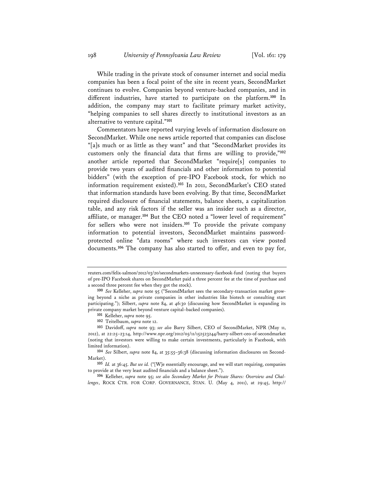While trading in the private stock of consumer internet and social media companies has been a focal point of the site in recent years, SecondMarket continues to evolve. Companies beyond venture-backed companies, and in different industries, have started to participate on the platform.**<sup>100</sup>** In addition, the company may start to facilitate primary market activity, "helping companies to sell shares directly to institutional investors as an alternative to venture capital."**<sup>101</sup>**

Commentators have reported varying levels of information disclosure on SecondMarket. While one news article reported that companies can disclose "[a]s much or as little as they want" and that "SecondMarket provides its customers only the financial data that firms are willing to provide,"**<sup>102</sup>** another article reported that SecondMarket "require[s] companies to provide two years of audited financials and other information to potential bidders" (with the exception of pre-IPO Facebook stock, for which no information requirement existed).**<sup>103</sup>** In 2011, SecondMarket's CEO stated that information standards have been evolving. By that time, SecondMarket required disclosure of financial statements, balance sheets, a capitalization table, and any risk factors if the seller was an insider such as a director, affiliate, or manager.**<sup>104</sup>** But the CEO noted a "lower level of requirement" for sellers who were not insiders.**<sup>105</sup>** To provide the private company information to potential investors, SecondMarket maintains passwordprotected online "data rooms" where such investors can view posted documents.**<sup>106</sup>** The company has also started to offer, and even to pay for,

reuters.com/felix-salmon/2012/03/20/secondmarkets-unnecessary-facebook-fund (noting that buyers of pre-IPO Facebook shares on SecondMarket paid a three percent fee at the time of purchase and a second three percent fee when they got the stock).

**<sup>100</sup>** *See* Kelleher, *supra* note 95 ("SecondMarket sees the secondary-transaction market growing beyond a niche as private companies in other industries like biotech or consulting start participating."); Silbert, *supra* note 84, at 46:30 (discussing how SecondMarket is expanding its private company market beyond venture capital–backed companies).

**<sup>101</sup>** Kelleher, *supra* note 95.

**<sup>102</sup>** Teitelbaum, *supra* note 12.

**<sup>103</sup>** Davidoff, *supra* note 93; *see also* Barry Silbert, CEO of SecondMarket, NPR (May 11, 2012), at 22:25–23:14, http://www.npr.org/2012/05/11/152523244/barry-silbert-ceo-of-secondmarket (noting that investors were willing to make certain investments, particularly in Facebook, with limited information).

**<sup>104</sup>** *See* Silbert, *supra* note 84, at 35:55–36:38 (discussing information disclosures on Second-Market).

**<sup>105</sup>** *Id.* at 36:45. *But see id.* ("[W]e essentially encourage, and we will start requiring, companies to provide at the very least audited financials and a balance sheet.").

**<sup>106</sup>** Kelleher, *supra* note 95; *see also Secondary Market for Private Shares: Overview and Challenges*, ROCK CTR. FOR CORP. GOVERNANCE, STAN. U. (May 4, 2011), at 29:45, http://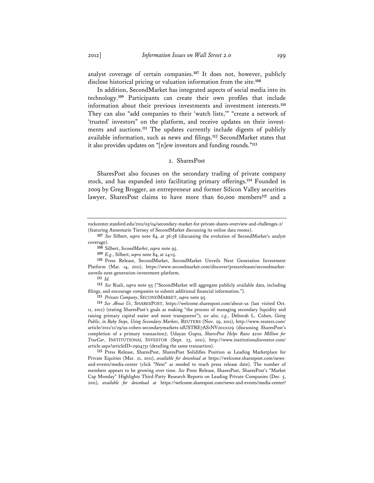analyst coverage of certain companies.**<sup>107</sup>** It does not, however, publicly disclose historical pricing or valuation information from the site.**<sup>108</sup>**

In addition, SecondMarket has integrated aspects of social media into its technology.**<sup>109</sup>** Participants can create their own profiles that include information about their previous investments and investment interests.**<sup>110</sup>** They can also "add companies to their 'watch lists,'" "create a network of 'trusted' investors" on the platform, and receive updates on their investments and auctions.**<sup>111</sup>** The updates currently include digests of publicly available information, such as news and filings.**<sup>112</sup>** SecondMarket states that it also provides updates on "[n]ew investors and funding rounds."**<sup>113</sup>**

# 2. SharesPost

SharesPost also focuses on the secondary trading of private company stock, and has expanded into facilitating primary offerings.**<sup>114</sup>** Founded in 2009 by Greg Brogger, an entrepreneur and former Silicon Valley securities lawyer, SharesPost claims to have more than 60,000 members**<sup>115</sup>** and a

**111** *Id.*

**112** *See* Rusli, *supra* note 95 ("SecondMarket will aggregate publicly available data, including filings, and encourage companies to submit additional financial information.").

**113** *Private Company*, SECONDMARKET, *supra* note 95.

**114** *See About Us*, SHARESPOST, https://welcome.sharespost.com/about-us (last visited Oct. 11, 2012) (stating SharesPost's goals as making "the process of managing secondary liquidity and raising primary capital easier and more transparent"); *see also, e.g.*, Deborah L. Cohen, *Going Public, in Baby Steps, Using Secondary Markets*, REUTERS (Nov. 29, 2011), http://www.reuters.com/ article/2011/11/29/us-cohen-secondarymarkets-idUSTRE7AS1NV20111129 (discussing SharesPost's completion of a primary transaction); Udayan Gupta, *SharesPost Helps Raise \$200 Million for TrueCar*, INSTITUTIONAL INVESTOR (Sept. 23, 2011), http://www.institutionalinvestor.com/ article.aspx?articleID=2904731 (detailing the same transaction).

**115** Press Release, SharesPost, SharesPost Solidifies Position as Leading Marketplace for Private Equities (Mar. 21, 2011), *available for download at* https://welcome.sharespost.com/newsand-events/media-center (click "Next" as needed to reach press release date). The number of members appears to be growing over time. *See* Press Release, SharesPost, SharesPost's "Market Cap Monday" Highlights Third-Party Research Reports on Leading Private Companies (Dec. 5, 2011), *available for download at* https://welcome.sharespost.com/news-and-events/media-center?

rockcenter.stanford.edu/2011/05/04/secondary-market-for-private-shares-overview-and-challenges-2/ (featuring Annemarie Tierney of SecondMarket discussing its online data rooms).

**<sup>107</sup>** *See* Silbert, *supra* note 84, at 36:58 (discussing the evolution of SecondMarket's analyst coverage).

**<sup>108</sup>** Silbert, *SecondMarket*, *supra* note 95.

**<sup>109</sup>** *E.g.*, Silbert, *supra* note 84, at 24:15.

**<sup>110</sup>** Press Release, SecondMarket, SecondMarket Unveils Next Generation Investment Platform (Mar. 14, 2011), https://www.secondmarket.com/discover/pressreleases/secondmarketunveils-next-generation-investment-platform.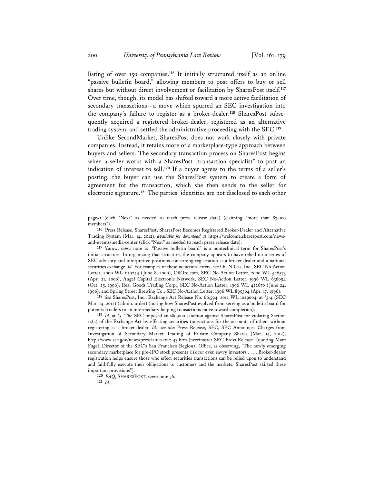listing of over 150 companies.**<sup>116</sup>** It initially structured itself as an online "passive bulletin board," allowing members to post offers to buy or sell shares but without direct involvement or facilitation by SharesPost itself.**<sup>117</sup>** Over time, though, its model has shifted toward a more active facilitation of secondary transactions—a move which spurred an SEC investigation into the company's failure to register as a broker-dealer.**118** SharesPost subsequently acquired a registered broker-dealer, registered as an alternative trading system, and settled the administrative proceeding with the SEC.**<sup>119</sup>**

Unlike SecondMarket, SharesPost does not work closely with private companies. Instead, it retains more of a marketplace-type approach between buyers and sellers. The secondary transaction process on SharesPost begins when a seller works with a SharesPost "transaction specialist" to post an indication of interest to sell.**<sup>120</sup>** If a buyer agrees to the terms of a seller's posting, the buyer can use the SharesPost system to create a form of agreement for the transaction, which she then sends to the seller for electronic signature.**<sup>121</sup>** The parties' identities are not disclosed to each other

page=1 (click "Next" as needed to reach press release date) (claiming "more than 83,000 members").

**118** *See* SharesPost, Inc., Exchange Act Release No. 66,594, 2012 WL 1029004, at \*3-4 (SEC Mar. 14, 2012) (admin. order) (noting how SharesPost evolved from serving as a bulletin board for potential traders to an intermediary helping transactions move toward completion).

**119** *Id.* at \*5. The SEC imposed an \$80,000 sanction against SharesPost for violating Section 15(a) of the Exchange Act by effecting securities transactions for the accounts of others without registering as a broker-dealer. *Id.*; *see also* Press Release, SEC, SEC Announces Charges from Investigation of Secondary Market Trading of Private Company Shares (Mar. 14, 2012), http://www.sec.gov/news/press/2012/2012-43.htm [hereinafter SEC Press Release] (quoting Marc Fagel, Director of the SEC's San Francisco Regional Office, as observing, "The newly emerging secondary marketplace for pre-IPO stock presents risk for even savvy investors . . . . Broker-dealer registration helps ensure those who effect securities transactions can be relied upon to understand and faithfully execute their obligations to customers and the markets. SharesPost skirted these important provisions").

**120** *FAQ*, SHARESPOST, *supra* note 76.

**121** *Id.*

**<sup>116</sup>** Press Release, SharesPost, SharesPost Becomes Registered Broker-Dealer and Alternative Trading System (Mar. 14, 2012), *available for download at* https://welcome.sharespost.com/newsand-events/media-center (click "Next" as needed to reach press release date).

**<sup>117</sup>** Yarow, *supra* note 10. "Passive bulletin board" is a nontechnical term for SharesPost's initial structure. In organizing that structure, the company appears to have relied on a series of SEC advisory and interpretive positions concerning registration as a broker-dealer and a national securities exchange. *Id.* For examples of these no-action letters, see Oil-N-Gas, Inc., SEC No-Action Letter, 2000 WL 1119244 (June 8, 2000), OilOre.com, SEC No-Action Letter, 2000 WL 546573 (Apr. 21, 2000), Angel Capital Electronic Network, SEC No-Action Letter, 1996 WL 636094 (Oct. 25, 1996), Real Goods Trading Corp., SEC No-Action Letter, 1996 WL 422670 (June 24, 1996), and Spring Street Brewing Co., SEC No-Action Letter, 1996 WL 899364 (Apr. 17, 1996).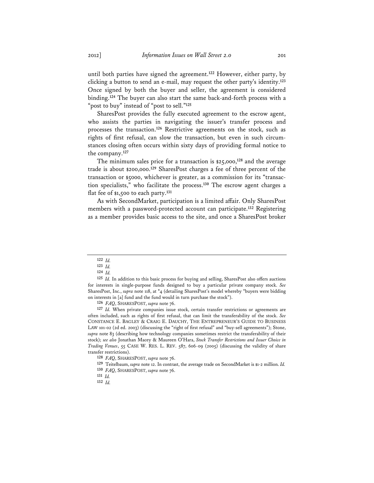until both parties have signed the agreement.**<sup>122</sup>** However, either party, by clicking a button to send an e-mail, may request the other party's identity.**<sup>123</sup>** Once signed by both the buyer and seller, the agreement is considered binding.**<sup>124</sup>** The buyer can also start the same back-and-forth process with a "post to buy" instead of "post to sell."**<sup>125</sup>**

SharesPost provides the fully executed agreement to the escrow agent, who assists the parties in navigating the issuer's transfer process and processes the transaction.**<sup>126</sup>** Restrictive agreements on the stock, such as rights of first refusal, can slow the transaction, but even in such circumstances closing often occurs within sixty days of providing formal notice to the company.**<sup>127</sup>**

The minimum sales price for a transaction is \$25,000,**<sup>128</sup>** and the average trade is about \$200,000.**<sup>129</sup>** SharesPost charges a fee of three percent of the transaction or \$5000, whichever is greater, as a commission for its "transaction specialists," who facilitate the process.**<sup>130</sup>** The escrow agent charges a flat fee of \$1,500 to each party.**<sup>131</sup>**

As with SecondMarket, participation is a limited affair. Only SharesPost members with a password-protected account can participate.**<sup>132</sup>** Registering as a member provides basic access to the site, and once a SharesPost broker

**126** *FAQ*, SHARESPOST, *supra* note 76.

**127** *Id.* When private companies issue stock, certain transfer restrictions or agreements are often included, such as rights of first refusal, that can limit the transferability of the stock. *See* CONSTANCE E. BAGLEY & CRAIG E. DAUCHY, THE ENTREPRENEUR'S GUIDE TO BUSINESS LAW 101-02 (2d ed. 2003) (discussing the "right of first refusal" and "buy-sell agreements"); Stone, *supra* note 83 (describing how technology companies sometimes restrict the transferability of their stock); *see also* Jonathan Macey & Maureen O'Hara, *Stock Transfer Restrictions and Issuer Choice in Trading Venues*, 55 CASE W. RES. L. REV. 587, 606-09 (2005) (discussing the validity of share transfer restrictions).

**128** *FAQ*, SHARESPOST, *supra* note 76.

**129** Teitelbaum, *supra* note 12. In contrast, the average trade on SecondMarket is \$1-2 million. *Id.*

**<sup>122</sup>** *Id.*

**<sup>123</sup>** *Id.*

**<sup>124</sup>** *Id.*

**<sup>125</sup>** *Id.* In addition to this basic process for buying and selling, SharesPost also offers auctions for interests in single-purpose funds designed to buy a particular private company stock. *See* SharesPost, Inc., *supra* note 118, at \*4 (detailing SharesPost's model whereby "buyers were bidding on interests in [a] fund and the fund would in turn purchase the stock").

**<sup>130</sup>** *FAQ*, SHARESPOST, *supra* note 76.

**<sup>131</sup>** *Id.*

**<sup>132</sup>** *Id.*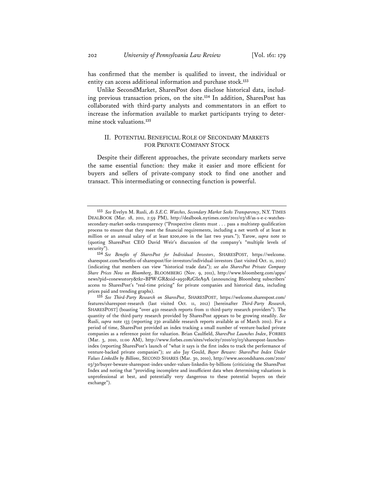has confirmed that the member is qualified to invest, the individual or entity can access additional information and purchase stock.**<sup>133</sup>**

Unlike SecondMarket, SharesPost does disclose historical data, including previous transaction prices, on the site.**<sup>134</sup>** In addition, SharesPost has collaborated with third-party analysts and commentators in an effort to increase the information available to market participants trying to determine stock valuations.**<sup>135</sup>**

# II. POTENTIAL BENEFICIAL ROLE OF SECONDARY MARKETS FOR PRIVATE COMPANY STOCK

Despite their different approaches, the private secondary markets serve the same essential function: they make it easier and more efficient for buyers and sellers of private-company stock to find one another and transact. This intermediating or connecting function is powerful.

**<sup>133</sup>** *See* Evelyn M. Rusli, *As S.E.C. Watches, Secondary Market Seeks Transparency*, N.Y. TIMES DEALBOOK (Mar. 18, 2011, 2:59 PM), http://dealbook.nytimes.com/2011/03/18/as-s-e-c-watchessecondary-market-seeks-transparency ("Prospective clients must . . . pass a multistep qualification process to ensure that they meet the financial requirements, including a net worth of at least \$1 million or an annual salary of at least \$200,000 in the last two years."); Yarow, *supra* note 10 (quoting SharesPost CEO David Weir's discussion of the company's "multiple levels of security").

**<sup>134</sup>** *See Benefits of SharesPost for Individual Investors*, SHARESPOST, https://welcome. sharespost.com/benefits-of-sharespost/for-investors/individual-investors (last visited Oct. 11, 2012) (indicating that members can view "historical trade data"); *see also SharesPost Private Company Share Prices Now on Bloomberg*, BLOOMBERG (Nov. 9, 2011), http://www.bloomberg.com/apps/ news?pid=conewsstory&tkr=BPW:GR&sid=a950RzGIeA9A (announcing Bloomberg subscribers' access to SharesPost's "real-time pricing" for private companies and historical data, including prices paid and trending graphs).

**<sup>135</sup>** *See Third-Party Research on SharesPost*, SHARESPOST, https://welcome.sharespost.com/ features/sharespost-research (last visited Oct. 11, 2012) [hereinafter *Third-Party Research*, SHARESPOST] (boasting "over 450 research reports from 11 third-party research providers"). The quantity of the third-party research provided by SharesPost appears to be growing steadily. *See* Rusli, *supra* note 133 (reporting 230 available research reports available as of March 2011). For a period of time, SharesPost provided an index tracking a small number of venture-backed private companies as a reference point for valuation. Brian Caulfield, *SharesPost Launches Index*, FORBES (Mar. 3, 2010, 11:00 AM), http://www.forbes.com/sites/velocity/2010/03/03/sharespost-launchesindex (reporting SharesPost's launch of "what it says is the first index to track the performance of venture-backed private companies"); *see also* Jay Gould, *Buyer Beware: SharesPost Index Under Values LinkedIn by Billions*, SECOND SHARES (Mar. 30, 2010), http://www.secondshares.com/2010/ 03/30/buyer-beware-sharespost-index-under-values-linkedin-by-billions (criticizing the SharesPost Index and noting that "providing incomplete and insufficient data when determining valuations is unprofessional at best, and potentially very dangerous to these potential buyers on their exchange").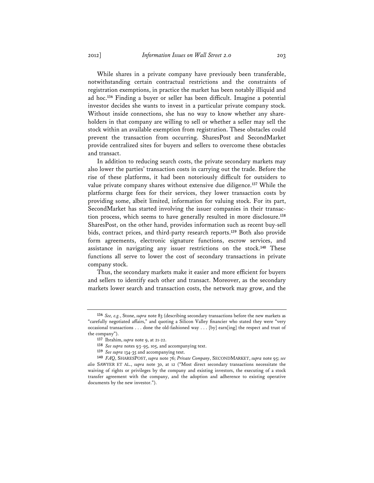While shares in a private company have previously been transferable, notwithstanding certain contractual restrictions and the constraints of registration exemptions, in practice the market has been notably illiquid and ad hoc.**<sup>136</sup>** Finding a buyer or seller has been difficult. Imagine a potential investor decides she wants to invest in a particular private company stock. Without inside connections, she has no way to know whether any shareholders in that company are willing to sell or whether a seller may sell the stock within an available exemption from registration. These obstacles could prevent the transaction from occurring. SharesPost and SecondMarket provide centralized sites for buyers and sellers to overcome these obstacles and transact.

In addition to reducing search costs, the private secondary markets may also lower the parties' transaction costs in carrying out the trade. Before the rise of these platforms, it had been notoriously difficult for outsiders to value private company shares without extensive due diligence.**<sup>137</sup>** While the platforms charge fees for their services, they lower transaction costs by providing some, albeit limited, information for valuing stock. For its part, SecondMarket has started involving the issuer companies in their transaction process, which seems to have generally resulted in more disclosure.**<sup>138</sup>** SharesPost, on the other hand, provides information such as recent buy-sell bids, contract prices, and third-party research reports.**<sup>139</sup>** Both also provide form agreements, electronic signature functions, escrow services, and assistance in navigating any issuer restrictions on the stock.**<sup>140</sup>** These functions all serve to lower the cost of secondary transactions in private company stock.

Thus, the secondary markets make it easier and more efficient for buyers and sellers to identify each other and transact. Moreover, as the secondary markets lower search and transaction costs, the network may grow, and the

**<sup>136</sup>** *See, e.g.*, Stone, *supra* note 83 (describing secondary transactions before the new markets as "carefully negotiated affairs," and quoting a Silicon Valley financier who stated they were "very occasional transactions . . . done the old-fashioned way . . . [by] earn[ing] the respect and trust of the company").

**<sup>137</sup>** Ibrahim, *supra* note 9, at 21-22.

**<sup>138</sup>** *See supra* notes 93-95, 105, and accompanying text.

**<sup>139</sup>** *See supra* 134-35 and accompanying text.

**<sup>140</sup>** *FAQ*, SHARESPOST, *supra* note 76; *Private Company*, SECONDMARKET, *supra* note 95; *see also* SAWYER ET AL., *supra* note 30, at 12 ("Most direct secondary transactions necessitate the waiving of rights or privileges by the company and existing investors, the executing of a stock transfer agreement with the company, and the adoption and adherence to existing operative documents by the new investor.").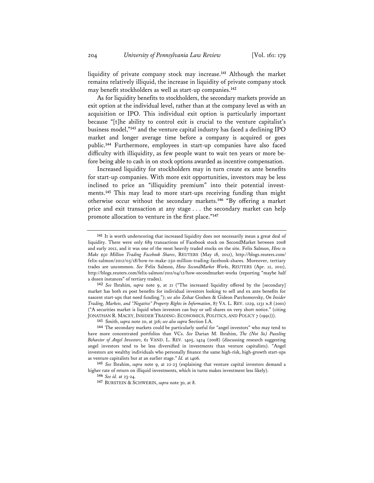liquidity of private company stock may increase.**<sup>141</sup>** Although the market remains relatively illiquid, the increase in liquidity of private company stock may benefit stockholders as well as start-up companies.**<sup>142</sup>**

As for liquidity benefits to stockholders, the secondary markets provide an exit option at the individual level, rather than at the company level as with an acquisition or IPO. This individual exit option is particularly important because "[t]he ability to control exit is crucial to the venture capitalist's business model,"**<sup>143</sup>** and the venture capital industry has faced a declining IPO market and longer average time before a company is acquired or goes public.**<sup>144</sup>** Furthermore, employees in start-up companies have also faced difficulty with illiquidity, as few people want to wait ten years or more before being able to cash in on stock options awarded as incentive compensation.

Increased liquidity for stockholders may in turn create ex ante benefits for start-up companies. With more exit opportunities, investors may be less inclined to price an "illiquidity premium" into their potential investments.**<sup>145</sup>** This may lead to more start-ups receiving funding than might otherwise occur without the secondary markets.**<sup>146</sup>** "By offering a market price and exit transaction at any stage . . . the secondary market can help promote allocation to venture in the first place."**<sup>147</sup>**

**142** *See* Ibrahim, *supra* note 9, at 21 ("The increased liquidity offered by the [secondary] market has both ex post benefits for individual investors looking to sell and ex ante benefits for nascent start-ups that need funding."); *see also* Zohar Goshen & Gideon Parchomovsky, *On Insider Trading, Markets, and "Negative" Property Rights in Information*, 87 VA. L. REV. 1229, 1231 n.8 (2001) ("A securities market is liquid when investors can buy or sell shares on very short notice." (citing JONATHAN R. MACEY, INSIDER TRADING: ECONOMICS, POLITICS, AND POLICY 7 (1991))).

**146** *See id.* at 23-24.

**<sup>141</sup>** It is worth underscoring that increased liquidity does not necessarily mean a great deal of liquidity. There were only 689 transactions of Facebook stock on SecondMarket between 2008 and early 2012, and it was one of the most heavily traded stocks on the site. Felix Salmon, *How to Make \$50 Million Trading Facebook Shares*, REUTERS (May 18, 2012), http://blogs.reuters.com/ felix-salmon/2012/05/18/how-to-make-250-million-trading-facebook-shares. Moreover, tertiary trades are uncommon. *See* Felix Salmon, *How SecondMarket Works*, REUTERS (Apr. 12, 2011), http://blogs.reuters.com/felix-salmon/2011/04/12/how-secondmarket-works (reporting "maybe half a dozen instances" of tertiary trades).

**<sup>143</sup>** Smith, *supra* note 20, at 316; *see also supra* Section I.A.

**<sup>144</sup>** The secondary markets could be particularly useful for "angel investors" who may tend to have more concentrated portfolios than VCs. *See* Darian M. Ibrahim, *The (Not So) Puzzling Behavior of Angel Investors*, 61 VAND. L. REV. 1405, 1424 (2008) (discussing research suggesting angel investors tend to be less diversified in investments than venture capitalists). "Angel investors are wealthy individuals who personally finance the same high-risk, high-growth start-ups as venture capitalists but at an earlier stage." *Id.* at 1406.

**<sup>145</sup>** *See* Ibrahim, *supra* note 9, at 22-23 (explaining that venture capital investors demand a higher rate of return on illiquid investments, which in turns makes investment less likely).

**<sup>147</sup>** BURSTEIN & SCHWERIN, *supra* note 30, at 8.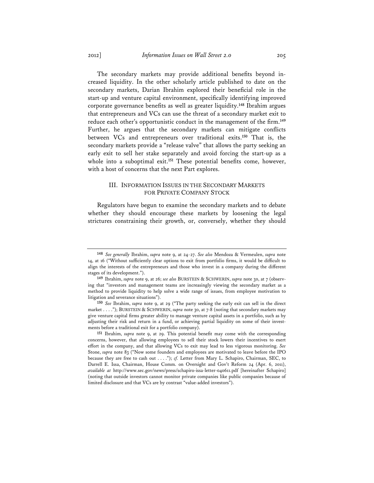The secondary markets may provide additional benefits beyond increased liquidity. In the other scholarly article published to date on the secondary markets, Darian Ibrahim explored their beneficial role in the start-up and venture capital environment, specifically identifying improved corporate governance benefits as well as greater liquidity.**<sup>148</sup>** Ibrahim argues that entrepreneurs and VCs can use the threat of a secondary market exit to reduce each other's opportunistic conduct in the management of the firm.**<sup>149</sup>** Further, he argues that the secondary markets can mitigate conflicts between VCs and entrepreneurs over traditional exits.**<sup>150</sup>** That is, the secondary markets provide a "release valve" that allows the party seeking an early exit to sell her stake separately and avoid forcing the start-up as a whole into a suboptimal exit.**<sup>151</sup>** These potential benefits come, however, with a host of concerns that the next Part explores.

# III. INFORMATION ISSUES IN THE SECONDARY MARKETS FOR PRIVATE COMPANY STOCK

Regulators have begun to examine the secondary markets and to debate whether they should encourage these markets by loosening the legal strictures constraining their growth, or, conversely, whether they should

**<sup>148</sup>** *See generally* Ibrahim, *supra* note 9, at 24-27. *See also* Mendoza & Vermeulen, *supra* note 14, at 16 ("Without sufficiently clear options to exit from portfolio firms, it would be difficult to align the interests of the entrepreneurs and those who invest in a company during the different stages of its development.").

**<sup>149</sup>** Ibrahim, *supra* note 9, at 26; *see also* BURSTEIN & SCHWERIN, *supra* note 30, at 7 (observing that "investors and management teams are increasingly viewing the secondary market as a method to provide liquidity to help solve a wide range of issues, from employee motivation to litigation and severance situations").

**<sup>150</sup>** *See* Ibrahim, *supra* note 9, at 29 ("The party seeking the early exit can sell in the direct market . . . ."); BURSTEIN & SCHWERIN, *supra* note 30, at 7-8 (noting that secondary markets may give venture capital firms greater ability to manage venture capital assets in a portfolio, such as by adjusting their risk and return in a fund, or achieving partial liquidity on some of their investments before a traditional exit for a portfolio company).

**<sup>151</sup>** Ibrahim, *supra* note 9, at 29. This potential benefit may come with the corresponding concerns, however, that allowing employees to sell their stock lowers their incentives to exert effort in the company, and that allowing VCs to exit may lead to less vigorous monitoring. *See* Stone, *supra* note 83 ("Now some founders and employees are motivated to leave before the IPO because they are free to cash out . . . ."); *cf.* Letter from Mary L. Schapiro, Chairman, SEC, to Darrell E. Issa, Chairman, House Comm. on Oversight and Gov't Reform 24 (Apr. 6, 2011), *available at* http://www.sec.gov/news/press/schapiro-issa-letter-040611.pdf [hereinafter Schapiro] (noting that outside investors cannot monitor private companies like public companies because of limited disclosure and that VCs are by contrast "value-added investors").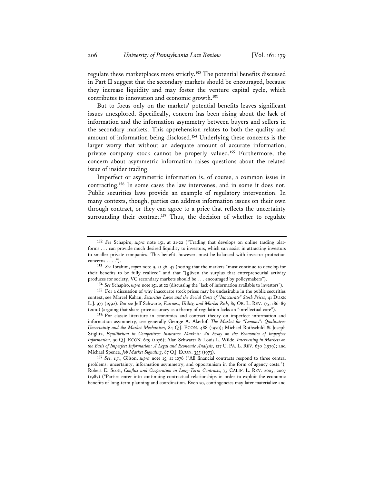regulate these marketplaces more strictly.**<sup>152</sup>** The potential benefits discussed in Part II suggest that the secondary markets should be encouraged, because they increase liquidity and may foster the venture capital cycle, which contributes to innovation and economic growth.**<sup>153</sup>**

But to focus only on the markets' potential benefits leaves significant issues unexplored. Specifically, concern has been rising about the lack of information and the information asymmetry between buyers and sellers in the secondary markets. This apprehension relates to both the quality and amount of information being disclosed.**<sup>154</sup>** Underlying these concerns is the larger worry that without an adequate amount of accurate information, private company stock cannot be properly valued.**<sup>155</sup>** Furthermore, the concern about asymmetric information raises questions about the related issue of insider trading.

Imperfect or asymmetric information is, of course, a common issue in contracting.**<sup>156</sup>** In some cases the law intervenes, and in some it does not. Public securities laws provide an example of regulatory intervention. In many contexts, though, parties can address information issues on their own through contract, or they can agree to a price that reflects the uncertainty surrounding their contract.<sup>157</sup> Thus, the decision of whether to regulate

**154** *See* Schapiro, *supra* note 151, at 22 (discussing the "lack of information available to investors").

**156** For classic literature in economics and contract theory on imperfect information and information asymmetry, see generally George A. Akerlof, *The Market for "Lemons": Qualitative Uncertainty and the Market Mechanism*, 84 Q.J. ECON. 488 (1970); Michael Rothschild & Joseph Stiglitz, *Equilibrium in Competitive Insurance Markets: An Essay on the Economics of Imperfect Information*, 90 Q.J. ECON. 629 (1976); Alan Schwartz & Louis L. Wilde, *Intervening in Markets on the Basis of Imperfect Information: A Legal and Economic Analysis*, 127 U. PA. L. REV. 630 (1979); and Michael Spence, *Job Market Signaling*, 87 Q.J. ECON. 355 (1973).

**157** *See, e.g.*, Gilson, *supra* note 15, at 1076 ("All financial contracts respond to three central problems: uncertainty, information asymmetry, and opportunism in the form of agency costs."); Robert E. Scott, *Conflict and Cooperation in Long-Term Contracts*, 75 CALIF. L. REV. 2005, 2007 (1987) ("Parties enter into continuing contractual relationships in order to exploit the economic benefits of long-term planning and coordination. Even so, contingencies may later materialize and

**<sup>152</sup>** *See* Schapiro, *supra* note 151, at 21-22 ("Trading that develops on online trading platforms . . . can provide much desired liquidity to investors, which can assist in attracting investors to smaller private companies. This benefit, however, must be balanced with investor protection concerns  $\dots$ .").

**<sup>153</sup>** *See* Ibrahim, *supra* note 9, at 36, 47 (noting that the markets "must continue to develop for their benefits to be fully realized" and that "[g]iven the surplus that entrepreneurial activity produces for society, VC secondary markets should be . . . encouraged by policymakers").

**<sup>155</sup>** For a discussion of why inaccurate stock prices may be undesirable in the public securities context, see Marcel Kahan, *Securities Laws and the Social Costs of "Inaccurate" Stock Prices*, 41 DUKE L.J. 977 (1992). *But see* Jeff Schwartz, *Fairness, Utility, and Market Risk*, 89 OR. L. REV. 175, 186-89 (2010) (arguing that share-price accuracy as a theory of regulation lacks an "intellectual core").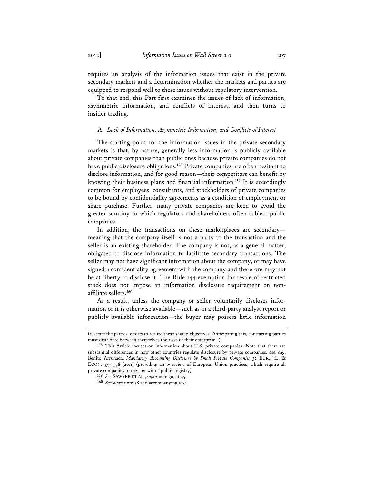requires an analysis of the information issues that exist in the private secondary markets and a determination whether the markets and parties are equipped to respond well to these issues without regulatory intervention.

To that end, this Part first examines the issues of lack of information, asymmetric information, and conflicts of interest, and then turns to insider trading.

### A. *Lack of Information, Asymmetric Information, and Conflicts of Interest*

The starting point for the information issues in the private secondary markets is that, by nature, generally less information is publicly available about private companies than public ones because private companies do not have public disclosure obligations.**<sup>158</sup>** Private companies are often hesitant to disclose information, and for good reason—their competitors can benefit by knowing their business plans and financial information.**<sup>159</sup>** It is accordingly common for employees, consultants, and stockholders of private companies to be bound by confidentiality agreements as a condition of employment or share purchase. Further, many private companies are keen to avoid the greater scrutiny to which regulators and shareholders often subject public companies.

In addition, the transactions on these marketplaces are secondary meaning that the company itself is not a party to the transaction and the seller is an existing shareholder. The company is not, as a general matter, obligated to disclose information to facilitate secondary transactions. The seller may not have significant information about the company, or may have signed a confidentiality agreement with the company and therefore may not be at liberty to disclose it. The Rule 144 exemption for resale of restricted stock does not impose an information disclosure requirement on nonaffiliate sellers.**<sup>160</sup>**

As a result, unless the company or seller voluntarily discloses information or it is otherwise available—such as in a third-party analyst report or publicly available information—the buyer may possess little information

frustrate the parties' efforts to realize these shared objectives. Anticipating this, contracting parties must distribute between themselves the risks of their enterprise.").

**<sup>158</sup>** This Article focuses on information about U.S. private companies. Note that there are substantial differences in how other countries regulate disclosure by private companies. *See, e.g.*, Benito Arruñada, *Mandatory Accounting Disclosure by Small Private Companies* 32 EUR. J.L. & ECON. 377, 378 (2011) (providing an overview of European Union practices, which require all private companies to register with a public registry).

**<sup>159</sup>** *See* SAWYER ET AL., *supra* note 30, at 25.

**<sup>160</sup>** *See supra* note 58 and accompanying text.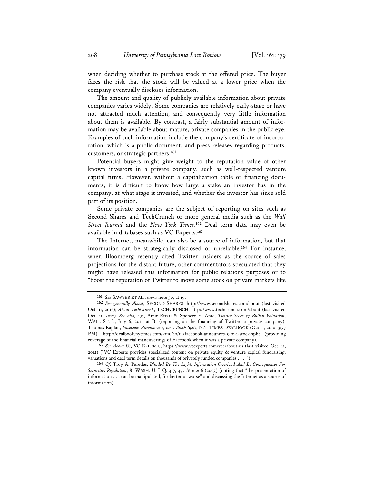when deciding whether to purchase stock at the offered price. The buyer faces the risk that the stock will be valued at a lower price when the company eventually discloses information.

The amount and quality of publicly available information about private companies varies widely. Some companies are relatively early-stage or have not attracted much attention, and consequently very little information about them is available. By contrast, a fairly substantial amount of information may be available about mature, private companies in the public eye. Examples of such information include the company's certificate of incorporation, which is a public document, and press releases regarding products, customers, or strategic partners.**<sup>161</sup>**

Potential buyers might give weight to the reputation value of other known investors in a private company, such as well-respected venture capital firms. However, without a capitalization table or financing documents, it is difficult to know how large a stake an investor has in the company, at what stage it invested, and whether the investor has since sold part of its position.

Some private companies are the subject of reporting on sites such as Second Shares and TechCrunch or more general media such as the *Wall Street Journal* and the *New York Times*. **<sup>162</sup>** Deal term data may even be available in databases such as VC Experts.**<sup>163</sup>**

The Internet, meanwhile, can also be a source of information, but that information can be strategically disclosed or unreliable.**<sup>164</sup>** For instance, when Bloomberg recently cited Twitter insiders as the source of sales projections for the distant future, other commentators speculated that they might have released this information for public relations purposes or to "boost the reputation of Twitter to move some stock on private markets like

**<sup>161</sup>** *See* SAWYER ET AL., *supra* note 30, at 19.

**<sup>162</sup>** *See generally About*, SECOND SHARES, http://www.secondshares.com/about (last visited Oct. 11, 2012); *About TechCrunch*, TECHCRUNCH, http://www.techcrunch.com/about (last visited Oct. 11, 2012). *See also, e.g.*, Amir Efrati & Spencer E. Ante, *Twitter Seeks \$7 Billion Valuation*, WALL ST. J., July 6, 2011, at B1 (reporting on the financing of Twitter, a private company); Thomas Kaplan, *Facebook Announces 5-for-1 Stock Split*, N.Y. TIMES DEALBOOK (Oct. 1, 2010, 3:37 PM), http://dealbook.nytimes.com/2010/10/01/facebook-announces-5-to-1-stock-split (providing coverage of the financial maneuverings of Facebook when it was a private company).

**<sup>163</sup>** *See About Us*, VC EXPERTS, https://www.vcexperts.com/vce/about-us (last visited Oct. 11, 2012) ("VC Experts provides specialized content on private equity & venture capital fundraising, valuations and deal term details on thousands of privately funded companies . . . .").

**<sup>164</sup>** *Cf.* Troy A. Paredes, *Blinded By The Light: Information Overload And Its Consequences For Securities Regulation*, 81 WASH. U. L.Q. 417, 475 & n.266 (2003) (noting that "the presentation of information . . . can be manipulated, for better or worse" and discussing the Internet as a source of information).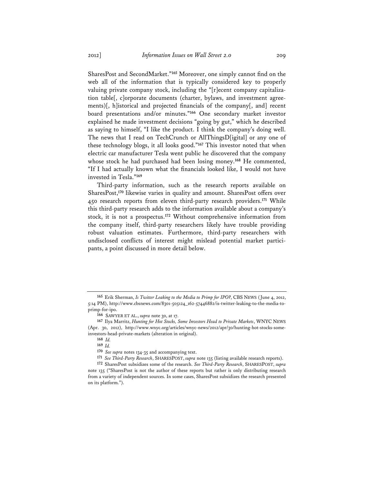SharesPost and SecondMarket."**<sup>165</sup>** Moreover, one simply cannot find on the web all of the information that is typically considered key to properly valuing private company stock, including the "[r]ecent company capitalization table[, c]orporate documents (charter, bylaws, and investment agreements)[, h]istorical and projected financials of the company[, and] recent board presentations and/or minutes."**<sup>166</sup>** One secondary market investor explained he made investment decisions "going by gut," which he described as saying to himself, "I like the product. I think the company's doing well. The news that I read on TechCrunch or AllThingsD[igital] or any one of these technology blogs, it all looks good."**<sup>167</sup>** This investor noted that when electric car manufacturer Tesla went public he discovered that the company whose stock he had purchased had been losing money.**<sup>168</sup>** He commented, "If I had actually known what the financials looked like, I would not have invested in Tesla."**<sup>169</sup>**

Third-party information, such as the research reports available on SharesPost,**<sup>170</sup>** likewise varies in quality and amount. SharesPost offers over 450 research reports from eleven third-party research providers.**<sup>171</sup>** While this third-party research adds to the information available about a company's stock, it is not a prospectus.**<sup>172</sup>** Without comprehensive information from the company itself, third-party researchers likely have trouble providing robust valuation estimates. Furthermore, third-party researchers with undisclosed conflicts of interest might mislead potential market participants, a point discussed in more detail below.

**171** *See Third-Party Research*, SHARESPOST, *supra* note 135 (listing available research reports).

**<sup>165</sup>** Erik Sherman, *Is Twitter Leaking to the Media to Primp for IPO?*, CBS NEWS (June 4, 2012, 5:14 PM), http://www.cbsnews.com/8301-505124\_162-57446882/is-twitter-leaking-to-the-media-toprimp-for-ipo.

**<sup>166</sup>** SAWYER ET AL., *supra* note 30, at 17.

**<sup>167</sup>** Ilya Marritz, *Hunting for Hot Stocks, Some Investors Head to Private Markets*, WNYC NEWS (Apr. 30, 2012), http://www.wnyc.org/articles/wnyc-news/2012/apr/30/hunting-hot-stocks-someinvestors-head-private-markets (alteration in original).

**<sup>168</sup>** *Id.* 

**<sup>169</sup>** *Id.*

**<sup>170</sup>** *See supra* notes 134-35 and accompanying text.

**<sup>172</sup>** SharesPost subsidizes some of the research. *See Third-Party Research*, SHARESPOST, *supra* note 135 ("SharesPost is not the author of these reports but rather is only distributing research from a variety of independent sources. In some cases, SharesPost subsidizes the research presented on its platform.").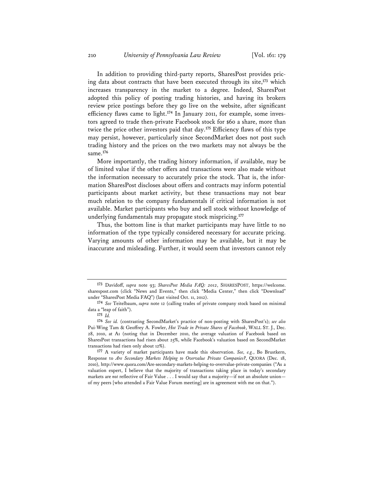In addition to providing third-party reports, SharesPost provides pricing data about contracts that have been executed through its site,**<sup>173</sup>** which increases transparency in the market to a degree. Indeed, SharesPost adopted this policy of posting trading histories, and having its brokers review price postings before they go live on the website, after significant efficiency flaws came to light.**174** In January 2011, for example, some investors agreed to trade then-private Facebook stock for \$60 a share, more than twice the price other investors paid that day.**<sup>175</sup>** Efficiency flaws of this type may persist, however, particularly since SecondMarket does not post such trading history and the prices on the two markets may not always be the same.**<sup>176</sup>**

More importantly, the trading history information, if available, may be of limited value if the other offers and transactions were also made without the information necessary to accurately price the stock. That is, the information SharesPost discloses about offers and contracts may inform potential participants about market activity, but these transactions may not bear much relation to the company fundamentals if critical information is not available. Market participants who buy and sell stock without knowledge of underlying fundamentals may propagate stock mispricing.**<sup>177</sup>**

Thus, the bottom line is that market participants may have little to no information of the type typically considered necessary for accurate pricing. Varying amounts of other information may be available, but it may be inaccurate and misleading. Further, it would seem that investors cannot rely

**<sup>173</sup>** Davidoff, *supra* note 93; *SharesPost Media FAQ: 2012*, SHARESPOST, https://welcome. sharespost.com (click "News and Events," then click "Media Center," then click "Download" under "SharesPost Media FAQ") (last visited Oct. 11, 2012).

**<sup>174</sup>** *See* Teitelbaum, *supra* note 12 (calling trades of private company stock based on minimal data a "leap of faith").

**<sup>175</sup>** *Id.*

**<sup>176</sup>** *See id.* (contrasting SecondMarket's practice of non-posting with SharesPost's); *see also* Pui-Wing Tam & Geoffrey A. Fowler, *Hot Trade in Private Shares of Facebook*, WALL ST. J., Dec. 28, 2010, at A1 (noting that in December 2010, the average valuation of Facebook based on SharesPost transactions had risen about 25%, while Facebook's valuation based on SecondMarket transactions had risen only about 12%).

**<sup>177</sup>** A variety of market participants have made this observation. *See, e.g.*, Bo Brustkern, Response to *Are Secondary Markets Helping to Overvalue Private Companies?*, QUORA (Dec. 18, 2010), http://www.quora.com/Are-secondary-markets-helping-to-overvalue-private-companies ("As a valuation expert, I believe that the majority of transactions taking place in today's secondary markets are *not* reflective of Fair Value . . . I would say that a majority—if not an absolute union of my peers [who attended a Fair Value Forum meeting] are in agreement with me on that.").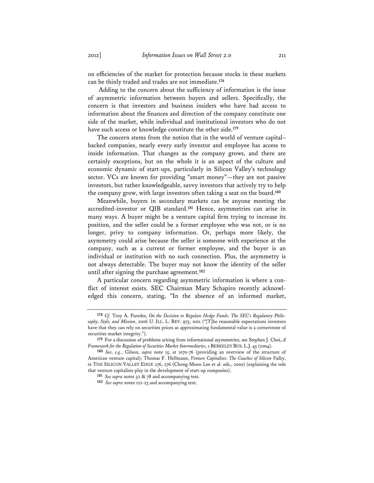on efficiencies of the market for protection because stocks in these markets can be thinly traded and trades are not immediate.**<sup>178</sup>**

 Adding to the concern about the sufficiency of information is the issue of asymmetric information between buyers and sellers. Specifically, the concern is that investors and business insiders who have had access to information about the finances and direction of the company constitute one side of the market, while individual and institutional investors who do not have such access or knowledge constitute the other side.**<sup>179</sup>**

The concern stems from the notion that in the world of venture capital– backed companies, nearly every early investor and employee has access to inside information. That changes as the company grows, and there are certainly exceptions, but on the whole it is an aspect of the culture and economic dynamic of start-ups, particularly in Silicon Valley's technology sector. VCs are known for providing "smart money"—they are not passive investors, but rather knowledgeable, savvy investors that actively try to help the company grow, with large investors often taking a seat on the board.**<sup>180</sup>**

Meanwhile, buyers in secondary markets can be anyone meeting the accredited-investor or QIB standard.**<sup>181</sup>** Hence, asymmetries can arise in many ways. A buyer might be a venture capital firm trying to increase its position, and the seller could be a former employee who was not, or is no longer, privy to company information. Or, perhaps more likely, the asymmetry could arise because the seller is someone with experience at the company, such as a current or former employee, and the buyer is an individual or institution with no such connection. Plus, the asymmetry is not always detectable. The buyer may not know the identity of the seller until after signing the purchase agreement.**<sup>182</sup>**

A particular concern regarding asymmetric information is where a conflict of interest exists. SEC Chairman Mary Schapiro recently acknowledged this concern, stating, "In the absence of an informed market,

**<sup>178</sup>** *Cf.* Troy A. Paredes, *On the Decision to Regulate Hedge Funds: The SEC's Regulatory Philosophy, Style, and Mission*, 2006 U. ILL. L. REV. 975, 1001 ("[T]he reasonable expectations investors have that they can rely on securities prices as approximating fundamental value is a cornerstone of securities market integrity.").

**<sup>179</sup>** For a discussion of problems arising from informational asymmetries, see Stephen J. Choi, *A Framework for the Regulation of Securities Market Intermediaries*, 1 BERKELEY BUS. L.J. 45 (2004).

**<sup>180</sup>** *See, e.g.*, Gilson, *supra* note 15, at 1070-76 (providing an overview of the structure of American venture capital); Thomas F. Hellmann, *Venture Capitalists: The Coaches of Silicon Valley*, *in* THE SILICON VALLEY EDGE 276, 276 (Chong-Moon Lee et al. eds., 2000) (explaining the role that venture capitalists play in the development of start-up companies).

**<sup>181</sup>** *See supra* notes 52 & 78 and accompanying text.

**<sup>182</sup>** *See supra* notes 122-23 and accompanying text.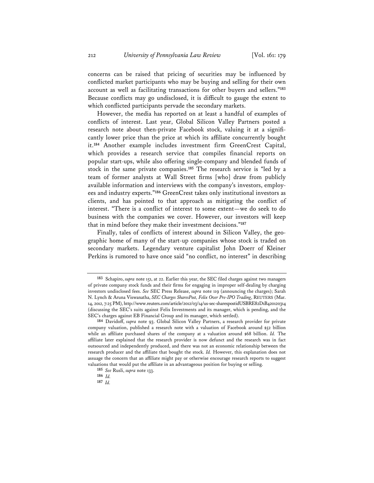concerns can be raised that pricing of securities may be influenced by conflicted market participants who may be buying and selling for their own account as well as facilitating transactions for other buyers and sellers."**<sup>183</sup>** Because conflicts may go undisclosed, it is difficult to gauge the extent to which conflicted participants pervade the secondary markets.

However, the media has reported on at least a handful of examples of conflicts of interest. Last year, Global Silicon Valley Partners posted a research note about then-private Facebook stock, valuing it at a significantly lower price than the price at which its affiliate concurrently bought it.**<sup>184</sup>** Another example includes investment firm GreenCrest Capital, which provides a research service that compiles financial reports on popular start-ups, while also offering single-company and blended funds of stock in the same private companies.**<sup>185</sup>** The research service is "led by a team of former analysts at Wall Street firms [who] draw from publicly available information and interviews with the company's investors, employees and industry experts."**<sup>186</sup>** GreenCrest takes only institutional investors as clients, and has pointed to that approach as mitigating the conflict of interest. "There is a conflict of interest to some extent—we do seek to do business with the companies we cover. However, our investors will keep that in mind before they make their investment decisions."**<sup>187</sup>**

Finally, tales of conflicts of interest abound in Silicon Valley, the geographic home of many of the start-up companies whose stock is traded on secondary markets. Legendary venture capitalist John Doerr of Kleiner Perkins is rumored to have once said "no conflict, no interest" in describing

**<sup>183</sup>** Schapiro, *supra* note 151, at 22. Earlier this year, the SEC filed charges against two managers of private company stock funds and their firms for engaging in improper self-dealing by charging investors undisclosed fees. *See* SEC Press Release, *supra* note 119 (announcing the charges); Sarah N. Lynch & Aruna Viswanatha, *SEC Charges SharesPost, Felix Over Pre-IPO Trading*, REUTERS (Mar. 14, 2012, 7:25 PM), http://www.reuters.com/article/2012/03/14/us-sec-sharespostidUSBRE82D1B420120314 (discussing the SEC's suits against Felix Investments and its manager, which is pending, and the SEC's charges against EB Financial Group and its manager, which settled).

**<sup>184</sup>** Davidoff, *supra* note 93. Global Silicon Valley Partners, a research provider for private company valuation, published a research note with a valuation of Facebook around \$52 billion while an affiliate purchased shares of the company at a valuation around \$68 billion. *Id.* The affiliate later explained that the research provider is now defunct and the research was in fact outsourced and independently produced, and there was not an economic relationship between the research producer and the affiliate that bought the stock. *Id.* However, this explanation does not assuage the concern that an affiliate might pay or otherwise encourage research reports to suggest valuations that would put the affiliate in an advantageous position for buying or selling.

**<sup>185</sup>** *See* Rusli, *supra* note 133.

**<sup>186</sup>** *Id.*

**<sup>187</sup>** *Id.*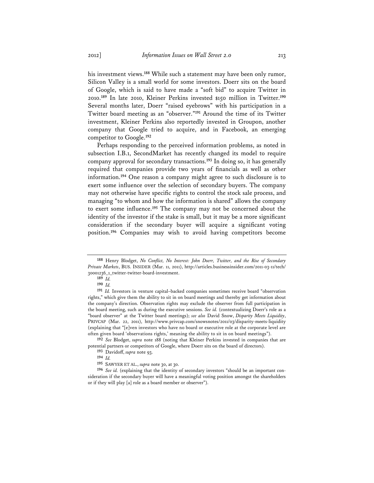his investment views.**<sup>188</sup>** While such a statement may have been only rumor, Silicon Valley is a small world for some investors. Doerr sits on the board of Google, which is said to have made a "soft bid" to acquire Twitter in 2010.**<sup>189</sup>** In late 2010, Kleiner Perkins invested \$150 million in Twitter.**<sup>190</sup>** Several months later, Doerr "raised eyebrows" with his participation in a Twitter board meeting as an "observer."**<sup>191</sup>** Around the time of its Twitter investment, Kleiner Perkins also reportedly invested in Groupon, another company that Google tried to acquire, and in Facebook, an emerging competitor to Google.**<sup>192</sup>**

Perhaps responding to the perceived information problems, as noted in subsection I.B.1, SecondMarket has recently changed its model to require company approval for secondary transactions.**<sup>193</sup>** In doing so, it has generally required that companies provide two years of financials as well as other information.**<sup>194</sup>** One reason a company might agree to such disclosure is to exert some influence over the selection of secondary buyers. The company may not otherwise have specific rights to control the stock sale process, and managing "to whom and how the information is shared" allows the company to exert some influence.**<sup>195</sup>** The company may not be concerned about the identity of the investor if the stake is small, but it may be a more significant consideration if the secondary buyer will acquire a significant voting position.**<sup>196</sup>** Companies may wish to avoid having competitors become

**190** *Id.* 

**<sup>188</sup>** Henry Blodget, *No Conflict, No Interest: John Doerr, Twitter, and the Rise of Secondary Private Markets*, BUS. INSIDER (Mar. 11, 2011), http://articles.businessinsider.com/2011-03-11/tech/ 30001236\_1\_twitter-twitter-board-investment.

**<sup>189</sup>** *Id.* 

**<sup>191</sup>** *Id.* Investors in venture capital–backed companies sometimes receive board "observation rights," which give them the ability to sit in on board meetings and thereby get information about the company's direction. Observation rights may exclude the observer from full participation in the board meeting, such as during the executive sessions. *See id.* (contextualizing Doerr's role as a "board observer" at the Twitter board meetings); *see also* David Snow, *Disparity Meets Liquidity*, PRIVCAP (Mar. 22, 2011), http://www.privcap.com/snowsnotes/2011/03/disparity-meets-liquidity (explaining that "[e]ven investors who have no board or executive role at the corporate level are often given board 'observations rights,' meaning the ability to sit in on board meetings").

**<sup>192</sup>** *See* Blodget, *supra* note 188 (noting that Kleiner Perkins invested in companies that are potential partners or competitors of Google, where Doerr sits on the board of directors).

**<sup>193</sup>** Davidoff, *supra* note 93.

**<sup>194</sup>** *Id.*

**<sup>195</sup>** SAWYER ET AL., *supra* note 30, at 30.

**<sup>196</sup>** *See id.* (explaining that the identity of secondary investors "should be an important consideration if the secondary buyer will have a meaningful voting position amongst the shareholders or if they will play [a] role as a board member or observer").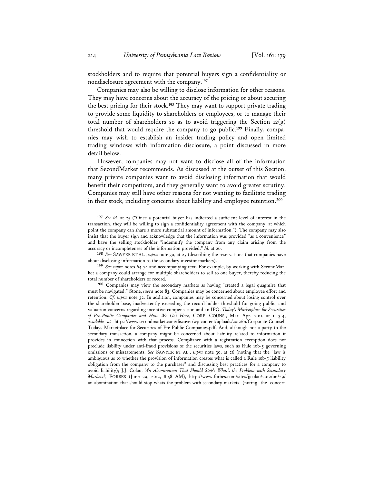stockholders and to require that potential buyers sign a confidentiality or nondisclosure agreement with the company.**<sup>197</sup>**

Companies may also be willing to disclose information for other reasons. They may have concerns about the accuracy of the pricing or about securing the best pricing for their stock.**<sup>198</sup>** They may want to support private trading to provide some liquidity to shareholders or employees, or to manage their total number of shareholders so as to avoid triggering the Section  $12(g)$ threshold that would require the company to go public.**199** Finally, companies may wish to establish an insider trading policy and open limited trading windows with information disclosure, a point discussed in more detail below.

However, companies may not want to disclose all of the information that SecondMarket recommends. As discussed at the outset of this Section, many private companies want to avoid disclosing information that would benefit their competitors, and they generally want to avoid greater scrutiny. Companies may still have other reasons for not wanting to facilitate trading in their stock, including concerns about liability and employee retention.**<sup>200</sup>**

**<sup>197</sup>** *See id.* at 25 ("Once a potential buyer has indicated a sufficient level of interest in the transaction, they will be willing to sign a confidentiality agreement with the company, at which point the company can share a more substantial amount of information."). The company may also insist that the buyer sign and acknowledge that the information was provided "as a convenience" and have the selling stockholder "indemnify the company from any claim arising from the accuracy or incompleteness of the information provided." *Id.* at 26.

**<sup>198</sup>** *See* SAWYER ET AL., *supra* note 30, at 25 (describing the reservations that companies have about disclosing information to the secondary investor markets).

**<sup>199</sup>** *See supra* notes 64-74 and accompanying text. For example, by working with SecondMarket a company could arrange for multiple shareholders to sell to one buyer, thereby reducing the total number of shareholders of record.

**<sup>200</sup>** Companies may view the secondary markets as having "created a legal quagmire that must be navigated." Stone, *supra* note 83. Companies may be concerned about employee effort and retention. *Cf. supra* note 32. In addition, companies may be concerned about losing control over the shareholder base, inadvertently exceeding the record-holder threshold for going public, and valuation concerns regarding incentive compensation and an IPO. *Today's Marketplace for Securities of Pre-Public Companies and How We Got Here*, CORP. COUNS., Mar.–Apr. 2011, at 1, 3-4, *available at* https://www.secondmarket.com/discover/wp-content/uploads/2012/01/Corporate-Counsel-Todays-Marketplace-for-Securities-of-Pre-Public-Companies.pdf. And, although not a party to the secondary transaction, a company might be concerned about liability related to information it provides in connection with that process. Compliance with a registration exemption does not preclude liability under anti-fraud provisions of the securities laws, such as Rule 10b-5 governing omissions or misstatements. *See* SAWYER ET AL., *supra* note 30, at 26 (noting that the "law is ambiguous as to whether the provision of information creates what is called a Rule 10b-5 liability obligation from the company to the purchaser" and discussing best practices for a company to avoid liability); J.J. Colao, *'An Abomination That Should Stop': What's the Problem with Secondary Markets?*, FORBES (June 29, 2012, 8:58 AM), http://www.forbes.com/sites/jjcolao/2012/06/29/ an-abomination-that-should-stop-whats-the-problem-with-secondary-markets (noting the concern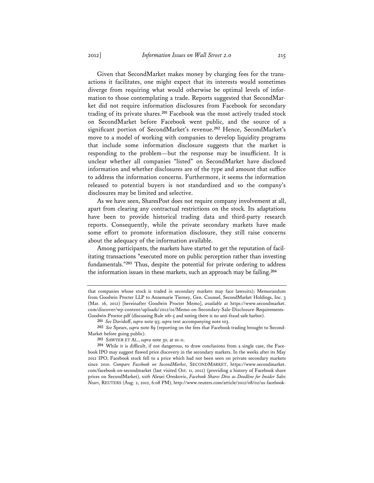Given that SecondMarket makes money by charging fees for the transactions it facilitates, one might expect that its interests would sometimes diverge from requiring what would otherwise be optimal levels of information to those contemplating a trade. Reports suggested that SecondMarket did not require information disclosures from Facebook for secondary trading of its private shares.**<sup>201</sup>** Facebook was the most actively traded stock on SecondMarket before Facebook went public, and the source of a significant portion of SecondMarket's revenue.**<sup>202</sup>** Hence, SecondMarket's move to a model of working with companies to develop liquidity programs that include some information disclosure suggests that the market is responding to the problem—but the response may be insufficient. It is unclear whether all companies "listed" on SecondMarket have disclosed information and whether disclosures are of the type and amount that suffice to address the information concerns. Furthermore, it seems the information released to potential buyers is not standardized and so the company's disclosures may be limited and selective.

As we have seen, SharesPost does not require company involvement at all, apart from clearing any contractual restrictions on the stock. Its adaptations have been to provide historical trading data and third-party research reports. Consequently, while the private secondary markets have made some effort to promote information disclosure, they still raise concerns about the adequacy of the information available.

Among participants, the markets have started to get the reputation of facilitating transactions "executed more on public perception rather than investing fundamentals."**<sup>203</sup>** Thus, despite the potential for private ordering to address the information issues in these markets, such an approach may be failing.**<sup>204</sup>**

that companies whose stock is traded in secondary markets may face lawsuits); Memorandum from Goodwin Procter LLP to Annemarie Tierney, Gen. Counsel, SecondMarket Holdings, Inc. 3 (Mar. 16, 2012) [hereinafter Goodwin Procter Memo], *available at* https://www.secondmarket. com/discover/wp-content/uploads/2012/01/Memo-on-Secondary-Sale-Disclosure-Requirements-Goodwin-Proctor.pdf (discussing Rule 10b-5 and noting there is no anti-fraud safe harbor).

**<sup>201</sup>** *See* Davidoff, *supra* note 93; *supra* text accompanying note 103.

**<sup>202</sup>** *See* Spears, *supra* note 89 (reporting on the fees that Facebook trading brought to Second-Market before going public).

**<sup>203</sup>** SAWYER ET AL., *supra* note 30, at 10-11.

**<sup>204</sup>** While it is difficult, if not dangerous, to draw conclusions from a single case, the Facebook IPO may suggest flawed price discovery in the secondary markets. In the weeks after its May 2012 IPO, Facebook stock fell to a price which had not been seen on private secondary markets since 2010. *Compare Facebook on SecondMarket*, SECONDMARKET, https://www.secondmarket. com/facebook-on-secondmarket (last visited Oct. 11, 2012) (providing a history of Facebook share prices on SecondMarket), *with* Alexei Oreskovic, *Facebook Shares Dive as Deadline for Insider Sales Nears*, REUTERS (Aug. 2, 2012, 6:08 PM), http://www.reuters.com/article/2012/08/02/us-facebook-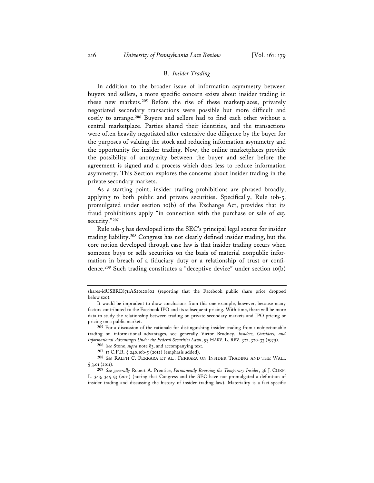### B. *Insider Trading*

In addition to the broader issue of information asymmetry between buyers and sellers, a more specific concern exists about insider trading in these new markets.**<sup>205</sup>** Before the rise of these marketplaces, privately negotiated secondary transactions were possible but more difficult and costly to arrange.**<sup>206</sup>** Buyers and sellers had to find each other without a central marketplace. Parties shared their identities, and the transactions were often heavily negotiated after extensive due diligence by the buyer for the purposes of valuing the stock and reducing information asymmetry and the opportunity for insider trading. Now, the online marketplaces provide the possibility of anonymity between the buyer and seller before the agreement is signed and a process which does less to reduce information asymmetry. This Section explores the concerns about insider trading in the private secondary markets.

As a starting point, insider trading prohibitions are phrased broadly, applying to both public and private securities. Specifically, Rule 10b-5, promulgated under section 10(b) of the Exchange Act, provides that its fraud prohibitions apply "in connection with the purchase or sale of *any* security."**<sup>207</sup>**

Rule 10b-5 has developed into the SEC's principal legal source for insider trading liability.**<sup>208</sup>** Congress has not clearly defined insider trading, but the core notion developed through case law is that insider trading occurs when someone buys or sells securities on the basis of material nonpublic information in breach of a fiduciary duty or a relationship of trust or confidence.**<sup>209</sup>** Such trading constitutes a "deceptive device" under section 10(b)

shares-idUSBRE8711AS20120802 (reporting that the Facebook public share price dropped below \$20).

It would be imprudent to draw conclusions from this one example, however, because many factors contributed to the Facebook IPO and its subsequent pricing. With time, there will be more data to study the relationship between trading on private secondary markets and IPO pricing or pricing on a public market.

**<sup>205</sup>** For a discussion of the rationale for distinguishing insider trading from unobjectionable trading on informational advantages, see generally Victor Brudney, *Insiders, Outsiders, and Informational Advantages Under the Federal Securities Laws*, 93 HARV. L. REV. 322, 329-33 (1979).

**<sup>206</sup>** *See* Stone, *supra* note 83, and accompanying text.

**<sup>207</sup>** 17 C.F.R. § 240.10b-5 (2012) (emphasis added).

**<sup>208</sup>** *See* RALPH C. FERRARA ET AL., FERRARA ON INSIDER TRADING AND THE WALL § 3.01 (2011).

**<sup>209</sup>** *See generally* Robert A. Prentice, *Permanently Reviving the Temporary Insider*, 36 J. CORP. L. 343, 345-53 (2011) (noting that Congress and the SEC have not promulgated a definition of insider trading and discussing the history of insider trading law). Materiality is a fact-specific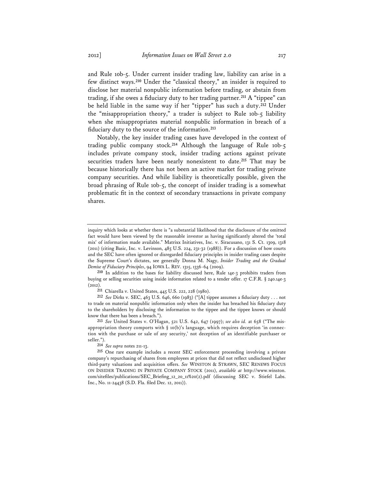and Rule 10b-5. Under current insider trading law, liability can arise in a few distinct ways.**<sup>210</sup>** Under the "classical theory," an insider is required to disclose her material nonpublic information before trading, or abstain from trading, if she owes a fiduciary duty to her trading partner.**<sup>211</sup>** A "tippee" can be held liable in the same way if her "tipper" has such a duty.**<sup>212</sup>** Under the "misappropriation theory," a trader is subject to Rule 10b-5 liability when she misappropriates material nonpublic information in breach of a fiduciary duty to the source of the information.**<sup>213</sup>**

Notably, the key insider trading cases have developed in the context of trading public company stock.**<sup>214</sup>** Although the language of Rule 10b-5 includes private company stock, insider trading actions against private securities traders have been nearly nonexistent to date.**<sup>215</sup>** That may be because historically there has not been an active market for trading private company securities. And while liability is theoretically possible, given the broad phrasing of Rule 10b-5, the concept of insider trading is a somewhat problematic fit in the context of secondary transactions in private company shares.

**210** In addition to the bases for liability discussed here, Rule 14e-3 prohibits traders from buying or selling securities using inside information related to a tender offer. 17 C.F.R. § 240.14e-3 (2012).

**211** Chiarella v. United States, 445 U.S. 222, 228 (1980).

**212** *See* Dirks v. SEC, 463 U.S. 646, 660 (1983) ("[A] tippee assumes a fiduciary duty . . . not to trade on material nonpublic information only when the insider has breached his fiduciary duty to the shareholders by disclosing the information to the tippee and the tippee knows or should know that there has been a breach.").

**213** *See* United States v. O'Hagan, 521 U.S. 642, 647 (1997); *see also id.* at 658 ("The misappropriation theory comports with  $\S$  10(b)'s language, which requires deception 'in connection with the purchase or sale of any security,' not deception of an identifiable purchaser or seller.").

**214** *See supra* notes 211-13.

**215** One rare example includes a recent SEC enforcement proceeding involving a private company's repurchasing of shares from employees at prices that did not reflect undisclosed higher third-party valuations and acquisition offers. *See* WINSTON & STRAWN, SEC RENEWS FOCUS ON INSIDER TRADING IN PRIVATE COMPANY STOCK (2011), *available at* http://www.winston. com/sitefiles/publications/SEC\_Briefing\_12\_20\_11%20(2).pdf (discussing SEC v. Stiefel Labs. Inc., No. 11-24438 (S.D. Fla. filed Dec. 12, 2011)).

inquiry which looks at whether there is "a substantial likelihood that the disclosure of the omitted fact would have been viewed by the reasonable investor as having significantly altered the 'total mix' of information made available." Matrixx Initiatives, Inc. v. Siracusano, 131 S. Ct. 1309, 1318 (2011) (citing Basic, Inc. v. Levinson, 485 U.S. 224, 231-32 (1988)). For a discussion of how courts and the SEC have often ignored or disregarded fiduciary principles in insider trading cases despite the Supreme Court's dictates, see generally Donna M. Nagy, *Insider Trading and the Gradual Demise of Fiduciary Principles*, 94 IOWA L. REV. 1315, 1336-64 (2009).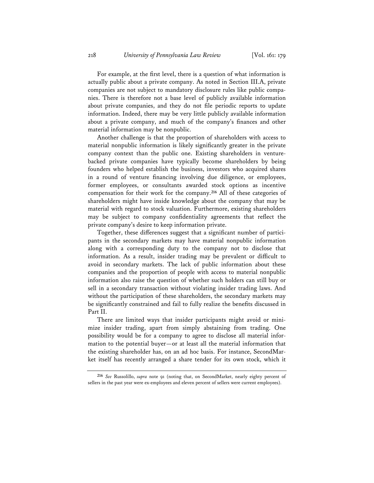For example, at the first level, there is a question of what information is actually public about a private company. As noted in Section III.A, private companies are not subject to mandatory disclosure rules like public companies. There is therefore not a base level of publicly available information about private companies, and they do not file periodic reports to update information. Indeed, there may be very little publicly available information about a private company, and much of the company's finances and other material information may be nonpublic.

Another challenge is that the proportion of shareholders with access to material nonpublic information is likely significantly greater in the private company context than the public one. Existing shareholders in venturebacked private companies have typically become shareholders by being founders who helped establish the business, investors who acquired shares in a round of venture financing involving due diligence, or employees, former employees, or consultants awarded stock options as incentive compensation for their work for the company.**<sup>216</sup>** All of these categories of shareholders might have inside knowledge about the company that may be material with regard to stock valuation. Furthermore, existing shareholders may be subject to company confidentiality agreements that reflect the private company's desire to keep information private.

Together, these differences suggest that a significant number of participants in the secondary markets may have material nonpublic information along with a corresponding duty to the company not to disclose that information. As a result, insider trading may be prevalent or difficult to avoid in secondary markets. The lack of public information about these companies and the proportion of people with access to material nonpublic information also raise the question of whether such holders can still buy or sell in a secondary transaction without violating insider trading laws. And without the participation of these shareholders, the secondary markets may be significantly constrained and fail to fully realize the benefits discussed in Part II.

There are limited ways that insider participants might avoid or minimize insider trading, apart from simply abstaining from trading. One possibility would be for a company to agree to disclose all material information to the potential buyer—or at least all the material information that the existing shareholder has, on an ad hoc basis. For instance, SecondMarket itself has recently arranged a share tender for its own stock, which it

**<sup>216</sup>** *See* Russolillo, *supra* note 91 (noting that, on SecondMarket, nearly eighty percent of sellers in the past year were ex-employees and eleven percent of sellers were current employees).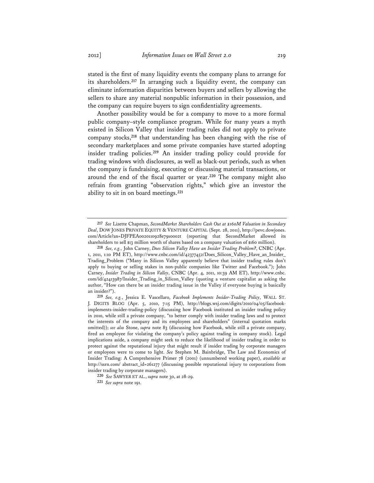stated is the first of many liquidity events the company plans to arrange for its shareholders.**<sup>217</sup>** In arranging such a liquidity event, the company can eliminate information disparities between buyers and sellers by allowing the sellers to share any material nonpublic information in their possession, and the company can require buyers to sign confidentiality agreements.

Another possibility would be for a company to move to a more formal public company–style compliance program. While for many years a myth existed in Silicon Valley that insider trading rules did not apply to private company stocks,**<sup>218</sup>** that understanding has been changing with the rise of secondary marketplaces and some private companies have started adopting insider trading policies.**<sup>219</sup>** An insider trading policy could provide for trading windows with disclosures, as well as black-out periods, such as when the company is fundraising, executing or discussing material transactions, or around the end of the fiscal quarter or year.**<sup>220</sup>** The company might also refrain from granting "observation rights," which give an investor the ability to sit in on board meetings.**<sup>221</sup>**

**<sup>217</sup>** *See* Lizette Chapman, *SecondMarket Shareholders Cash Out at \$160M Valuation in Secondary Deal*, DOW JONES PRIVATE EQUITY & VENTURE CAPITAL (Sept. 28, 2011), http://pevc.dowjones. com/Article?an=DJFPEA0020110928e79s0002t (reporting that SecondMarket allowed its shareholders to sell \$13 million worth of shares based on a company valuation of \$160 million).

**<sup>218</sup>** *See, e.g.,* John Carney, *Does Silicon Valley Have an Insider Trading Problem?*, CNBC (Apr. 1, 2011, 1:10 PM ET), http://www.cnbc.com/id/42377452/Does\_Silicon\_Valley\_Have\_an\_Insider\_ Trading\_Problem ("Many in Silicon Valley apparently believe that insider trading rules don't apply to buying or selling stakes in non-public companies like Twitter and Facebook."); John Carney, *Insider Trading in Silicon Valley*, CNBC (Apr. 4, 2011, 10:39 AM ET), http://www.cnbc. com/id/42413987/Insider\_Trading\_in\_Silicon\_Valley (quoting a venture capitalist as asking the author, "How can there be an insider trading issue in the Valley if everyone buying is basically an insider?").

**<sup>219</sup>** *See, e.g.*, Jessica E. Vascellaro, *Facebook Implements Insider-Trading Policy*, WALL ST. J. DIGITS BLOG (Apr. 5, 2010, 7:15 PM), http://blogs.wsj.com/digits/2010/04/05/facebookimplements-insider-trading-policy (discussing how Facebook instituted an insider trading policy in 2010, while still a private company, "to better comply with insider trading laws and to protect the interests of the company and its employees and shareholders" (internal quotation marks omitted)); *see also* Stone, *supra* note 83 (discussing how Facebook, while still a private company, fired an employee for violating the company's policy against trading in company stock). Legal implications aside, a company might seek to reduce the likelihood of insider trading in order to protect against the reputational injury that might result if insider trading by corporate managers or employees were to come to light. *See* Stephen M. Bainbridge, The Law and Economics of Insider Trading: A Comprehensive Primer 78 (2001) (unnumbered working paper), *available at* http://ssrn.com/ abstract\_id=261277 (discussing possible reputational injury to corporations from insider trading by corporate managers).

**<sup>220</sup>** *See* SAWYER ET AL., *supra* note 30, at 28-29.

**<sup>221</sup>** *See supra* note 191.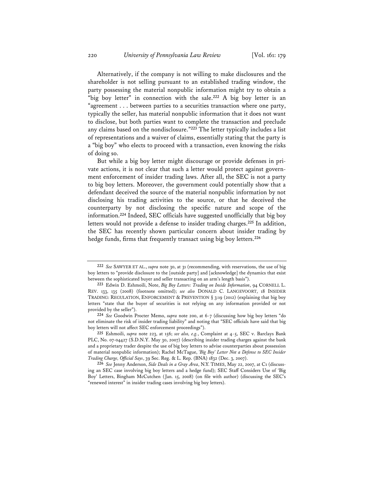Alternatively, if the company is not willing to make disclosures and the shareholder is not selling pursuant to an established trading window, the party possessing the material nonpublic information might try to obtain a "big boy letter" in connection with the sale.**<sup>222</sup>** A big boy letter is an "agreement . . . between parties to a securities transaction where one party, typically the seller, has material nonpublic information that it does not want to disclose, but both parties want to complete the transaction and preclude any claims based on the nondisclosure."**<sup>223</sup>** The letter typically includes a list of representations and a waiver of claims, essentially stating that the party is a "big boy" who elects to proceed with a transaction, even knowing the risks of doing so.

But while a big boy letter might discourage or provide defenses in private actions, it is not clear that such a letter would protect against government enforcement of insider trading laws. After all, the SEC is not a party to big boy letters. Moreover, the government could potentially show that a defendant deceived the source of the material nonpublic information by not disclosing his trading activities to the source, or that he deceived the counterparty by not disclosing the specific nature and scope of the information.**<sup>224</sup>** Indeed, SEC officials have suggested unofficially that big boy letters would not provide a defense to insider trading charges.**<sup>225</sup>** In addition, the SEC has recently shown particular concern about insider trading by hedge funds, firms that frequently transact using big boy letters.**<sup>226</sup>**

**<sup>222</sup>** *See* SAWYER ET AL., *supra* note 30, at 31 (recommending, with reservations, the use of big boy letters to "provide disclosure to the [outside party] and [acknowledge] the dynamics that exist between the sophisticated buyer and seller transacting on an arm's length basis").

**<sup>223</sup>** Edwin D. Eshmoili, Note, *Big Boy Letters: Trading on Inside Information*, 94 CORNELL L. REV. 133, 135 (2008) (footnote omitted); *see also* DONALD C. LANGEVOORT, 18 INSIDER TRADING: REGULATION, ENFORCEMENT & PREVENTION § 3:19 (2012) (explaining that big boy letters "state that the buyer of securities is not relying on any information provided or not provided by the seller").

**<sup>224</sup>** *See* Goodwin Procter Memo, *supra* note 200, at 6-7 (discussing how big boy letters "do not eliminate the risk of insider trading liability" and noting that "SEC officials have said that big boy letters will not affect SEC enforcement proceedings").

**<sup>225</sup>** Eshmoili, *supra* note 223, at 156; *see also, e.g.*, Complaint at 4-5, SEC v. Barclays Bank PLC, No. 07-04427 (S.D.N.Y. May 30, 2007) (describing insider trading charges against the bank and a proprietary trader despite the use of big boy letters to advise counterparties about possession of material nonpublic information); Rachel McTague, *'Big Boy' Letter Not a Defense to SEC Insider Trading Charge, Official Says*, 39 Sec. Reg. & L. Rep. (BNA) 1832 (Dec. 3, 2007).

**<sup>226</sup>** *See* Jenny Anderson, *Side Deals in a Gray Area*, N.Y. TIMES, May 22, 2007, at C1 (discussing an SEC case involving big boy letters and a hedge fund); SEC Staff Considers Use of 'Big Boy' Letters, Bingham McCutchen (Jan. 15, 2008) (on file with author) (discussing the SEC's "renewed interest" in insider trading cases involving big boy letters).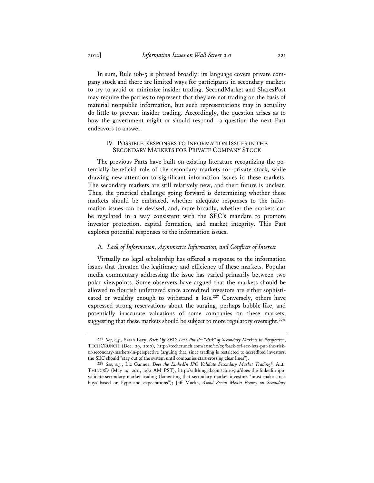In sum, Rule 10b-5 is phrased broadly; its language covers private company stock and there are limited ways for participants in secondary markets to try to avoid or minimize insider trading. SecondMarket and SharesPost may require the parties to represent that they are not trading on the basis of material nonpublic information, but such representations may in actuality do little to prevent insider trading. Accordingly, the question arises as to how the government might or should respond—a question the next Part endeavors to answer.

### IV. POSSIBLE RESPONSES TO INFORMATION ISSUES IN THE SECONDARY MARKETS FOR PRIVATE COMPANY STOCK

The previous Parts have built on existing literature recognizing the potentially beneficial role of the secondary markets for private stock, while drawing new attention to significant information issues in these markets. The secondary markets are still relatively new, and their future is unclear. Thus, the practical challenge going forward is determining whether these markets should be embraced, whether adequate responses to the information issues can be devised, and, more broadly, whether the markets can be regulated in a way consistent with the SEC's mandate to promote investor protection, capital formation, and market integrity. This Part explores potential responses to the information issues.

### A. *Lack of Information, Asymmetric Information, and Conflicts of Interest*

Virtually no legal scholarship has offered a response to the information issues that threaten the legitimacy and efficiency of these markets. Popular media commentary addressing the issue has varied primarily between two polar viewpoints. Some observers have argued that the markets should be allowed to flourish unfettered since accredited investors are either sophisticated or wealthy enough to withstand a loss.**<sup>227</sup>** Conversely, others have expressed strong reservations about the surging, perhaps bubble-like, and potentially inaccurate valuations of some companies on these markets, suggesting that these markets should be subject to more regulatory oversight.**<sup>228</sup>**

**<sup>227</sup>** *See, e.g.*, Sarah Lacy, *Back Off SEC: Let's Put the "Risk" of Secondary Markets in Perspective*, TECHCRUNCH (Dec. 29, 2010), http://techcrunch.com/2010/12/29/back-off-sec-lets-put-the-riskof-secondary-markets-in-perspective (arguing that, since trading is restricted to accredited investors, the SEC should "stay out of the system until companies start crossing clear lines").

**<sup>228</sup>** *See, e.g.*, Liz Gannes, *Does the LinkedIn IPO Validate Secondary Market Trading?*, ALL-THINGSD (May 19, 2011, 1:00 AM PST), http://allthingsd.com/20110519/does-the-linkedin-ipovalidate-secondary-market-trading (lamenting that secondary market investors "must make stock buys based on hype and expectations"); Jeff Macke, *Avoid Social Media Frenzy on Secondary*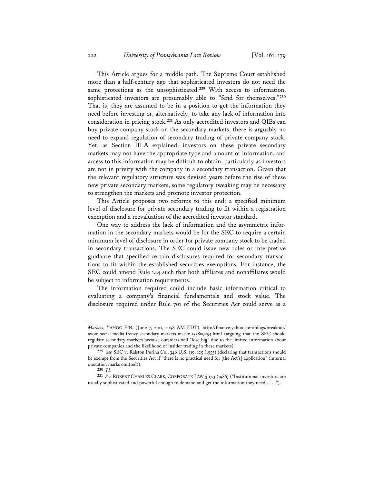This Article argues for a middle path. The Supreme Court established more than a half-century ago that sophisticated investors do not need the same protections as the unsophisticated.**<sup>229</sup>** With access to information, sophisticated investors are presumably able to "fend for themselves."**<sup>230</sup>** That is, they are assumed to be in a position to get the information they need before investing or, alternatively, to take any lack of information into consideration in pricing stock.**<sup>231</sup>** As only accredited investors and QIBs can buy private company stock on the secondary markets, there is arguably no need to expand regulation of secondary trading of private company stock. Yet, as Section III.A explained, investors on these private secondary markets may not have the appropriate type and amount of information, and access to this information may be difficult to obtain, particularly as investors are not in privity with the company in a secondary transaction. Given that the relevant regulatory structure was devised years before the rise of these new private secondary markets, some regulatory tweaking may be necessary to strengthen the markets and promote investor protection.

This Article proposes two reforms to this end: a specified minimum level of disclosure for private secondary trading to fit within a registration exemption and a reevaluation of the accredited investor standard.

One way to address the lack of information and the asymmetric information in the secondary markets would be for the SEC to require a certain minimum level of disclosure in order for private company stock to be traded in secondary transactions. The SEC could issue new rules or interpretive guidance that specified certain disclosures required for secondary transactions to fit within the established securities exemptions. For instance, the SEC could amend Rule 144 such that both affiliates and nonaffiliates would be subject to information requirements.

The information required could include basic information critical to evaluating a company's financial fundamentals and stock value. The disclosure required under Rule 701 of the Securities Act could serve as a

**230** *Id.*

**231** *See* ROBERT CHARLES CLARK, CORPORATE LAW § 17.3 (1986) ("Institutional investors are usually sophisticated and powerful enough to demand and get the information they need . . . .").

*Markets*, YAHOO FIN. (June 7, 2011, 11:58 AM EDT), http://finance.yahoo.com/blogs/breakout/ avoid-social-media-frenzy-secondary-markets-macke-155809254.html (arguing that the SEC should regulate secondary markets because outsiders will "lose big" due to the limited information about private companies and the likelihood of insider trading in these markets).

**<sup>229</sup>** *See* SEC v. Ralston Purina Co., 346 U.S. 119, 125 (1953) (declaring that transactions should be exempt from the Securities Act if "there is no practical need for [the Act's] application" (internal quotation marks omitted)).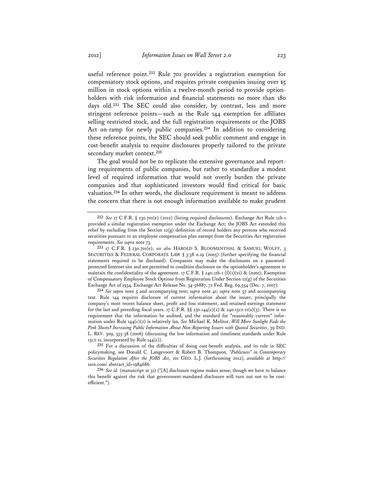useful reference point.**<sup>232</sup>** Rule 701 provides a registration exemption for compensatory stock options, and requires private companies issuing over \$5 million in stock options within a twelve-month period to provide optionholders with risk information and financial statements no more than 180 days old.**<sup>233</sup>** The SEC could also consider, by contrast, less and more stringent reference points—such as the Rule 144 exemption for affiliates selling restricted stock, and the full registration requirements or the JOBS Act on-ramp for newly public companies.**<sup>234</sup>** In addition to considering these reference points, the SEC should seek public comment and engage in cost-benefit analysis to require disclosures properly tailored to the private secondary market context.**<sup>235</sup>**

The goal would not be to replicate the extensive governance and reporting requirements of public companies, but rather to standardize a modest level of required information that would not overly burden the private companies and that sophisticated investors would find critical for basic valuation.**<sup>236</sup>** In other words, the disclosure requirement is meant to address the concern that there is not enough information available to make prudent

**234** *See supra* note 5 and accompanying text; *supra* note 41; *supra* note 57 and accompanying text. Rule 144 requires disclosure of current information about the issuer, principally the company's most recent balance sheet, profit and loss statement, and retained earnings statement for the last and preceding fiscal years. 17 C.F.R.  $\S$  230.144(c)(2) & 240.15c2-11(a)(5). There is no requirement that the information be audited, and the standard for "reasonably current" information under Rule 144(c)(2) is relatively lax. *See* Michael K. Molitor, *Will More Sunlight Fade the Pink Sheets? Increasing Public Information About Non-Reporting Issuers with Quoted Securities*, 39 IND. L. REV. 309, 335-38 (2006) (discussing the low information and timeliness standards under Rule 15c2-11, incorporated by Rule  $144(c)$ ).

**235** For a discussion of the difficulties of doing cost-benefit analysis, and its role in SEC policymaking, see Donald C. Langevoort & Robert B. Thompson, *"Publicness" in Contemporary Securities Regulation After the JOBS Act*, 101 GEO. L.J. (forthcoming 2012), *available at* http:// ssrn.com/ abstract\_id=1984686.

**236** *See id.* (manuscript at 31) ("[A] disclosure regime makes sense, though we have to balance this benefit against the risk that government-mandated disclosure will turn out not to be costefficient.").

**<sup>232</sup>** *See* 17 C.F.R. § 230.701(e) (2012) (listing required disclosures). Exchange Act Rule 12h-1 provided a similar registration exemption under the Exchange Act; the JOBS Act extended this relief by excluding from the Section 12(g) definition of record holders any persons who received securities pursuant to an employee compensation plan exempt from the Securities Act registration requirements. *See supra* note 73.

**<sup>233</sup>** 17 C.F.R. § 230.701(e); *see also* HAROLD S. BLOOMENTHAL & SAMUEL WOLFF, 3 SECURITIES & FEDERAL CORPORATE LAW § 3:38 n.19 (2005) (further specifying the financial statements required to be disclosed). Companies may make the disclosures on a passwordprotected Internet site and are permitted to condition disclosure on the optionholder's agreement to maintain the confidentiality of the agreement. 17 C.F.R. § 240.12h-1 (f)(1)(vi) & (note); Exemption of Compensatory Employee Stock Options from Registration Under Section 12(g) of the Securities Exchange Act of 1934, Exchange Act Release No. 34-56887, 72 Fed. Reg. 69,554 (Dec. 7, 2007).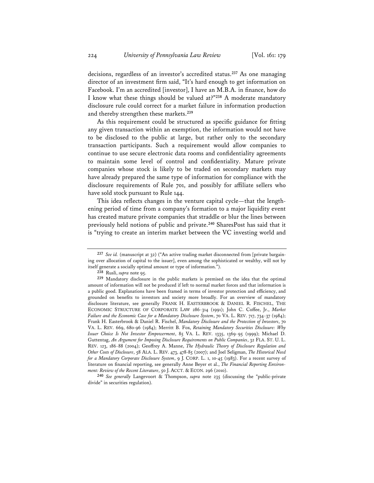decisions, regardless of an investor's accredited status.**<sup>237</sup>** As one managing director of an investment firm said, "It's hard enough to get information on Facebook. I'm an accredited [investor], I have an M.B.A. in finance, how do I know what these things should be valued at?"**<sup>238</sup>** A moderate mandatory disclosure rule could correct for a market failure in information production and thereby strengthen these markets.**<sup>239</sup>**

As this requirement could be structured as specific guidance for fitting any given transaction within an exemption, the information would not have to be disclosed to the public at large, but rather only to the secondary transaction participants. Such a requirement would allow companies to continue to use secure electronic data rooms and confidentiality agreements to maintain some level of control and confidentiality. Mature private companies whose stock is likely to be traded on secondary markets may have already prepared the same type of information for compliance with the disclosure requirements of Rule 701, and possibly for affiliate sellers who have sold stock pursuant to Rule 144.

This idea reflects changes in the venture capital cycle—that the lengthening period of time from a company's formation to a major liquidity event has created mature private companies that straddle or blur the lines between previously held notions of public and private.**<sup>240</sup>** SharesPost has said that it is "trying to create an interim market between the VC investing world and

**<sup>237</sup>** *See id.* (manuscript at 32) ("An active trading market disconnected from [private bargaining over allocation of capital to the issuer], even among the sophisticated or wealthy, will not by itself generate a socially optimal amount or type of information.").

**<sup>238</sup>** Rusli, *supra* note 95.

**<sup>239</sup>** Mandatory disclosure in the public markets is premised on the idea that the optimal amount of information will not be produced if left to normal market forces and that information is a public good. Explanations have been framed in terms of investor protection and efficiency, and grounded on benefits to investors and society more broadly. For an overview of mandatory disclosure literature, see generally FRANK H. EASTERBROOK & DANIEL R. FISCHEL, THE ECONOMIC STRUCTURE OF CORPORATE LAW 286-314 (1991); John C. Coffee, Jr., *Market Failure and the Economic Case for a Mandatory Disclosure System*, 70 VA. L. REV. 717, 734-37 (1984); Frank H. Easterbrook & Daniel R. Fischel, *Mandatory Disclosure and the Protection of Investors*, 70 VA. L. REV. 669, 680-96 (1984); Merritt B. Fox, *Retaining Mandatory Securities Disclosure: Why Issuer Choice Is Not Investor Empowerment*, 85 VA. L. REV. 1335, 1369-95 (1999); Michael D. Guttentag, *An Argument for Imposing Disclosure Requirements on Public Companies*, 32 FLA. ST. U. L. REV. 123, 186-88 (2004); Geoffrey A. Manne, *The Hydraulic Theory of Disclosure Regulation and Other Costs of Disclosure*, 58 ALA. L. REV. 473, 478-85 (2007); and Joel Seligman, *The Historical Need for a Mandatory Corporate Disclosure System*, 9 J. CORP. L. 1, 10-45 (1983). For a recent survey of literature on financial reporting, see generally Anne Beyer et al., *The Financial Reporting Environment: Review of the Recent Literature*, 50 J. ACCT. & ECON. 296 (2010).

**<sup>240</sup>** *See generally* Langevoort & Thompson, *supra* note 235 (discussing the "public-private divide" in securities regulation).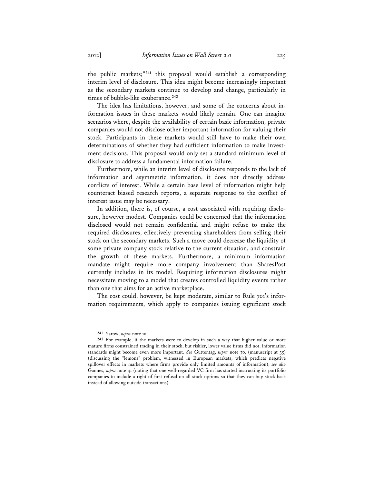the public markets;"**<sup>241</sup>** this proposal would establish a corresponding interim level of disclosure. This idea might become increasingly important as the secondary markets continue to develop and change, particularly in times of bubble-like exuberance.**<sup>242</sup>**

The idea has limitations, however, and some of the concerns about information issues in these markets would likely remain. One can imagine scenarios where, despite the availability of certain basic information, private companies would not disclose other important information for valuing their stock. Participants in these markets would still have to make their own determinations of whether they had sufficient information to make investment decisions. This proposal would only set a standard minimum level of disclosure to address a fundamental information failure.

Furthermore, while an interim level of disclosure responds to the lack of information and asymmetric information, it does not directly address conflicts of interest. While a certain base level of information might help counteract biased research reports, a separate response to the conflict of interest issue may be necessary.

In addition, there is, of course, a cost associated with requiring disclosure, however modest. Companies could be concerned that the information disclosed would not remain confidential and might refuse to make the required disclosures, effectively preventing shareholders from selling their stock on the secondary markets. Such a move could decrease the liquidity of some private company stock relative to the current situation, and constrain the growth of these markets. Furthermore, a minimum information mandate might require more company involvement than SharesPost currently includes in its model. Requiring information disclosures might necessitate moving to a model that creates controlled liquidity events rather than one that aims for an active marketplace.

The cost could, however, be kept moderate, similar to Rule 701's information requirements, which apply to companies issuing significant stock

**<sup>241</sup>** Yarow, *supra* note 10.

**<sup>242</sup>** For example, if the markets were to develop in such a way that higher value or more mature firms constrained trading in their stock, but riskier, lower value firms did not, information standards might become even more important. *See* Guttentag, *supra* note 70, (manuscript at 35) (discussing the "lemons" problem, witnessed in European markets, which predicts negative spillover effects in markets where firms provide only limited amounts of information); *see also* Gannes, *supra* note 41 (noting that one well-regarded VC firm has started instructing its portfolio companies to include a right of first refusal on all stock options so that they can buy stock back instead of allowing outside transactions).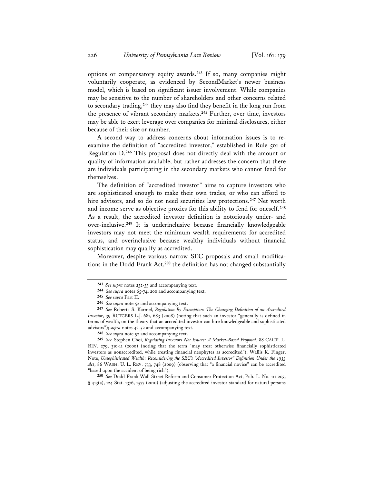options or compensatory equity awards.**<sup>243</sup>** If so, many companies might voluntarily cooperate, as evidenced by SecondMarket's newer business model, which is based on significant issuer involvement. While companies may be sensitive to the number of shareholders and other concerns related to secondary trading,**<sup>244</sup>** they may also find they benefit in the long run from the presence of vibrant secondary markets.**<sup>245</sup>** Further, over time, investors may be able to exert leverage over companies for minimal disclosures, either because of their size or number.

A second way to address concerns about information issues is to reexamine the definition of "accredited investor," established in Rule 501 of Regulation D.**<sup>246</sup>** This proposal does not directly deal with the amount or quality of information available, but rather addresses the concern that there are individuals participating in the secondary markets who cannot fend for themselves.

The definition of "accredited investor" aims to capture investors who are sophisticated enough to make their own trades, or who can afford to hire advisors, and so do not need securities law protections.**<sup>247</sup>** Net worth and income serve as objective proxies for this ability to fend for oneself.**<sup>248</sup>** As a result, the accredited investor definition is notoriously under- and over-inclusive.**<sup>249</sup>** It is underinclusive because financially knowledgeable investors may not meet the minimum wealth requirements for accredited status, and overinclusive because wealthy individuals without financial sophistication may qualify as accredited.

Moreover, despite various narrow SEC proposals and small modifications in the Dodd-Frank Act,**<sup>250</sup>** the definition has not changed substantially

**248** *See supra* note 52 and accompanying text.

**249** *See* Stephen Choi, *Regulating Investors Not Issuers: A Market-Based Proposal*, 88 CALIF. L. REV. 279, 310-11 (2000) (noting that the term "may treat otherwise financially sophisticated investors as nonaccredited, while treating financial neophytes as accredited"); Wallis K. Finger, Note, *Unsophisticated Wealth: Reconsidering the SEC's "Accredited Investor" Definition Under the 1933 Act*, 86 WASH. U. L. REV. 733, 748 (2009) (observing that "a financial novice" can be accredited "based upon the accident of being rich").

**250** *See* Dodd-Frank Wall Street Reform and Consumer Protection Act, Pub. L. No. 111-203, § 413(a), 124 Stat. 1376, 1577 (2010) (adjusting the accredited investor standard for natural persons

**<sup>243</sup>** *See supra* notes 232-33 and accompanying text.

**<sup>244</sup>** *See supra* notes 65-74, 200 and accompanying text.

**<sup>245</sup>** *See supra* Part II.

**<sup>246</sup>** *See supra* note 52 and accompanying text.

**<sup>247</sup>** *See* Roberta S. Karmel, *Regulation By Exemption: The Changing Definition of an Accredited Investor*, 39 RUTGERS L.J. 681, 683 (2008) (noting that such an investor "generally is defined in terms of wealth, on the theory that an accredited investor can hire knowledgeable and sophisticated advisors"); *supra* notes 42-52 and accompanying text.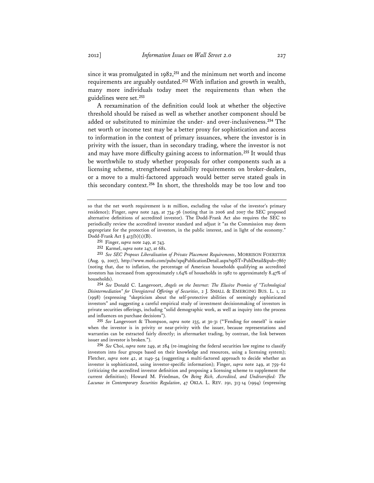since it was promulgated in 1982,**<sup>251</sup>** and the minimum net worth and income requirements are arguably outdated.**<sup>252</sup>** With inflation and growth in wealth, many more individuals today meet the requirements than when the guidelines were set.**<sup>253</sup>**

A reexamination of the definition could look at whether the objective threshold should be raised as well as whether another component should be added or substituted to minimize the under- and over-inclusiveness.**<sup>254</sup>** The net worth or income test may be a better proxy for sophistication and access to information in the context of primary issuances, where the investor is in privity with the issuer, than in secondary trading, where the investor is not and may have more difficulty gaining access to information.**<sup>255</sup>** It would thus be worthwhile to study whether proposals for other components such as a licensing scheme, strengthened suitability requirements on broker-dealers, or a move to a multi-factored approach would better serve stated goals in this secondary context.**<sup>256</sup>** In short, the thresholds may be too low and too

**254** *See* Donald C. Langevoort, *Angels on the Internet: The Elusive Promise of "Technological Disintermediation" for Unregistered Offerings of Securities*, 2 J. SMALL & EMERGING BUS. L. 1, 22 (1998) (expressing "skepticism about the self-protective abilities of seemingly sophisticated investors" and suggesting a careful empirical study of investment decisionmaking of investors in private securities offerings, including "solid demographic work, as well as inquiry into the process and influences on purchase decisions").

**255** *See* Langevoort & Thompson, *supra* note 235, at 30-31 ("'Fending for oneself' is easier when the investor is in privity or near-privity with the issuer, because representations and warranties can be extracted fairly directly; in aftermarket trading, by contrast, the link between issuer and investor is broken.").

**256** *See* Choi, *supra* note 249, at 284 (re-imagining the federal securities law regime to classify investors into four groups based on their knowledge and resources, using a licensing system); Fletcher, *supra* note 42, at 1149-54 (suggesting a multi-factored approach to decide whether an investor is sophisticated, using investor-specific information); Finger, *supra* note 249, at 759-62 (criticizing the accredited investor definition and proposing a licensing scheme to supplement the current definition); Howard M. Friedman, *On Being Rich, Accredited, and Undiversified: The Lacunae in Contemporary Securities Regulation*, 47 OKLA. L. REV. 291, 313-14 (1994) (expressing

so that the net worth requirement is \$1 million, excluding the value of the investor's primary residence); Finger, *supra* note 249, at 734-36 (noting that in 2006 and 2007 the SEC proposed alternative definitions of accredited investor). The Dodd-Frank Act also requires the SEC to periodically review the accredited investor standard and adjust it "as the Commission may deem appropriate for the protection of investors, in the public interest, and in light of the economy." Dodd-Frank Act § 413(b)(1)(B).

**<sup>251</sup>** Finger, *supra* note 249, at 743.

**<sup>252</sup>** Karmel, *supra* note 247, at 681.

**<sup>253</sup>** *See SEC Proposes Liberalization of Private Placement Requirements*, MORRISON FOERSTER (Aug. 9, 2007), http://www.mofo.com/pubs/xpqPublicationDetail.aspx?xpST=PubDetail&pub=7867 (noting that, due to inflation, the percentage of American households qualifying as accredited investors has increased from approximately 1.64% of households in 1982 to approximately 8.47% of households).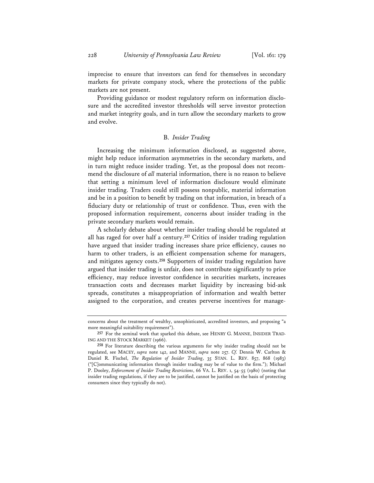imprecise to ensure that investors can fend for themselves in secondary markets for private company stock, where the protections of the public markets are not present.

Providing guidance or modest regulatory reform on information disclosure and the accredited investor thresholds will serve investor protection and market integrity goals, and in turn allow the secondary markets to grow and evolve.

### B. *Insider Trading*

Increasing the minimum information disclosed, as suggested above, might help reduce information asymmetries in the secondary markets, and in turn might reduce insider trading. Yet, as the proposal does not recommend the disclosure of *all* material information, there is no reason to believe that setting a minimum level of information disclosure would eliminate insider trading. Traders could still possess nonpublic, material information and be in a position to benefit by trading on that information, in breach of a fiduciary duty or relationship of trust or confidence. Thus, even with the proposed information requirement, concerns about insider trading in the private secondary markets would remain.

A scholarly debate about whether insider trading should be regulated at all has raged for over half a century.**<sup>257</sup>** Critics of insider trading regulation have argued that insider trading increases share price efficiency, causes no harm to other traders, is an efficient compensation scheme for managers, and mitigates agency costs.**<sup>258</sup>** Supporters of insider trading regulation have argued that insider trading is unfair, does not contribute significantly to price efficiency, may reduce investor confidence in securities markets, increases transaction costs and decreases market liquidity by increasing bid-ask spreads, constitutes a misappropriation of information and wealth better assigned to the corporation, and creates perverse incentives for manage-

concerns about the treatment of wealthy, unsophisticated, accredited investors, and proposing "a more meaningful suitability requirement").

**<sup>257</sup>** For the seminal work that sparked this debate, see HENRY G. MANNE, INSIDER TRAD-ING AND THE STOCK MARKET (1966).

**<sup>258</sup>** For literature describing the various arguments for why insider trading should not be regulated, see MACEY, *supra* note 142, and MANNE, *supra* note 257. *Cf.* Dennis W. Carlton & Daniel R. Fischel, *The Regulation of Insider Trading*, 35 STAN. L. REV. 857, 868 (1983) ("[C]ommunicating information through insider trading may be of value to the firm."); Michael P. Dooley, *Enforcement of Insider Trading Restrictions*, 66 VA. L. REV. 1, 54-55 (1980) (noting that insider trading regulations, if they are to be justified, cannot be justified on the basis of protecting consumers since they typically do not).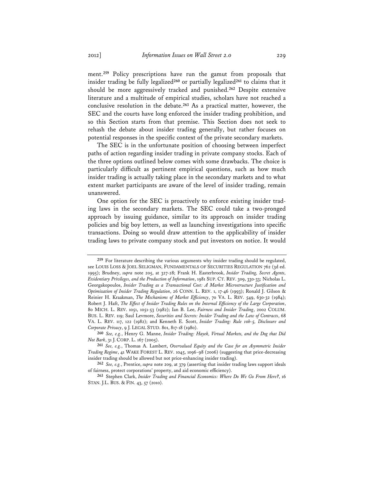ment.**<sup>259</sup>** Policy prescriptions have run the gamut from proposals that insider trading be fully legalized**<sup>260</sup>** or partially legalized**<sup>261</sup>** to claims that it should be more aggressively tracked and punished.**<sup>262</sup>** Despite extensive literature and a multitude of empirical studies, scholars have not reached a conclusive resolution in the debate.**<sup>263</sup>** As a practical matter, however, the SEC and the courts have long enforced the insider trading prohibition, and so this Section starts from that premise. This Section does not seek to rehash the debate about insider trading generally, but rather focuses on potential responses in the specific context of the private secondary markets.

The SEC is in the unfortunate position of choosing between imperfect paths of action regarding insider trading in private company stocks. Each of the three options outlined below comes with some drawbacks. The choice is particularly difficult as pertinent empirical questions, such as how much insider trading is actually taking place in the secondary markets and to what extent market participants are aware of the level of insider trading, remain unanswered.

One option for the SEC is proactively to enforce existing insider trading laws in the secondary markets. The SEC could take a two-pronged approach by issuing guidance, similar to its approach on insider trading policies and big boy letters, as well as launching investigations into specific transactions. Doing so would draw attention to the applicability of insider trading laws to private company stock and put investors on notice. It would

**<sup>259</sup>** For literature describing the various arguments why insider trading should be regulated, see LOUIS LOSS & JOEL SELIGMAN, FUNDAMENTALS OF SECURITIES REGULATION 762 (3d ed. 1995); Brudney, *supra* note 205, at 327-28; Frank H. Easterbrook, *Insider Trading, Secret Agents, Evidentiary Privileges, and the Production of Information*, 1981 SUP. CT. REV. 309, 330-33; Nicholas L. Georgakopoulos, *Insider Trading as a Transactional Cost: A Market Microstructure Justification and Optimization of Insider Trading Regulation*, 26 CONN. L. REV. 1, 17-46 (1993); Ronald J. Gilson & Reinier H. Kraakman, *The Mechanisms of Market Efficiency*, 70 VA. L. REV. 549, 630-32 (1984); Robert J. Haft, *The Effect of Insider Trading Rules on the Internal Efficiency of the Large Corporation*, 80 MICH. L. REV. 1051, 1051-53 (1982); Ian B. Lee, *Fairness and Insider Trading*, 2002 COLUM. BUS. L. REV. 119; Saul Levmore, *Securities and Secrets: Insider Trading and the Law of Contracts*, 68 VA. L. REV. 117, 122 (1982); and Kenneth E. Scott, *Insider Trading: Rule 10b-5, Disclosure and Corporate Privacy*, 9 J. LEGAL STUD. 801, 817-18 (1980).

**<sup>260</sup>** *See, e.g.*, Henry G. Manne, *Insider Trading: Hayek, Virtual Markets, and the Dog that Did Not Bark*, 31 J. CORP. L. 167 (2005).

**<sup>261</sup>** *See, e.g.*, Thomas A. Lambert, *Overvalued Equity and the Case for an Asymmetric Insider Trading Regime*, 41 WAKE FOREST L. REV. 1045, 1096-98 (2006) (suggesting that price-decreasing insider trading should be allowed but not price-enhancing insider trading).

**<sup>262</sup>** *See, e.g.*, Prentice, *supra* note 209, at 379 (asserting that insider trading laws support ideals of fairness, protect corporations' property, and aid economic efficiency).

**<sup>263</sup>** Stephen Clark, *Insider Trading and Financial Economics: Where Do We Go From Here?*, 16 STAN. J.L. BUS. & FIN. 43, 57 (2010).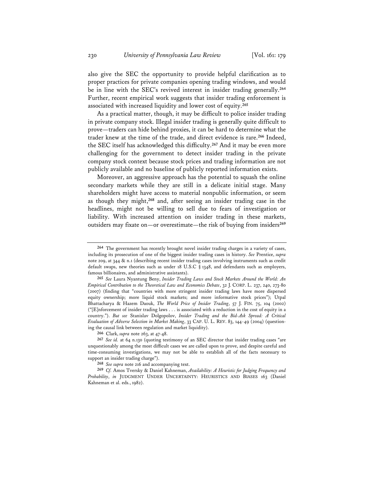also give the SEC the opportunity to provide helpful clarification as to proper practices for private companies opening trading windows, and would be in line with the SEC's revived interest in insider trading generally.**<sup>264</sup>** Further, recent empirical work suggests that insider trading enforcement is associated with increased liquidity and lower cost of equity.**<sup>265</sup>**

As a practical matter, though, it may be difficult to police insider trading in private company stock. Illegal insider trading is generally quite difficult to prove—traders can hide behind proxies, it can be hard to determine what the trader knew at the time of the trade, and direct evidence is rare.**<sup>266</sup>** Indeed, the SEC itself has acknowledged this difficulty.**<sup>267</sup>** And it may be even more challenging for the government to detect insider trading in the private company stock context because stock prices and trading information are not publicly available and no baseline of publicly reported information exists.

Moreover, an aggressive approach has the potential to squash the online secondary markets while they are still in a delicate initial stage. Many shareholders might have access to material nonpublic information, or seem as though they might,**<sup>268</sup>** and, after seeing an insider trading case in the headlines, might not be willing to sell due to fears of investigation or liability. With increased attention on insider trading in these markets, outsiders may fixate on—or overestimate—the risk of buying from insiders**<sup>269</sup>**

**266** Clark, *supra* note 263, at 47-48.

**<sup>264</sup>** The government has recently brought novel insider trading charges in a variety of cases, including its prosecution of one of the biggest insider trading cases in history. *See* Prentice, *supra* note 209, at 344 & n.1 (describing recent insider trading cases involving instruments such as credit default swaps, new theories such as under 18 U.S.C § 1348, and defendants such as employers, famous billionaires, and administrative assistants).

**<sup>265</sup>** *See* Laura Nyantung Beny, *Insider Trading Laws and Stock Markets Around the World: An Empirical Contribution to the Theoretical Law and Economics Debate*, 32 J. CORP. L. 237, 240, 273-80 (2007) (finding that "countries with more stringent insider trading laws have more dispersed equity ownership; more liquid stock markets; and more informative stock prices"); Utpal Bhattacharya & Hazem Daouk, *The World Price of Insider Trading*, 57 J. FIN. 75, 104 (2002) ("[E]nforcement of insider trading laws . . . is associated with a reduction in the cost of equity in a country."). *But see* Stanislav Dolgopolov, *Insider Trading and the Bid-Ask Spread: A Critical Evaluation of Adverse Selection in Market Making*, 33 CAP. U. L. REV. 83, 144-49 (2004) (questioning the causal link between regulation and market liquidity).

**<sup>267</sup>** *See id.* at 64 n.130 (quoting testimony of an SEC director that insider trading cases "are unquestionably among the most difficult cases we are called upon to prove, and despite careful and time-consuming investigations, we may not be able to establish all of the facts necessary to support an insider trading charge").

**<sup>268</sup>** *See supra* note 216 and accompanying text.

**<sup>269</sup>** *Cf.* Amos Tversky & Daniel Kahneman, *Availability: A Heuristic for Judging Frequency and Probability*, *in* JUDGMENT UNDER UNCERTAINTY: HEURISTICS AND BIASES 163 (Daniel Kahneman et al. eds., 1982).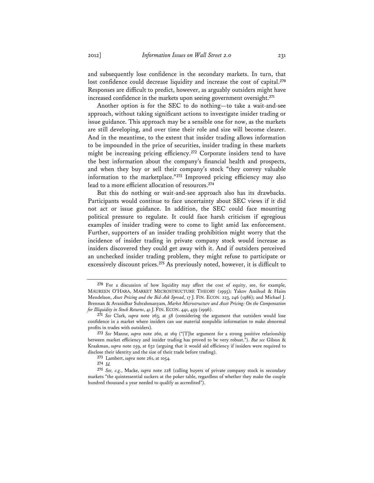and subsequently lose confidence in the secondary markets. In turn, that lost confidence could decrease liquidity and increase the cost of capital.**<sup>270</sup>** Responses are difficult to predict, however, as arguably outsiders might have increased confidence in the markets upon seeing government oversight.**<sup>271</sup>**

Another option is for the SEC to do nothing—to take a wait-and-see approach, without taking significant actions to investigate insider trading or issue guidance. This approach may be a sensible one for now, as the markets are still developing, and over time their role and size will become clearer. And in the meantime, to the extent that insider trading allows information to be impounded in the price of securities, insider trading in these markets might be increasing pricing efficiency.**<sup>272</sup>** Corporate insiders tend to have the best information about the company's financial health and prospects, and when they buy or sell their company's stock "they convey valuable information to the marketplace."**<sup>273</sup>** Improved pricing efficiency may also lead to a more efficient allocation of resources.**<sup>274</sup>**

But this do nothing or wait-and-see approach also has its drawbacks. Participants would continue to face uncertainty about SEC views if it did not act or issue guidance. In addition, the SEC could face mounting political pressure to regulate. It could face harsh criticism if egregious examples of insider trading were to come to light amid lax enforcement. Further, supporters of an insider trading prohibition might worry that the incidence of insider trading in private company stock would increase as insiders discovered they could get away with it. And if outsiders perceived an unchecked insider trading problem, they might refuse to participate or excessively discount prices.**<sup>275</sup>** As previously noted, however, it is difficult to

**274** *Id.*

**<sup>270</sup>** For a discussion of how liquidity may affect the cost of equity, see, for example, MAUREEN O'HARA, MARKET MICROSTRUCTURE THEORY (1995); Yakov Amihud & Haim Mendelson, *Asset Pricing and the Bid-Ask Spread*, 17 J. FIN. ECON. 223, 246 (1986); and Michael J. Brennan & Avanidhar Subrahmanyam, *Market Microstructure and Asset Pricing: On the Compensation for Illiquidity in Stock Returns*, 41 J. FIN. ECON. 441, 459 (1996).

**<sup>271</sup>** *See* Clark, *supra* note 263, at 58 (considering the argument that outsiders would lose confidence in a market where insiders can use material nonpublic information to make abnormal profits in trades with outsiders).

**<sup>272</sup>** *See* Manne, *supra* note 260, at 169 ("[T]he argument for a strong positive relationship between market efficiency and insider trading has proved to be very robust."). *But see* Gilson & Kraakman, *supra* note 259, at 632 (arguing that it would aid efficiency if insiders were required to disclose their identity and the size of their trade before trading).

**<sup>273</sup>** Lambert, *supra* note 261, at 1054.

**<sup>275</sup>** *See, e.g.*, Macke, *supra* note 228 (calling buyers of private company stock in secondary markets "the quintessential suckers at the poker table, regardless of whether they make the couple hundred thousand a year needed to qualify as accredited").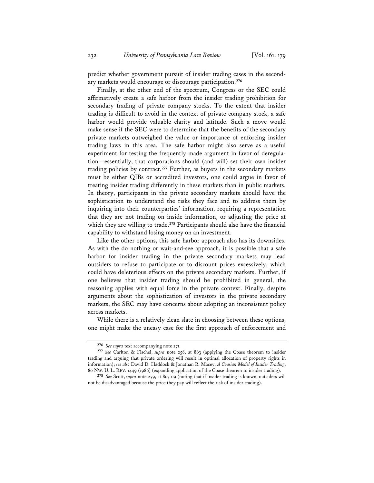predict whether government pursuit of insider trading cases in the secondary markets would encourage or discourage participation.**<sup>276</sup>**

Finally, at the other end of the spectrum, Congress or the SEC could affirmatively create a safe harbor from the insider trading prohibition for secondary trading of private company stocks. To the extent that insider trading is difficult to avoid in the context of private company stock, a safe harbor would provide valuable clarity and latitude. Such a move would make sense if the SEC were to determine that the benefits of the secondary private markets outweighed the value or importance of enforcing insider trading laws in this area. The safe harbor might also serve as a useful experiment for testing the frequently made argument in favor of deregulation—essentially, that corporations should (and will) set their own insider trading policies by contract.**<sup>277</sup>** Further, as buyers in the secondary markets must be either QIBs or accredited investors, one could argue in favor of treating insider trading differently in these markets than in public markets. In theory, participants in the private secondary markets should have the sophistication to understand the risks they face and to address them by inquiring into their counterparties' information, requiring a representation that they are not trading on inside information, or adjusting the price at which they are willing to trade.**<sup>278</sup>** Participants should also have the financial capability to withstand losing money on an investment.

Like the other options, this safe harbor approach also has its downsides. As with the do nothing or wait-and-see approach, it is possible that a safe harbor for insider trading in the private secondary markets may lead outsiders to refuse to participate or to discount prices excessively, which could have deleterious effects on the private secondary markets. Further, if one believes that insider trading should be prohibited in general, the reasoning applies with equal force in the private context. Finally, despite arguments about the sophistication of investors in the private secondary markets, the SEC may have concerns about adopting an inconsistent policy across markets.

While there is a relatively clean slate in choosing between these options, one might make the uneasy case for the first approach of enforcement and

**<sup>276</sup>** *See supra* text accompanying note 271.

**<sup>277</sup>** *See* Carlton & Fischel, *supra* note 258, at 863 (applying the Coase theorem to insider trading and arguing that private ordering will result in optimal allocation of property rights in information); *see also* David D. Haddock & Jonathan R. Macey, *A Coasian Model of Insider Trading*, 80 NW. U. L. REV. 1449 (1986) (expanding application of the Coase theorem to insider trading).

**<sup>278</sup>** *See* Scott, *supra* note 259, at 807-09 (noting that if insider trading is known, outsiders will not be disadvantaged because the price they pay will reflect the risk of insider trading).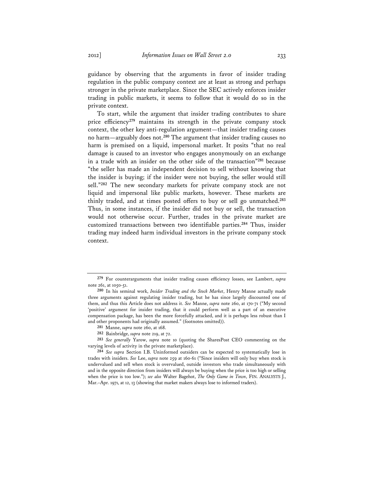guidance by observing that the arguments in favor of insider trading regulation in the public company context are at least as strong and perhaps stronger in the private marketplace. Since the SEC actively enforces insider trading in public markets, it seems to follow that it would do so in the private context.

To start, while the argument that insider trading contributes to share price efficiency**<sup>279</sup>** maintains its strength in the private company stock context, the other key anti-regulation argument—that insider trading causes no harm—arguably does not.**<sup>280</sup>** The argument that insider trading causes no harm is premised on a liquid, impersonal market. It posits "that no real damage is caused to an investor who engages anonymously on an exchange in a trade with an insider on the other side of the transaction"**<sup>281</sup>** because "the seller has made an independent decision to sell without knowing that the insider is buying; if the insider were not buying, the seller would still sell."**<sup>282</sup>** The new secondary markets for private company stock are not liquid and impersonal like public markets, however. These markets are thinly traded, and at times posted offers to buy or sell go unmatched.**<sup>283</sup>** Thus, in some instances, if the insider did not buy or sell, the transaction would not otherwise occur. Further, trades in the private market are customized transactions between two identifiable parties.**<sup>284</sup>** Thus, insider trading may indeed harm individual investors in the private company stock context.

**<sup>279</sup>** For counterarguments that insider trading causes efficiency losses, see Lambert, *supra* note 261, at 1050-51.

**<sup>280</sup>** In his seminal work, *Insider Trading and the Stock Market*, Henry Manne actually made three arguments against regulating insider trading, but he has since largely discounted one of them, and thus this Article does not address it. *See* Manne, *supra* note 260, at 170-71 ("My second 'positive' argument for insider trading, that it could perform well as a part of an executive compensation package, has been the more forcefully attacked, and it is perhaps less robust than I and other proponents had originally assumed." (footnotes omitted)).

**<sup>281</sup>** Manne, *supra* note 260, at 168.

**<sup>282</sup>** Bainbridge, *supra* note 219, at 72.

**<sup>283</sup>** *See generally* Yarow, *supra* note 10 (quoting the SharesPost CEO commenting on the varying levels of activity in the private marketplace).

**<sup>284</sup>** *See supra* Section I.B. Uninformed outsiders can be expected to systematically lose in trades with insiders. *See* Lee, *supra* note 259 at 160-61 ("Since insiders will only buy when stock is undervalued and sell when stock is overvalued, outside investors who trade simultaneously with and in the opposite direction from insiders will always be buying when the price is too high or selling when the price is too low."); *see also* Walter Bagehot, *The Only Game in Town*, FIN. ANALYSTS J., Mar.–Apr. 1971, at 12, 13 (showing that market makers always lose to informed traders).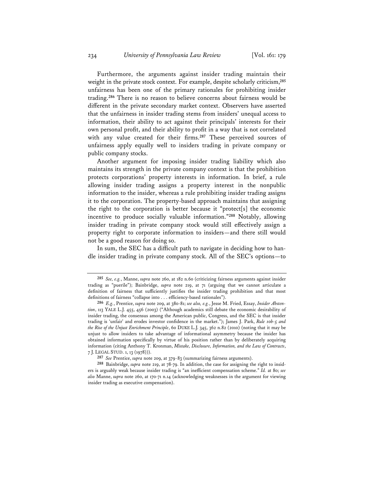Furthermore, the arguments against insider trading maintain their weight in the private stock context. For example, despite scholarly criticism,**<sup>285</sup>** unfairness has been one of the primary rationales for prohibiting insider trading.**<sup>286</sup>** There is no reason to believe concerns about fairness would be different in the private secondary market context. Observers have asserted that the unfairness in insider trading stems from insiders' unequal access to information, their ability to act against their principals' interests for their own personal profit, and their ability to profit in a way that is not correlated with any value created for their firms.**<sup>287</sup>** These perceived sources of unfairness apply equally well to insiders trading in private company or public company stocks.

Another argument for imposing insider trading liability which also maintains its strength in the private company context is that the prohibition protects corporations' property interests in information. In brief, a rule allowing insider trading assigns a property interest in the nonpublic information to the insider, whereas a rule prohibiting insider trading assigns it to the corporation. The property-based approach maintains that assigning the right to the corporation is better because it "protect[s] the economic incentive to produce socially valuable information."**<sup>288</sup>** Notably, allowing insider trading in private company stock would still effectively assign a property right to corporate information to insiders—and there still would not be a good reason for doing so.

In sum, the SEC has a difficult path to navigate in deciding how to handle insider trading in private company stock. All of the SEC's options—to

**<sup>285</sup>** *See, e.g.*, Manne, *supra* note 260, at 182 n.60 (criticizing fairness arguments against insider trading as "puerile"); Bainbridge, *supra* note 219, at 71 (arguing that we cannot articulate a definition of fairness that sufficiently justifies the insider trading prohibition and that most definitions of fairness "collapse into . . . efficiency-based rationales").

**<sup>286</sup>** *E.g.*, Prentice, *supra* note 209, at 380-81; *see also, e.g.*, Jesse M. Fried, Essay, *Insider Abstention*, 113 YALE L.J. 455, 456 (2003) ("Although academics still debate the economic desirability of insider trading, the consensus among the American public, Congress, and the SEC is that insider trading is 'unfair' and erodes investor confidence in the market."); James J. Park, *Rule 10b-5 and the Rise of the Unjust Enrichment Principle*, 60 DUKE L.J. 345, 362 n.82 (2010) (noting that it may be unjust to allow insiders to take advantage of informational asymmetry because the insider has obtained information specifically by virtue of his position rather than by deliberately acquiring information (citing Anthony T. Kronman, *Mistake, Disclosure, Information, and the Law of Contracts*, 7 J. LEGAL STUD. 1, 13 (1978))).

**<sup>287</sup>** *See* Prentice, *supra* note 209, at 379-83 (summarizing fairness arguments).

**<sup>288</sup>** Bainbridge, *supra* note 219, at 78-79. In addition, the case for assigning the right to insiders is arguably weak because insider trading is "an inefficient compensation scheme." *Id.* at 80; *see also* Manne, *supra* note 260, at 170-71 n.14 (acknowledging weaknesses in the argument for viewing insider trading as executive compensation).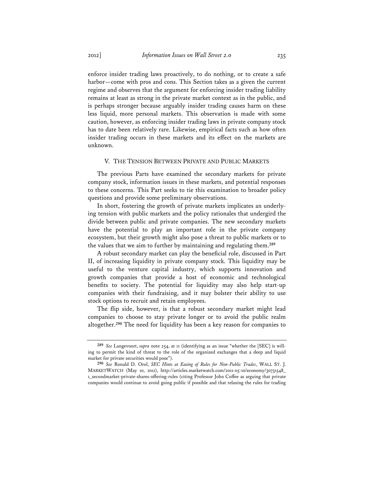enforce insider trading laws proactively, to do nothing, or to create a safe harbor—come with pros and cons. This Section takes as a given the current regime and observes that the argument for enforcing insider trading liability remains at least as strong in the private market context as in the public, and is perhaps stronger because arguably insider trading causes harm on these less liquid, more personal markets. This observation is made with some caution, however, as enforcing insider trading laws in private company stock has to date been relatively rare. Likewise, empirical facts such as how often insider trading occurs in these markets and its effect on the markets are unknown.

### V. THE TENSION BETWEEN PRIVATE AND PUBLIC MARKETS

The previous Parts have examined the secondary markets for private company stock, information issues in these markets, and potential responses to these concerns. This Part seeks to tie this examination to broader policy questions and provide some preliminary observations.

In short, fostering the growth of private markets implicates an underlying tension with public markets and the policy rationales that undergird the divide between public and private companies. The new secondary markets have the potential to play an important role in the private company ecosystem, but their growth might also pose a threat to public markets or to the values that we aim to further by maintaining and regulating them.**<sup>289</sup>**

A robust secondary market can play the beneficial role, discussed in Part II, of increasing liquidity in private company stock. This liquidity may be useful to the venture capital industry, which supports innovation and growth companies that provide a host of economic and technological benefits to society. The potential for liquidity may also help start-up companies with their fundraising, and it may bolster their ability to use stock options to recruit and retain employees.

The flip side, however, is that a robust secondary market might lead companies to choose to stay private longer or to avoid the public realm altogether.**<sup>290</sup>** The need for liquidity has been a key reason for companies to

**<sup>289</sup>** *See* Langevoort, *supra* note 254, at 11 (identifying as an issue "whether the [SEC] is willing to permit the kind of threat to the role of the organized exchanges that a deep and liquid market for private securities would pose").

**<sup>290</sup>** *See* Ronald D. Orol, *SEC Hints at Easing of Rules for Non-Public Trades*, WALL ST. J. MARKETWATCH (May 10, 2011), http://articles.marketwatch.com/2011-05-10/economy/30731548\_ 1\_secondmarket-private-shares-offering-rules (citing Professor John Coffee as arguing that private companies would continue to avoid going public if possible and that relaxing the rules for trading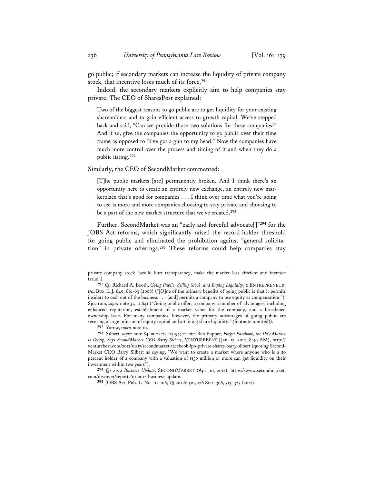go public; if secondary markets can increase the liquidity of private company stock, that incentive loses much of its force.**<sup>291</sup>**

Indeed, the secondary markets explicitly aim to help companies stay private. The CEO of SharesPost explained:

Two of the biggest reasons to go public are to get liquidity for your existing shareholders and to gain efficient access to growth capital. We've stepped back and said, "Can we provide those two solutions for these companies?" And if so, give the companies the opportunity to go public over their time frame as opposed to "I've got a gun to my head." Now the companies have much more control over the process and timing of if and when they do a public listing.**<sup>292</sup>**

Similarly, the CEO of SecondMarket commented:

[T]he public markets [are] permanently broken. And I think there's an opportunity here to create an entirely new exchange, an entirely new marketplace that's good for companies . . . I think over time what you're going to see is more and more companies choosing to stay private and choosing to be a part of the new market structure that we've created.**<sup>293</sup>**

Further, SecondMarket was an "early and forceful advocate[]"**<sup>294</sup>** for the JOBS Act reforms, which significantly raised the record-holder threshold for going public and eliminated the prohibition against "general solicitation" in private offerings.**<sup>295</sup>** These reforms could help companies stay

**292** Yarow, *supra* note 10.

private company stock "would hurt transparency, make the market less efficient and increase fraud").

**<sup>291</sup>** *Cf.* Richard A. Booth, *Going Public, Selling Stock, and Buying Liquidity*, 2 ENTREPRENEUR-IAL BUS. L.J. 649, 661-63 (2008) ("[O]ne of the primary benefits of going public is that it permits insiders to cash out of the business . . . [and] permits a company to use equity as compensation."); Sjostrom, *supra* note 31, at 641 ("Going public offers a company a number of advantages, including enhanced reputation, establishment of a market value for the company, and a broadened ownership base. For many companies, however, the primary advantages of going public are securing a large infusion of equity capital and attaining share liquidity." (footnote omitted)).

**<sup>293</sup>** Silbert, *supra* note 84, at 22:22–23:54; *see also* Ben Popper, *Forget Facebook, the IPO Market Is Dying, Says SecondMarket CEO Barry Silbert*, VENTUREBEAT (Jan. 17, 2012, 8:40 AM), http:// venturebeat.com/2012/01/17/secondmarket-facebook-ipo-private-shares-barry-silbert (quoting Second-Market CEO Barry Silbert as saying, "We want to create a market where anyone who is a 20 percent holder of a company with a valuation of \$150 million or more can get liquidity on their investment within two years").

**<sup>294</sup>** *Q1 2012 Business Update*, SECONDMARKET (Apr. 16, 2012), https://www.secondmarket. com/discover/reports/q1-2012-business-update.

**<sup>295</sup>** JOBS Act, Pub. L. No. 112-106, §§ 201 & 501, 126 Stat. 306, 313, 325 (2012).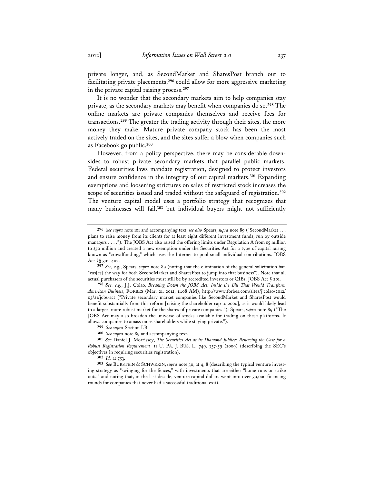private longer, and, as SecondMarket and SharesPost branch out to facilitating private placements,**<sup>296</sup>** could allow for more aggressive marketing in the private capital raising process.**<sup>297</sup>**

It is no wonder that the secondary markets aim to help companies stay private, as the secondary markets may benefit when companies do so.**<sup>298</sup>** The online markets are private companies themselves and receive fees for transactions.**<sup>299</sup>** The greater the trading activity through their sites, the more money they make. Mature private company stock has been the most actively traded on the sites, and the sites suffer a blow when companies such as Facebook go public.**<sup>300</sup>**

However, from a policy perspective, there may be considerable downsides to robust private secondary markets that parallel public markets. Federal securities laws mandate registration, designed to protect investors and ensure confidence in the integrity of our capital markets.**<sup>301</sup>** Expanding exemptions and loosening strictures on sales of restricted stock increases the scope of securities issued and traded without the safeguard of registration.**<sup>302</sup>** The venture capital model uses a portfolio strategy that recognizes that many businesses will fail,**<sup>303</sup>** but individual buyers might not sufficiently

**<sup>296</sup>** *See supra* note 101 and accompanying text; *see also* Spears, *supra* note 89 ("SecondMarket . . . plans to raise money from its clients for at least eight different investment funds, run by outside managers . . . ."). The JOBS Act also raised the offering limits under Regulation A from \$5 million to \$50 million and created a new exemption under the Securities Act for a type of capital raising known as "crowdfunding," which uses the Internet to pool small individual contributions. JOBS Act §§ 301–402.

**<sup>297</sup>** *See, e.g.*, Spears, *supra* note 89 (noting that the elimination of the general solicitation ban "eas[es] the way for both SecondMarket and SharesPost to jump into that business"). Note that all actual purchasers of the securities must still be by accredited investors or QIBs. JOBS Act § 201.

**<sup>298</sup>** *See, e.g.*, J.J. Colao, *Breaking Down the JOBS Act: Inside the Bill That Would Transform American Business*, FORBES (Mar. 21, 2012, 11:08 AM), http://www.forbes.com/sites/jjcolao/2012/ 03/21/jobs-act ("Private secondary market companies like SecondMarket and SharesPost would benefit substantially from this reform [raising the shareholder cap to 2000], as it would likely lead to a larger, more robust market for the shares of private companies."); Spears, *supra* note 89 ("The JOBS Act may also broaden the universe of stocks available for trading on these platforms. It allows companies to amass more shareholders while staying private.").

**<sup>299</sup>** *See supra* Section I.B.

**<sup>300</sup>** *See supra* note 89 and accompanying text.

**<sup>301</sup>** *See* Daniel J. Morrissey, *The Securities Act at its Diamond Jubilee: Renewing the Case for a Robust Registration Requirement*, 11 U. PA. J. BUS. L. 749, 757-59 (2009) (describing the SEC's objectives in requiring securities registration).

**<sup>302</sup>** *Id.* at 753.

**<sup>303</sup>** *See* BURSTEIN & SCHWERIN, *supra* note 30, at 4, 8 (describing the typical venture investing strategy as "swinging for the fences," with investments that are either "home runs or strike outs," and noting that, in the last decade, venture capital dollars went into over 30,000 financing rounds for companies that never had a successful traditional exit).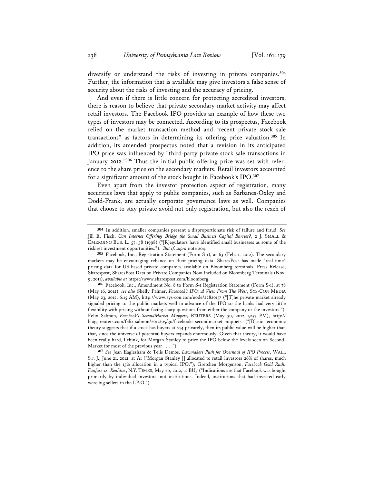diversify or understand the risks of investing in private companies.**<sup>304</sup>** Further, the information that is available may give investors a false sense of security about the risks of investing and the accuracy of pricing.

And even if there is little concern for protecting accredited investors, there is reason to believe that private secondary market activity may affect retail investors. The Facebook IPO provides an example of how these two types of investors may be connected. According to its prospectus, Facebook relied on the market transaction method and "recent private stock sale transactions" as factors in determining its offering price valuation.**<sup>305</sup>** In addition, its amended prospectus noted that a revision in its anticipated IPO price was influenced by "third-party private stock sale transactions in January 2012."**306** Thus the initial public offering price was set with reference to the share price on the secondary markets. Retail investors accounted for a significant amount of the stock bought in Facebook's IPO.**<sup>307</sup>**

Even apart from the investor protection aspect of registration, many securities laws that apply to public companies, such as Sarbanes-Oxley and Dodd-Frank, are actually corporate governance laws as well. Companies that choose to stay private avoid not only registration, but also the reach of

**306** Facebook, Inc., Amendment No. 8 to Form S-1 Registration Statement (Form S-1), at 78 (May 16, 2012); *see also* Shelly Palmer, *Facebook's IPO: A View From The West*, SYS-CON MEDIA (May 23, 2012, 6:15 AM), http://www.sys-con.com/node/2282015/ ("[T]he private market already signaled pricing to the public markets well in advance of the IPO so the banks had very little flexibility with pricing without facing sharp questions from either the company or the investors."); Felix Salmon, *Facebook's SecondMarket Muppets*, REUTERS (May 30, 2012, 9:57 PM), http:// blogs.reuters.com/felix-salmon/2012/05/30/facebooks-secondmarket-muppets ("[B]asic economic theory suggests that if a stock has buyers at \$44 privately, then its public value will be higher than that, since the universe of potential buyers expands enormously. Given that theory, it would have been really hard, I think, for Morgan Stanley to price the IPO below the levels seen on Second-Market for most of the previous year . . . .").

**307** *See* Jean Eaglesham & Telis Demos, *Lawmakers Push for Overhaul of IPO Process*, WALL ST. J., June 21, 2012, at A1 ("Morgan Stanley [] allocated to retail investors 26% of shares, much higher than the 15% allocation in a typical IPO."); Gretchen Morgenson, *Facebook Gold Rush: Fanfare vs. Realities*, N.Y. TIMES, May 20, 2012, at BU5 ("Indications are that Facebook was bought primarily by individual investors, not institutions. Indeed, institutions that had invested early were big sellers in the I.P.O.").

**<sup>304</sup>** In addition, smaller companies present a disproportionate risk of failure and fraud. *See* Jill E. Fisch, *Can Internet Offerings Bridge the Small Business Capital Barrier?*, 2 J. SMALL & EMERGING BUS. L. 57, 58 (1998) ("[R]egulators have identified small businesses as some of the riskiest investment opportunities."). *But cf. supra* note 204.

**<sup>305</sup>** Facebook, Inc., Registration Statement (Form S-1), at 63 (Feb. 1, 2012). The secondary markets may be encouraging reliance on their pricing data. SharesPost has made "real-time" pricing data for US-based private companies available on Bloomberg terminals. Press Release, Sharespost, SharesPost Data on Private Companies Now Included on Bloomberg Terminals (Nov. 9, 2011), *available at* https://www.sharespost.com/bloomberg.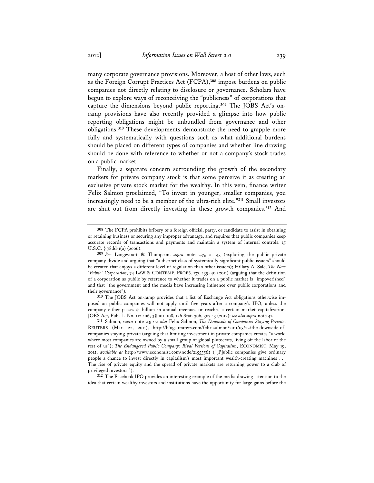many corporate governance provisions. Moreover, a host of other laws, such as the Foreign Corrupt Practices Act (FCPA),**<sup>308</sup>** impose burdens on public companies not directly relating to disclosure or governance. Scholars have begun to explore ways of reconceiving the "publicness" of corporations that capture the dimensions beyond public reporting.**309** The JOBS Act's onramp provisions have also recently provided a glimpse into how public reporting obligations might be unbundled from governance and other obligations.**<sup>310</sup>** These developments demonstrate the need to grapple more fully and systematically with questions such as what additional burdens should be placed on different types of companies and whether line drawing should be done with reference to whether or not a company's stock trades on a public market.

Finally, a separate concern surrounding the growth of the secondary markets for private company stock is that some perceive it as creating an exclusive private stock market for the wealthy. In this vein, finance writer Felix Salmon proclaimed, "To invest in younger, smaller companies, you increasingly need to be a member of the ultra-rich elite."**<sup>311</sup>** Small investors are shut out from directly investing in these growth companies.**<sup>312</sup>** And

**312** The Facebook IPO provides an interesting example of the media drawing attention to the idea that certain wealthy investors and institutions have the opportunity for large gains before the

**<sup>308</sup>** The FCPA prohibits bribery of a foreign official, party, or candidate to assist in obtaining or retaining business or securing any improper advantage, and requires that public companies keep accurate records of transactions and payments and maintain a system of internal controls. 15 U.S.C. § 78dd-1(a) (2006).

**<sup>309</sup>** *See* Langevoort & Thompson, *supra* note 235, at 43 (exploring the public–private company divide and arguing that "a distinct class of systemically significant public issuers" should be created that enjoys a different level of regulation than other issuers); Hillary A. Sale, *The New "Public" Corporation*, 74 LAW & CONTEMP. PROBS. 137, 139-40 (2011) (arguing that the definition of a corporation as public by reference to whether it trades on a public market is "impoverished" and that "the government and the media have increasing influence over public corporations and their governance").

**<sup>310</sup>** The JOBS Act on-ramp provides that a list of Exchange Act obligations otherwise imposed on public companies will not apply until five years after a company's IPO, unless the company either passes \$1 billion in annual revenues or reaches a certain market capitalization. JOBS Act, Pub. L. No. 112-106, §§ 101–108, 126 Stat. 306, 307-13 (2012); *see also supra* note 41.

**<sup>311</sup>** Salmon, *supra* note 23; *see also* Felix Salmon, *The Downside of Companies Staying Private*, REUTERS (Mar. 22, 2011), http://blogs.reuters.com/felix-salmon/2011/03/22/the-downside-ofcompanies-staying-private (arguing that limiting investment in private companies creates "a world where most companies are owned by a small group of global plutocrats, living off the labor of the rest of us"); *The Endangered Public Company: Rival Versions of Capitalism*, ECONOMIST, May 19, 2012, *available at* http://www.economist.com/node/21555562 ("[P]ublic companies give ordinary people a chance to invest directly in capitalism's most important wealth-creating machines . . . The rise of private equity and the spread of private markets are returning power to a club of privileged investors.").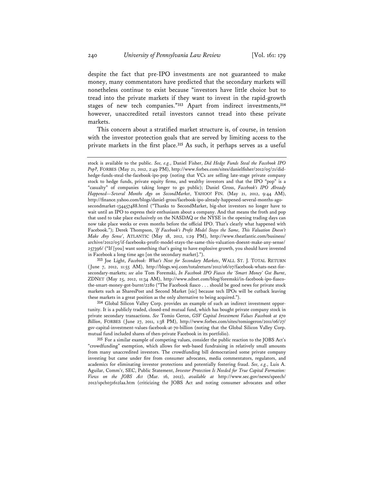despite the fact that pre-IPO investments are not guaranteed to make money, many commentators have predicted that the secondary markets will nonetheless continue to exist because "investors have little choice but to tread into the private markets if they want to invest in the rapid-growth stages of new tech companies."**<sup>313</sup>** Apart from indirect investments,**<sup>314</sup>** however, unaccredited retail investors cannot tread into these private markets.

This concern about a stratified market structure is, of course, in tension with the investor protection goals that are served by limiting access to the private markets in the first place.**<sup>315</sup>** As such, it perhaps serves as a useful

**313** Joe Light, *Facebook: What's Next for Secondary Markets*, WALL ST. J. TOTAL RETURN (June 7, 2012, 11:55 AM), http://blogs.wsj.com/totalreturn/2012/06/07/facebook-whats-next-forsecondary-markets; *see also* Tom Foremski, *In Facebook IPO Fiasco the 'Smart Money' Got Burnt*, ZDNET (May 25, 2012, 11:34 AM), http://www.zdnet.com/blog/foremski/in-facebook-ipo-fiascothe-smart-money-got-burnt/2280 ("The Facebook fiasco . . . should be good news for private stock markets such as SharesPost and Second Market [sic] because tech IPOs will be cutback leaving these markets in a great position as the only alternative to being acquired.").

**314** Global Silicon Valley Corp. provides an example of such an indirect investment opportunity. It is a publicly traded, closed-end mutual fund, which has bought private company stock in private secondary transactions. *See* Tomio Geron, *GSV Capital Investment Values Facebook at \$70 Billion*, FORBES (June 27, 2011, 1:38 PM), http://www.forbes.com/sites/tomiogeron/2011/06/27/ gsv-capital-investment-values-facebook-at-70-billion (noting that the Global Silicon Valley Corp. mutual fund included shares of then-private Facebook in its portfolio).

**315** For a similar example of competing values, consider the public reaction to the JOBS Act's "crowdfunding" exemption, which allows for web-based fundraising in relatively small amounts from many unaccredited investors. The crowdfunding bill democratized some private company investing but came under fire from consumer advocates, media commentators, regulators, and academics for eliminating investor protections and potentially fostering fraud. *See, e.g.*, Luis A. Aguilar, Comm'r, SEC, Public Statement, *Investor Protection Is Needed for True Capital Formation: Views on the JOBS Act* (Mar. 16, 2012), *available at* http://www.sec.gov/news/speech/ 2012/spch031612laa.htm (criticizing the JOBS Act and noting consumer advocates and other

stock is available to the public. *See, e.g.*, Daniel Fisher, *Did Hedge Funds Steal the Facebook IPO Pop?*, FORBES (May 21, 2012, 2:49 PM), http://www.forbes.com/sites/danielfisher/2012/05/21/didhedge-funds-steal-the-facebook-ipo-pop (noting that VCs are selling late-stage private company stock to hedge funds, private equity firms, and wealthy investors and that the IPO "pop" is a "casualty" of companies taking longer to go public); Daniel Gross, *Facebook's IPO Already Happened—Several Months Ago on SecondMarket*, YAHOO! FIN. (May 21, 2012, 9:44 AM), http://finance.yahoo.com/blogs/daniel-gross/facebook-ipo-already-happened-several-months-agosecondmarket-134457488.html ("Thanks to SecondMarket, big-shot investors no longer have to wait until an IPO to express their enthusiasm about a company. And that means the froth and pop that used to take place exclusively on the NASDAQ or the NYSE in the opening trading days can now take place weeks or even months before the official IPO. That's clearly what happened with Facebook."); Derek Thompson, *'If Facebook's Profit Model Stays the Same, This Valuation Doesn't Make Any Sense'*, ATLANTIC (May 18, 2012, 1:29 PM), http://www.theatlantic.com/business/ archive/2012/05/if-facebooks-profit-model-stays-the-same-this-valuation-doesnt-make-any-sense/ 257396/ ("If [you] want something that's going to have explosive growth, you should have invested in Facebook a long time ago [on the secondary market].").